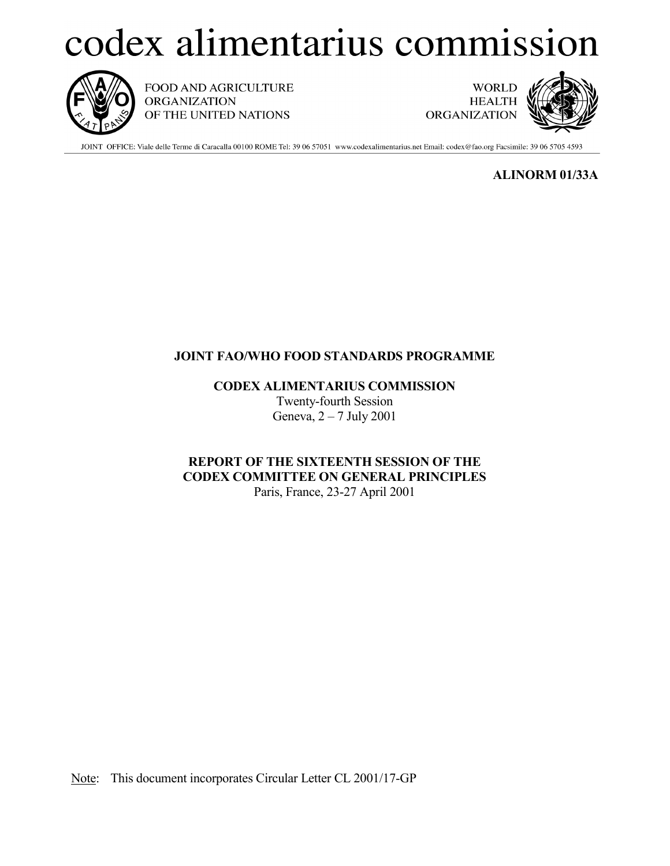# codex alimentarius commission



FOOD AND AGRICULTURE **ORGANIZATION** OF THE UNITED NATIONS

**WORLD HEALTH ORGANIZATION** 



JOINT OFFICE: Viale delle Terme di Caracalla 00100 ROME Tel: 39 06 57051 www.codexalimentarius.net Email: codex@fao.org Facsimile: 39 06 5705 4593

**ALINORM 01/33A**

# **JOINT FAO/WHO FOOD STANDARDS PROGRAMME**

**CODEX ALIMENTARIUS COMMISSION** Twenty-fourth Session Geneva, 2 – 7 July 2001

**REPORT OF THE SIXTEENTH SESSION OF THE CODEX COMMITTEE ON GENERAL PRINCIPLES** Paris, France, 23-27 April 2001

Note: This document incorporates Circular Letter CL 2001/17-GP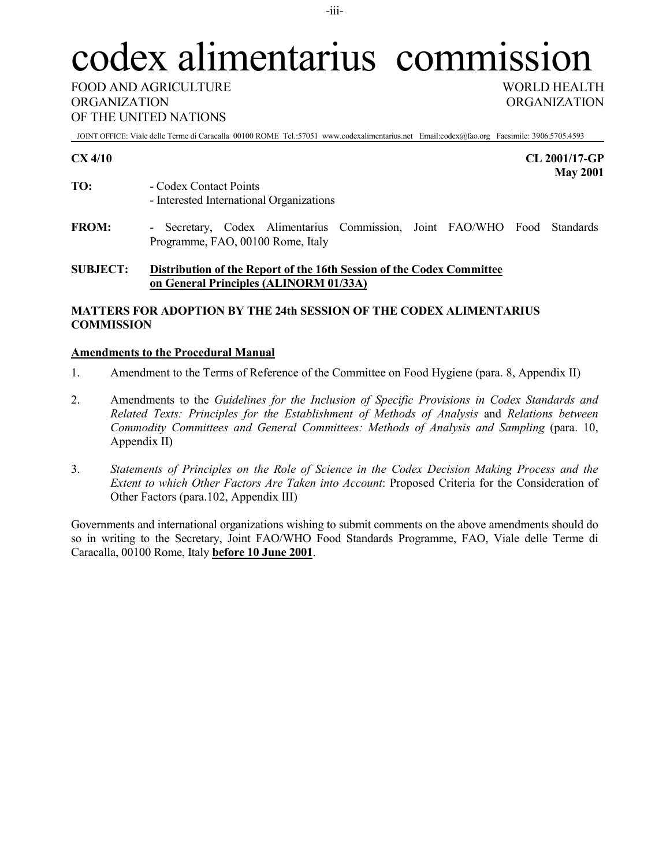# codex alimentarius commission

FOOD AND AGRICULTURE WORLD HEALTH ORGANIZATION ORGANIZATION OF THE UNITED NATIONS

JOINT OFFICE: Viale delle Terme di Caracalla 00100 ROME Tel.:57051 www.codexalimentarius.net Email:codex@fao.org Facsimile: 3906.5705.4593

**CX 4/10 CL 2001/17-GP May 2001**

- **TO:** Codex Contact Points - Interested International Organizations
- **FROM:** Secretary, Codex Alimentarius Commission, Joint FAO/WHO Food Standards Programme, FAO, 00100 Rome, Italy

## **SUBJECT: Distribution of the Report of the 16th Session of the Codex Committee on General Principles (ALINORM 01/33A)**

## **MATTERS FOR ADOPTION BY THE 24th SESSION OF THE CODEX ALIMENTARIUS COMMISSION**

## **Amendments to the Procedural Manual**

- 1. Amendment to the Terms of Reference of the Committee on Food Hygiene (para. 8, Appendix II)
- 2. Amendments to the *Guidelines for the Inclusion of Specific Provisions in Codex Standards and Related Texts: Principles for the Establishment of Methods of Analysis* and *Relations between Commodity Committees and General Committees: Methods of Analysis and Sampling* (para. 10, Appendix II)
- 3. *Statements of Principles on the Role of Science in the Codex Decision Making Process and the Extent to which Other Factors Are Taken into Account*: Proposed Criteria for the Consideration of Other Factors (para.102, Appendix III)

Governments and international organizations wishing to submit comments on the above amendments should do so in writing to the Secretary, Joint FAO/WHO Food Standards Programme, FAO, Viale delle Terme di Caracalla, 00100 Rome, Italy **before 10 June 2001**.

-iii-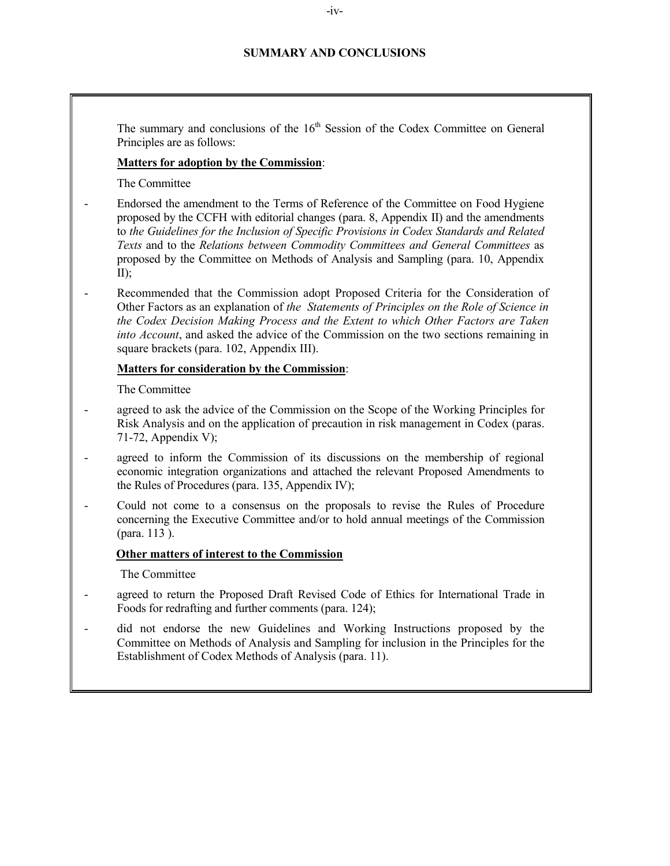## **SUMMARY AND CONCLUSIONS**

The summary and conclusions of the  $16<sup>th</sup>$  Session of the Codex Committee on General Principles are as follows:

## **Matters for adoption by the Commission**:

The Committee

- Endorsed the amendment to the Terms of Reference of the Committee on Food Hygiene proposed by the CCFH with editorial changes (para. 8, Appendix II) and the amendments to *the Guidelines for the Inclusion of Specific Provisions in Codex Standards and Related Texts* and to the *Relations between Commodity Committees and General Committees* as proposed by the Committee on Methods of Analysis and Sampling (para. 10, Appendix  $I$ II);
- Recommended that the Commission adopt Proposed Criteria for the Consideration of Other Factors as an explanation of *the Statements of Principles on the Role of Science in the Codex Decision Making Process and the Extent to which Other Factors are Taken into Account*, and asked the advice of the Commission on the two sections remaining in square brackets (para. 102, Appendix III).

## **Matters for consideration by the Commission**:

The Committee

- agreed to ask the advice of the Commission on the Scope of the Working Principles for Risk Analysis and on the application of precaution in risk management in Codex (paras. 71-72, Appendix V);
- agreed to inform the Commission of its discussions on the membership of regional economic integration organizations and attached the relevant Proposed Amendments to the Rules of Procedures (para. 135, Appendix IV);
- Could not come to a consensus on the proposals to revise the Rules of Procedure concerning the Executive Committee and/or to hold annual meetings of the Commission (para. 113 ).

## **Other matters of interest to the Commission**

The Committee

- agreed to return the Proposed Draft Revised Code of Ethics for International Trade in Foods for redrafting and further comments (para. 124);
- did not endorse the new Guidelines and Working Instructions proposed by the Committee on Methods of Analysis and Sampling for inclusion in the Principles for the Establishment of Codex Methods of Analysis (para. 11).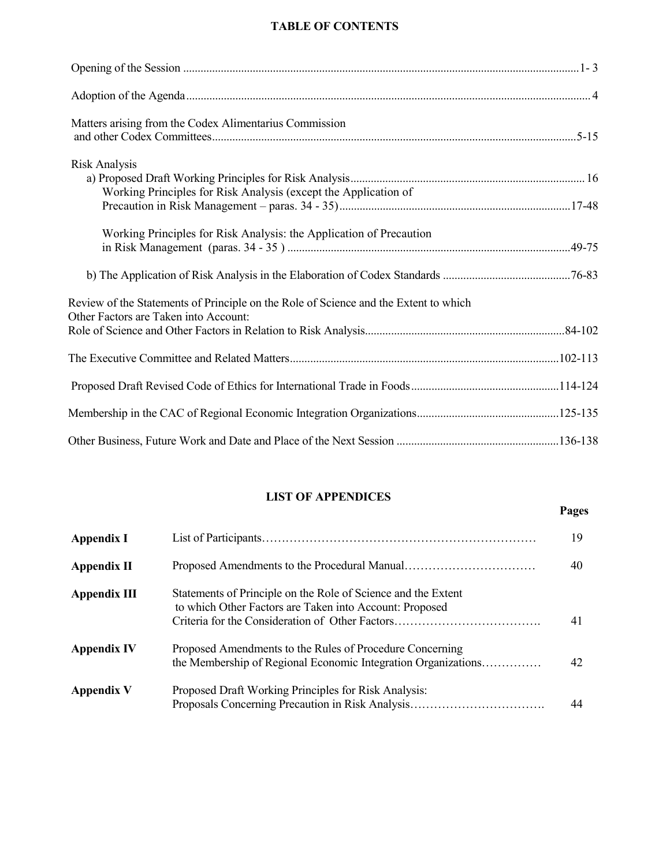# **TABLE OF CONTENTS**

| Matters arising from the Codex Alimentarius Commission                                                                        |  |
|-------------------------------------------------------------------------------------------------------------------------------|--|
| Risk Analysis<br>Working Principles for Risk Analysis (except the Application of                                              |  |
| Working Principles for Risk Analysis: the Application of Precaution                                                           |  |
|                                                                                                                               |  |
| Review of the Statements of Principle on the Role of Science and the Extent to which<br>Other Factors are Taken into Account: |  |
|                                                                                                                               |  |
|                                                                                                                               |  |
|                                                                                                                               |  |
|                                                                                                                               |  |

# **LIST OF APPENDICES**

# **Pages**

| <b>Appendix I</b>   |                                                                                                                           | 19 |
|---------------------|---------------------------------------------------------------------------------------------------------------------------|----|
| <b>Appendix II</b>  |                                                                                                                           | 40 |
| <b>Appendix III</b> | Statements of Principle on the Role of Science and the Extent<br>to which Other Factors are Taken into Account: Proposed  | 41 |
| <b>Appendix IV</b>  | Proposed Amendments to the Rules of Procedure Concerning<br>the Membership of Regional Economic Integration Organizations | 42 |
| <b>Appendix V</b>   | Proposed Draft Working Principles for Risk Analysis:                                                                      | 44 |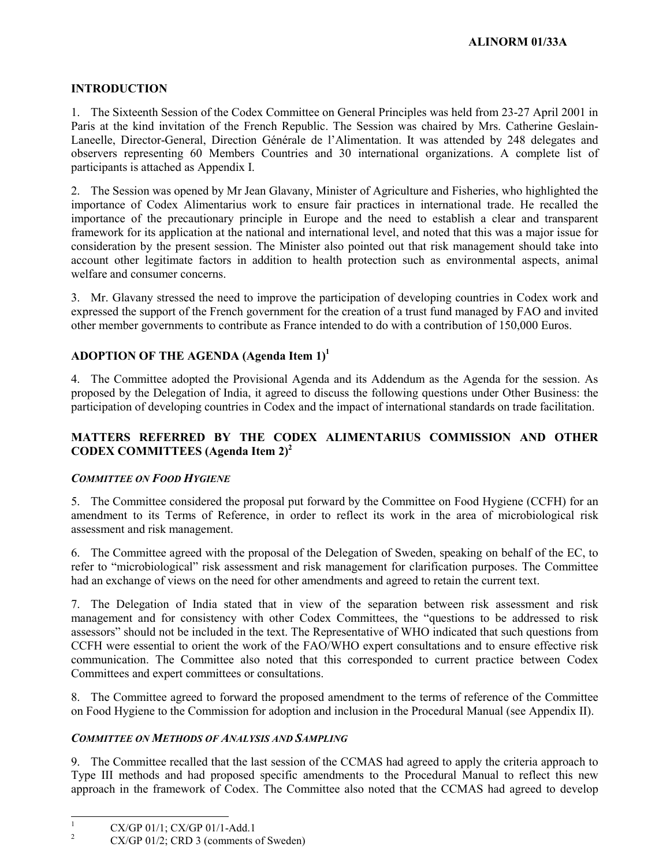# **INTRODUCTION**

1. The Sixteenth Session of the Codex Committee on General Principles was held from 23-27 April 2001 in Paris at the kind invitation of the French Republic. The Session was chaired by Mrs. Catherine Geslain-Laneelle, Director-General, Direction Générale de l'Alimentation. It was attended by 248 delegates and observers representing 60 Members Countries and 30 international organizations. A complete list of participants is attached as Appendix I.

2. The Session was opened by Mr Jean Glavany, Minister of Agriculture and Fisheries, who highlighted the importance of Codex Alimentarius work to ensure fair practices in international trade. He recalled the importance of the precautionary principle in Europe and the need to establish a clear and transparent framework for its application at the national and international level, and noted that this was a major issue for consideration by the present session. The Minister also pointed out that risk management should take into account other legitimate factors in addition to health protection such as environmental aspects, animal welfare and consumer concerns.

3. Mr. Glavany stressed the need to improve the participation of developing countries in Codex work and expressed the support of the French government for the creation of a trust fund managed by FAO and invited other member governments to contribute as France intended to do with a contribution of 150,000 Euros.

# **ADOPTION OF THE AGENDA (Agenda Item 1)<sup>1</sup>**

4. The Committee adopted the Provisional Agenda and its Addendum as the Agenda for the session. As proposed by the Delegation of India, it agreed to discuss the following questions under Other Business: the participation of developing countries in Codex and the impact of international standards on trade facilitation.

# **MATTERS REFERRED BY THE CODEX ALIMENTARIUS COMMISSION AND OTHER CODEX COMMITTEES (Agenda Item 2)2**

## *COMMITTEE ON FOOD HYGIENE*

5. The Committee considered the proposal put forward by the Committee on Food Hygiene (CCFH) for an amendment to its Terms of Reference, in order to reflect its work in the area of microbiological risk assessment and risk management.

6. The Committee agreed with the proposal of the Delegation of Sweden, speaking on behalf of the EC, to refer to "microbiological" risk assessment and risk management for clarification purposes. The Committee had an exchange of views on the need for other amendments and agreed to retain the current text.

7. The Delegation of India stated that in view of the separation between risk assessment and risk management and for consistency with other Codex Committees, the "questions to be addressed to risk assessors" should not be included in the text. The Representative of WHO indicated that such questions from CCFH were essential to orient the work of the FAO/WHO expert consultations and to ensure effective risk communication. The Committee also noted that this corresponded to current practice between Codex Committees and expert committees or consultations.

8. The Committee agreed to forward the proposed amendment to the terms of reference of the Committee on Food Hygiene to the Commission for adoption and inclusion in the Procedural Manual (see Appendix II).

## *COMMITTEE ON METHODS OF ANALYSIS AND SAMPLING*

9. The Committee recalled that the last session of the CCMAS had agreed to apply the criteria approach to Type III methods and had proposed specific amendments to the Procedural Manual to reflect this new approach in the framework of Codex. The Committee also noted that the CCMAS had agreed to develop

 1 CX/GP 01/1; CX/GP 01/1-Add.1

<sup>2</sup> CX/GP 01/2; CRD 3 (comments of Sweden)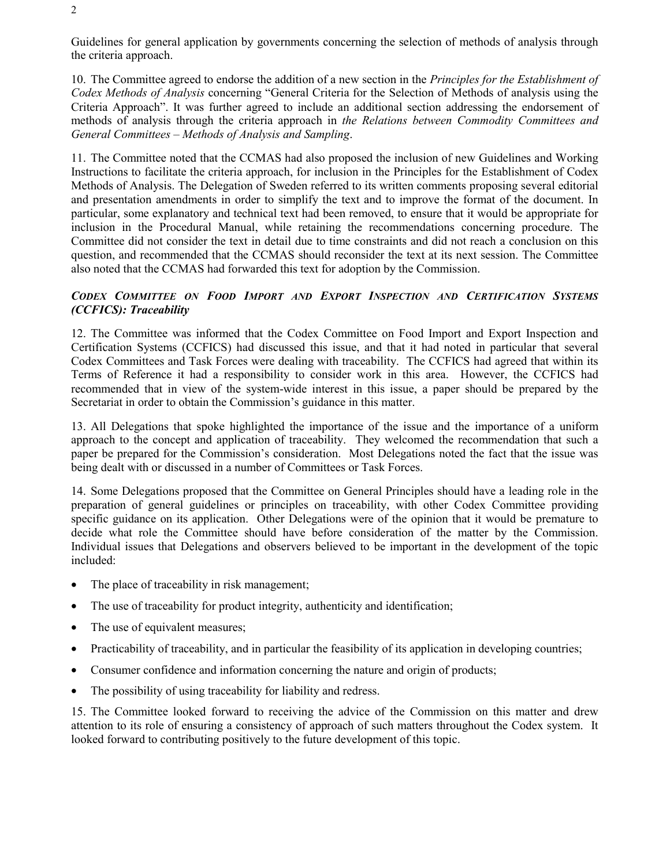Guidelines for general application by governments concerning the selection of methods of analysis through the criteria approach.

10. The Committee agreed to endorse the addition of a new section in the *Principles for the Establishment of Codex Methods of Analysis* concerning "General Criteria for the Selection of Methods of analysis using the Criteria Approach". It was further agreed to include an additional section addressing the endorsement of methods of analysis through the criteria approach in *the Relations between Commodity Committees and General Committees – Methods of Analysis and Sampling*.

11. The Committee noted that the CCMAS had also proposed the inclusion of new Guidelines and Working Instructions to facilitate the criteria approach, for inclusion in the Principles for the Establishment of Codex Methods of Analysis. The Delegation of Sweden referred to its written comments proposing several editorial and presentation amendments in order to simplify the text and to improve the format of the document. In particular, some explanatory and technical text had been removed, to ensure that it would be appropriate for inclusion in the Procedural Manual, while retaining the recommendations concerning procedure. The Committee did not consider the text in detail due to time constraints and did not reach a conclusion on this question, and recommended that the CCMAS should reconsider the text at its next session. The Committee also noted that the CCMAS had forwarded this text for adoption by the Commission.

## *CODEX COMMITTEE ON FOOD IMPORT AND EXPORT INSPECTION AND CERTIFICATION SYSTEMS (CCFICS): Traceability*

12. The Committee was informed that the Codex Committee on Food Import and Export Inspection and Certification Systems (CCFICS) had discussed this issue, and that it had noted in particular that several Codex Committees and Task Forces were dealing with traceability. The CCFICS had agreed that within its Terms of Reference it had a responsibility to consider work in this area. However, the CCFICS had recommended that in view of the system-wide interest in this issue, a paper should be prepared by the Secretariat in order to obtain the Commission's guidance in this matter.

13. All Delegations that spoke highlighted the importance of the issue and the importance of a uniform approach to the concept and application of traceability. They welcomed the recommendation that such a paper be prepared for the Commission's consideration. Most Delegations noted the fact that the issue was being dealt with or discussed in a number of Committees or Task Forces.

14. Some Delegations proposed that the Committee on General Principles should have a leading role in the preparation of general guidelines or principles on traceability, with other Codex Committee providing specific guidance on its application. Other Delegations were of the opinion that it would be premature to decide what role the Committee should have before consideration of the matter by the Commission. Individual issues that Delegations and observers believed to be important in the development of the topic included:

- The place of traceability in risk management;
- The use of traceability for product integrity, authenticity and identification;
- The use of equivalent measures;
- Practicability of traceability, and in particular the feasibility of its application in developing countries;
- Consumer confidence and information concerning the nature and origin of products;
- The possibility of using traceability for liability and redress.

15. The Committee looked forward to receiving the advice of the Commission on this matter and drew attention to its role of ensuring a consistency of approach of such matters throughout the Codex system. It looked forward to contributing positively to the future development of this topic.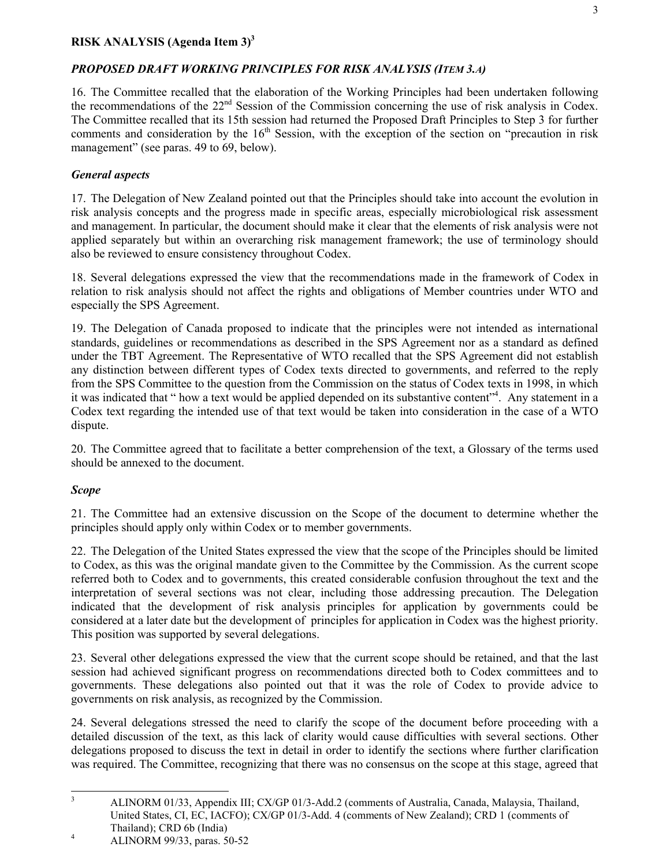# *PROPOSED DRAFT WORKING PRINCIPLES FOR RISK ANALYSIS (ITEM 3.A)*

16. The Committee recalled that the elaboration of the Working Principles had been undertaken following the recommendations of the 22nd Session of the Commission concerning the use of risk analysis in Codex. The Committee recalled that its 15th session had returned the Proposed Draft Principles to Step 3 for further comments and consideration by the  $16<sup>th</sup>$  Session, with the exception of the section on "precaution in risk" management" (see paras. 49 to 69, below).

# *General aspects*

17. The Delegation of New Zealand pointed out that the Principles should take into account the evolution in risk analysis concepts and the progress made in specific areas, especially microbiological risk assessment and management. In particular, the document should make it clear that the elements of risk analysis were not applied separately but within an overarching risk management framework; the use of terminology should also be reviewed to ensure consistency throughout Codex.

18. Several delegations expressed the view that the recommendations made in the framework of Codex in relation to risk analysis should not affect the rights and obligations of Member countries under WTO and especially the SPS Agreement.

19. The Delegation of Canada proposed to indicate that the principles were not intended as international standards, guidelines or recommendations as described in the SPS Agreement nor as a standard as defined under the TBT Agreement. The Representative of WTO recalled that the SPS Agreement did not establish any distinction between different types of Codex texts directed to governments, and referred to the reply from the SPS Committee to the question from the Commission on the status of Codex texts in 1998, in which it was indicated that " how a text would be applied depended on its substantive content"<sup>4</sup>. Any statement in a Codex text regarding the intended use of that text would be taken into consideration in the case of a WTO dispute.

20. The Committee agreed that to facilitate a better comprehension of the text, a Glossary of the terms used should be annexed to the document.

# *Scope*

21. The Committee had an extensive discussion on the Scope of the document to determine whether the principles should apply only within Codex or to member governments.

22. The Delegation of the United States expressed the view that the scope of the Principles should be limited to Codex, as this was the original mandate given to the Committee by the Commission. As the current scope referred both to Codex and to governments, this created considerable confusion throughout the text and the interpretation of several sections was not clear, including those addressing precaution. The Delegation indicated that the development of risk analysis principles for application by governments could be considered at a later date but the development of principles for application in Codex was the highest priority. This position was supported by several delegations.

23. Several other delegations expressed the view that the current scope should be retained, and that the last session had achieved significant progress on recommendations directed both to Codex committees and to governments. These delegations also pointed out that it was the role of Codex to provide advice to governments on risk analysis, as recognized by the Commission.

24. Several delegations stressed the need to clarify the scope of the document before proceeding with a detailed discussion of the text, as this lack of clarity would cause difficulties with several sections. Other delegations proposed to discuss the text in detail in order to identify the sections where further clarification was required. The Committee, recognizing that there was no consensus on the scope at this stage, agreed that

<sup>&</sup>lt;sup>2</sup><br>3 ALINORM 01/33, Appendix III; CX/GP 01/3-Add.2 (comments of Australia, Canada, Malaysia, Thailand, United States, CI, EC, IACFO); CX/GP 01/3-Add. 4 (comments of New Zealand); CRD 1 (comments of Thailand); CRD 6b (India)

ALINORM 99/33, paras. 50-52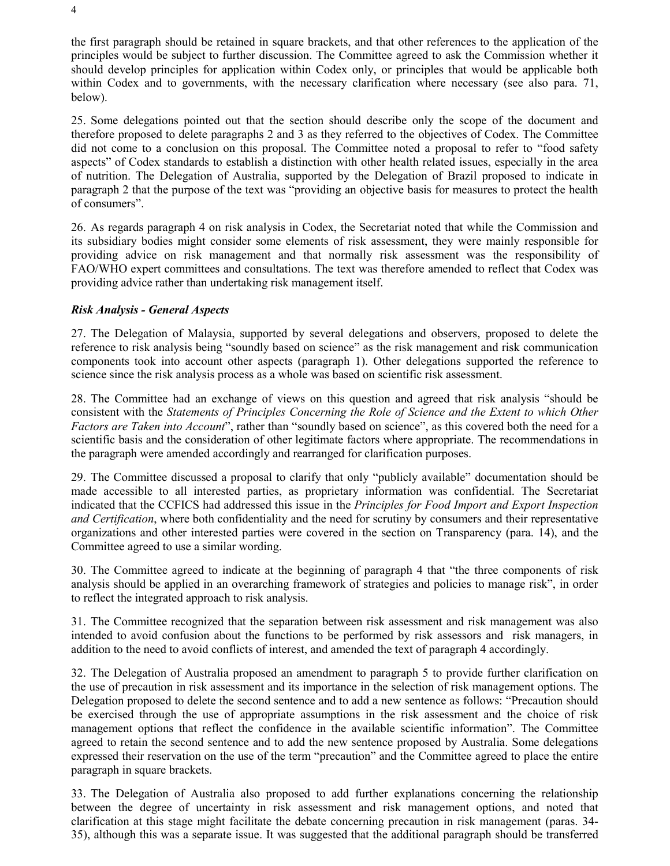the first paragraph should be retained in square brackets, and that other references to the application of the principles would be subject to further discussion. The Committee agreed to ask the Commission whether it should develop principles for application within Codex only, or principles that would be applicable both within Codex and to governments, with the necessary clarification where necessary (see also para. 71, below).

25. Some delegations pointed out that the section should describe only the scope of the document and therefore proposed to delete paragraphs 2 and 3 as they referred to the objectives of Codex. The Committee did not come to a conclusion on this proposal. The Committee noted a proposal to refer to "food safety aspects" of Codex standards to establish a distinction with other health related issues, especially in the area of nutrition. The Delegation of Australia, supported by the Delegation of Brazil proposed to indicate in paragraph 2 that the purpose of the text was "providing an objective basis for measures to protect the health of consumers".

26. As regards paragraph 4 on risk analysis in Codex, the Secretariat noted that while the Commission and its subsidiary bodies might consider some elements of risk assessment, they were mainly responsible for providing advice on risk management and that normally risk assessment was the responsibility of FAO/WHO expert committees and consultations. The text was therefore amended to reflect that Codex was providing advice rather than undertaking risk management itself.

# *Risk Analysis - General Aspects*

27. The Delegation of Malaysia, supported by several delegations and observers, proposed to delete the reference to risk analysis being "soundly based on science" as the risk management and risk communication components took into account other aspects (paragraph 1). Other delegations supported the reference to science since the risk analysis process as a whole was based on scientific risk assessment.

28. The Committee had an exchange of views on this question and agreed that risk analysis "should be consistent with the *Statements of Principles Concerning the Role of Science and the Extent to which Other Factors are Taken into Account*", rather than "soundly based on science", as this covered both the need for a scientific basis and the consideration of other legitimate factors where appropriate. The recommendations in the paragraph were amended accordingly and rearranged for clarification purposes.

29. The Committee discussed a proposal to clarify that only "publicly available" documentation should be made accessible to all interested parties, as proprietary information was confidential. The Secretariat indicated that the CCFICS had addressed this issue in the *Principles for Food Import and Export Inspection and Certification*, where both confidentiality and the need for scrutiny by consumers and their representative organizations and other interested parties were covered in the section on Transparency (para. 14), and the Committee agreed to use a similar wording.

30. The Committee agreed to indicate at the beginning of paragraph 4 that "the three components of risk analysis should be applied in an overarching framework of strategies and policies to manage risk", in order to reflect the integrated approach to risk analysis.

31. The Committee recognized that the separation between risk assessment and risk management was also intended to avoid confusion about the functions to be performed by risk assessors and risk managers, in addition to the need to avoid conflicts of interest, and amended the text of paragraph 4 accordingly.

32. The Delegation of Australia proposed an amendment to paragraph 5 to provide further clarification on the use of precaution in risk assessment and its importance in the selection of risk management options. The Delegation proposed to delete the second sentence and to add a new sentence as follows: "Precaution should be exercised through the use of appropriate assumptions in the risk assessment and the choice of risk management options that reflect the confidence in the available scientific information". The Committee agreed to retain the second sentence and to add the new sentence proposed by Australia. Some delegations expressed their reservation on the use of the term "precaution" and the Committee agreed to place the entire paragraph in square brackets.

33. The Delegation of Australia also proposed to add further explanations concerning the relationship between the degree of uncertainty in risk assessment and risk management options, and noted that clarification at this stage might facilitate the debate concerning precaution in risk management (paras. 34- 35), although this was a separate issue. It was suggested that the additional paragraph should be transferred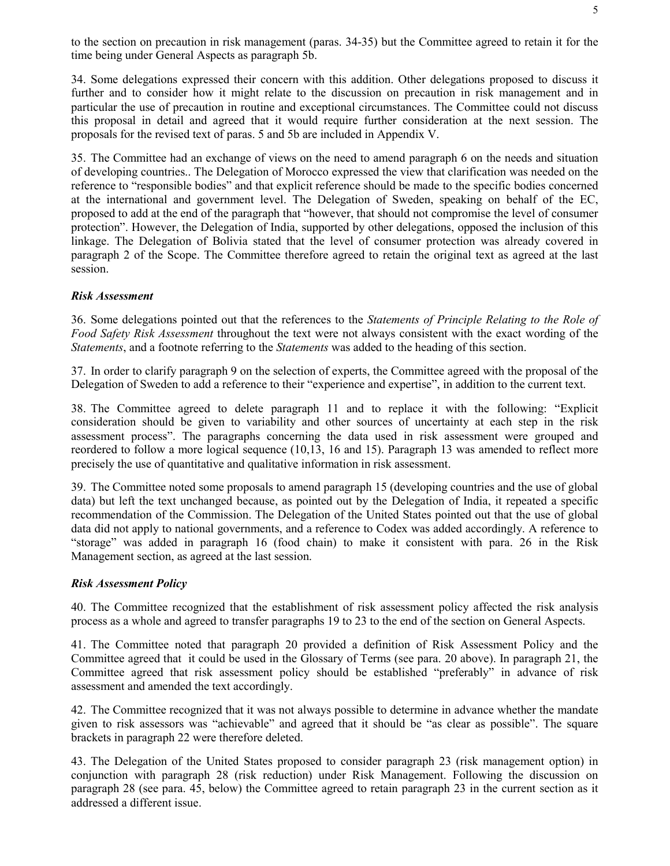to the section on precaution in risk management (paras. 34-35) but the Committee agreed to retain it for the time being under General Aspects as paragraph 5b.

34. Some delegations expressed their concern with this addition. Other delegations proposed to discuss it further and to consider how it might relate to the discussion on precaution in risk management and in particular the use of precaution in routine and exceptional circumstances. The Committee could not discuss this proposal in detail and agreed that it would require further consideration at the next session. The proposals for the revised text of paras. 5 and 5b are included in Appendix V.

35. The Committee had an exchange of views on the need to amend paragraph 6 on the needs and situation of developing countries.. The Delegation of Morocco expressed the view that clarification was needed on the reference to "responsible bodies" and that explicit reference should be made to the specific bodies concerned at the international and government level. The Delegation of Sweden, speaking on behalf of the EC, proposed to add at the end of the paragraph that "however, that should not compromise the level of consumer protection". However, the Delegation of India, supported by other delegations, opposed the inclusion of this linkage. The Delegation of Bolivia stated that the level of consumer protection was already covered in paragraph 2 of the Scope. The Committee therefore agreed to retain the original text as agreed at the last session.

## *Risk Assessment*

36. Some delegations pointed out that the references to the *Statements of Principle Relating to the Role of Food Safety Risk Assessment* throughout the text were not always consistent with the exact wording of the *Statements*, and a footnote referring to the *Statements* was added to the heading of this section.

37. In order to clarify paragraph 9 on the selection of experts, the Committee agreed with the proposal of the Delegation of Sweden to add a reference to their "experience and expertise", in addition to the current text.

38. The Committee agreed to delete paragraph 11 and to replace it with the following: "Explicit consideration should be given to variability and other sources of uncertainty at each step in the risk assessment process". The paragraphs concerning the data used in risk assessment were grouped and reordered to follow a more logical sequence (10,13, 16 and 15). Paragraph 13 was amended to reflect more precisely the use of quantitative and qualitative information in risk assessment.

39. The Committee noted some proposals to amend paragraph 15 (developing countries and the use of global data) but left the text unchanged because, as pointed out by the Delegation of India, it repeated a specific recommendation of the Commission. The Delegation of the United States pointed out that the use of global data did not apply to national governments, and a reference to Codex was added accordingly. A reference to "storage" was added in paragraph 16 (food chain) to make it consistent with para. 26 in the Risk Management section, as agreed at the last session.

## *Risk Assessment Policy*

40. The Committee recognized that the establishment of risk assessment policy affected the risk analysis process as a whole and agreed to transfer paragraphs 19 to 23 to the end of the section on General Aspects.

41. The Committee noted that paragraph 20 provided a definition of Risk Assessment Policy and the Committee agreed that it could be used in the Glossary of Terms (see para. 20 above). In paragraph 21, the Committee agreed that risk assessment policy should be established "preferably" in advance of risk assessment and amended the text accordingly.

42. The Committee recognized that it was not always possible to determine in advance whether the mandate given to risk assessors was "achievable" and agreed that it should be "as clear as possible". The square brackets in paragraph 22 were therefore deleted.

43. The Delegation of the United States proposed to consider paragraph 23 (risk management option) in conjunction with paragraph 28 (risk reduction) under Risk Management. Following the discussion on paragraph 28 (see para. 45, below) the Committee agreed to retain paragraph 23 in the current section as it addressed a different issue.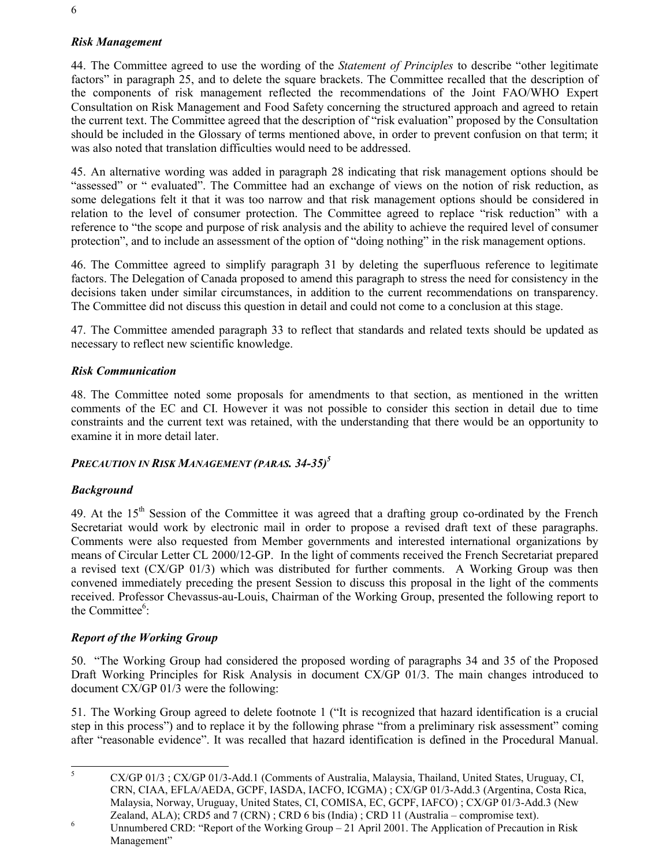# *Risk Management*

44. The Committee agreed to use the wording of the *Statement of Principles* to describe "other legitimate factors" in paragraph 25, and to delete the square brackets. The Committee recalled that the description of the components of risk management reflected the recommendations of the Joint FAO/WHO Expert Consultation on Risk Management and Food Safety concerning the structured approach and agreed to retain the current text. The Committee agreed that the description of "risk evaluation" proposed by the Consultation should be included in the Glossary of terms mentioned above, in order to prevent confusion on that term; it was also noted that translation difficulties would need to be addressed.

45. An alternative wording was added in paragraph 28 indicating that risk management options should be "assessed" or " evaluated". The Committee had an exchange of views on the notion of risk reduction, as some delegations felt it that it was too narrow and that risk management options should be considered in relation to the level of consumer protection. The Committee agreed to replace "risk reduction" with a reference to "the scope and purpose of risk analysis and the ability to achieve the required level of consumer protection", and to include an assessment of the option of "doing nothing" in the risk management options.

46. The Committee agreed to simplify paragraph 31 by deleting the superfluous reference to legitimate factors. The Delegation of Canada proposed to amend this paragraph to stress the need for consistency in the decisions taken under similar circumstances, in addition to the current recommendations on transparency. The Committee did not discuss this question in detail and could not come to a conclusion at this stage.

47. The Committee amended paragraph 33 to reflect that standards and related texts should be updated as necessary to reflect new scientific knowledge.

# *Risk Communication*

48. The Committee noted some proposals for amendments to that section, as mentioned in the written comments of the EC and CI. However it was not possible to consider this section in detail due to time constraints and the current text was retained, with the understanding that there would be an opportunity to examine it in more detail later.

# PRECAUTION IN RISK MANAGEMENT (PARAS. 34-35)<sup>5</sup>

# *Background*

49. At the  $15<sup>th</sup>$  Session of the Committee it was agreed that a drafting group co-ordinated by the French Secretariat would work by electronic mail in order to propose a revised draft text of these paragraphs. Comments were also requested from Member governments and interested international organizations by means of Circular Letter CL 2000/12-GP. In the light of comments received the French Secretariat prepared a revised text (CX/GP 01/3) which was distributed for further comments. A Working Group was then convened immediately preceding the present Session to discuss this proposal in the light of the comments received. Professor Chevassus-au-Louis, Chairman of the Working Group, presented the following report to the Committee<sup>6</sup>:

## *Report of the Working Group*

50. "The Working Group had considered the proposed wording of paragraphs 34 and 35 of the Proposed Draft Working Principles for Risk Analysis in document CX/GP 01/3. The main changes introduced to document CX/GP 01/3 were the following:

51. The Working Group agreed to delete footnote 1 ("It is recognized that hazard identification is a crucial step in this process") and to replace it by the following phrase "from a preliminary risk assessment" coming after "reasonable evidence". It was recalled that hazard identification is defined in the Procedural Manual.

 5 CX/GP 01/3 ; CX/GP 01/3-Add.1 (Comments of Australia, Malaysia, Thailand, United States, Uruguay, CI, CRN, CIAA, EFLA/AEDA, GCPF, IASDA, IACFO, ICGMA) ; CX/GP 01/3-Add.3 (Argentina, Costa Rica, Malaysia, Norway, Uruguay, United States, CI, COMISA, EC, GCPF, IAFCO) ; CX/GP 01/3-Add.3 (New Zealand, ALA); CRD5 and 7 (CRN); CRD 6 bis (India); CRD 11 (Australia – compromise text).

Unnumbered CRD: "Report of the Working Group – 21 April 2001. The Application of Precaution in Risk Management"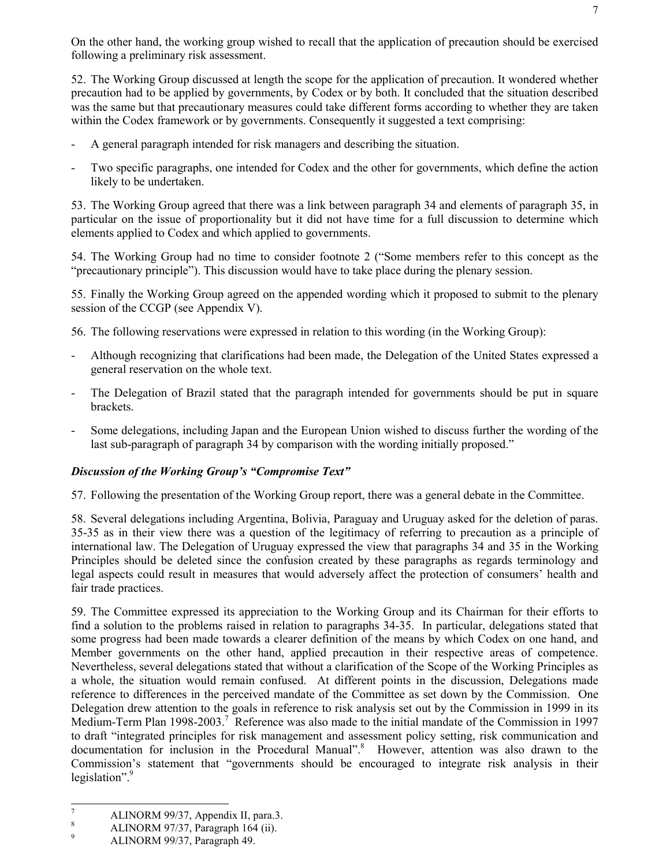On the other hand, the working group wished to recall that the application of precaution should be exercised following a preliminary risk assessment.

52. The Working Group discussed at length the scope for the application of precaution. It wondered whether precaution had to be applied by governments, by Codex or by both. It concluded that the situation described was the same but that precautionary measures could take different forms according to whether they are taken within the Codex framework or by governments. Consequently it suggested a text comprising:

- A general paragraph intended for risk managers and describing the situation.
- Two specific paragraphs, one intended for Codex and the other for governments, which define the action likely to be undertaken.

53. The Working Group agreed that there was a link between paragraph 34 and elements of paragraph 35, in particular on the issue of proportionality but it did not have time for a full discussion to determine which elements applied to Codex and which applied to governments.

54. The Working Group had no time to consider footnote 2 ("Some members refer to this concept as the "precautionary principle"). This discussion would have to take place during the plenary session.

55. Finally the Working Group agreed on the appended wording which it proposed to submit to the plenary session of the CCGP (see Appendix V).

56. The following reservations were expressed in relation to this wording (in the Working Group):

- Although recognizing that clarifications had been made, the Delegation of the United States expressed a general reservation on the whole text.
- The Delegation of Brazil stated that the paragraph intended for governments should be put in square brackets.
- Some delegations, including Japan and the European Union wished to discuss further the wording of the last sub-paragraph of paragraph 34 by comparison with the wording initially proposed."

## *Discussion of the Working Group's "Compromise Text"*

57. Following the presentation of the Working Group report, there was a general debate in the Committee.

58. Several delegations including Argentina, Bolivia, Paraguay and Uruguay asked for the deletion of paras. 35-35 as in their view there was a question of the legitimacy of referring to precaution as a principle of international law. The Delegation of Uruguay expressed the view that paragraphs 34 and 35 in the Working Principles should be deleted since the confusion created by these paragraphs as regards terminology and legal aspects could result in measures that would adversely affect the protection of consumers' health and fair trade practices.

59. The Committee expressed its appreciation to the Working Group and its Chairman for their efforts to find a solution to the problems raised in relation to paragraphs 34-35. In particular, delegations stated that some progress had been made towards a clearer definition of the means by which Codex on one hand, and Member governments on the other hand, applied precaution in their respective areas of competence. Nevertheless, several delegations stated that without a clarification of the Scope of the Working Principles as a whole, the situation would remain confused. At different points in the discussion, Delegations made reference to differences in the perceived mandate of the Committee as set down by the Commission. One Delegation drew attention to the goals in reference to risk analysis set out by the Commission in 1999 in its Medium-Term Plan 1998-2003.<sup>7</sup> Reference was also made to the initial mandate of the Commission in 1997 to draft "integrated principles for risk management and assessment policy setting, risk communication and documentation for inclusion in the Procedural Manual".<sup>8</sup> However, attention was also drawn to the Commission's statement that "governments should be encouraged to integrate risk analysis in their legislation". $9$ 

<sup>7</sup> ALINORM 99/37, Appendix II, para.3.

<sup>8</sup> ALINORM 97/37, Paragraph 164 (ii).

<sup>9</sup> ALINORM 99/37, Paragraph 49.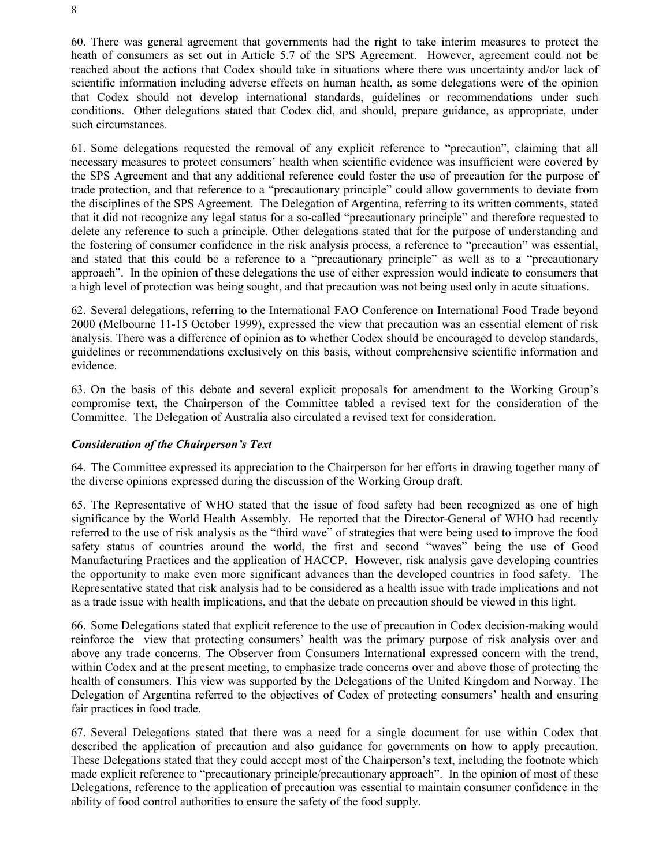60. There was general agreement that governments had the right to take interim measures to protect the heath of consumers as set out in Article 5.7 of the SPS Agreement. However, agreement could not be reached about the actions that Codex should take in situations where there was uncertainty and/or lack of scientific information including adverse effects on human health, as some delegations were of the opinion that Codex should not develop international standards, guidelines or recommendations under such conditions. Other delegations stated that Codex did, and should, prepare guidance, as appropriate, under such circumstances.

61. Some delegations requested the removal of any explicit reference to "precaution", claiming that all necessary measures to protect consumers' health when scientific evidence was insufficient were covered by the SPS Agreement and that any additional reference could foster the use of precaution for the purpose of trade protection, and that reference to a "precautionary principle" could allow governments to deviate from the disciplines of the SPS Agreement. The Delegation of Argentina, referring to its written comments, stated that it did not recognize any legal status for a so-called "precautionary principle" and therefore requested to delete any reference to such a principle. Other delegations stated that for the purpose of understanding and the fostering of consumer confidence in the risk analysis process, a reference to "precaution" was essential, and stated that this could be a reference to a "precautionary principle" as well as to a "precautionary approach". In the opinion of these delegations the use of either expression would indicate to consumers that a high level of protection was being sought, and that precaution was not being used only in acute situations.

62. Several delegations, referring to the International FAO Conference on International Food Trade beyond 2000 (Melbourne 11-15 October 1999), expressed the view that precaution was an essential element of risk analysis. There was a difference of opinion as to whether Codex should be encouraged to develop standards, guidelines or recommendations exclusively on this basis, without comprehensive scientific information and evidence.

63. On the basis of this debate and several explicit proposals for amendment to the Working Group's compromise text, the Chairperson of the Committee tabled a revised text for the consideration of the Committee. The Delegation of Australia also circulated a revised text for consideration.

# *Consideration of the Chairperson's Text*

64. The Committee expressed its appreciation to the Chairperson for her efforts in drawing together many of the diverse opinions expressed during the discussion of the Working Group draft.

65. The Representative of WHO stated that the issue of food safety had been recognized as one of high significance by the World Health Assembly. He reported that the Director-General of WHO had recently referred to the use of risk analysis as the "third wave" of strategies that were being used to improve the food safety status of countries around the world, the first and second "waves" being the use of Good Manufacturing Practices and the application of HACCP. However, risk analysis gave developing countries the opportunity to make even more significant advances than the developed countries in food safety. The Representative stated that risk analysis had to be considered as a health issue with trade implications and not as a trade issue with health implications, and that the debate on precaution should be viewed in this light.

66. Some Delegations stated that explicit reference to the use of precaution in Codex decision-making would reinforce the view that protecting consumers' health was the primary purpose of risk analysis over and above any trade concerns. The Observer from Consumers International expressed concern with the trend, within Codex and at the present meeting, to emphasize trade concerns over and above those of protecting the health of consumers. This view was supported by the Delegations of the United Kingdom and Norway. The Delegation of Argentina referred to the objectives of Codex of protecting consumers' health and ensuring fair practices in food trade.

67. Several Delegations stated that there was a need for a single document for use within Codex that described the application of precaution and also guidance for governments on how to apply precaution. These Delegations stated that they could accept most of the Chairperson's text, including the footnote which made explicit reference to "precautionary principle/precautionary approach". In the opinion of most of these Delegations, reference to the application of precaution was essential to maintain consumer confidence in the ability of food control authorities to ensure the safety of the food supply.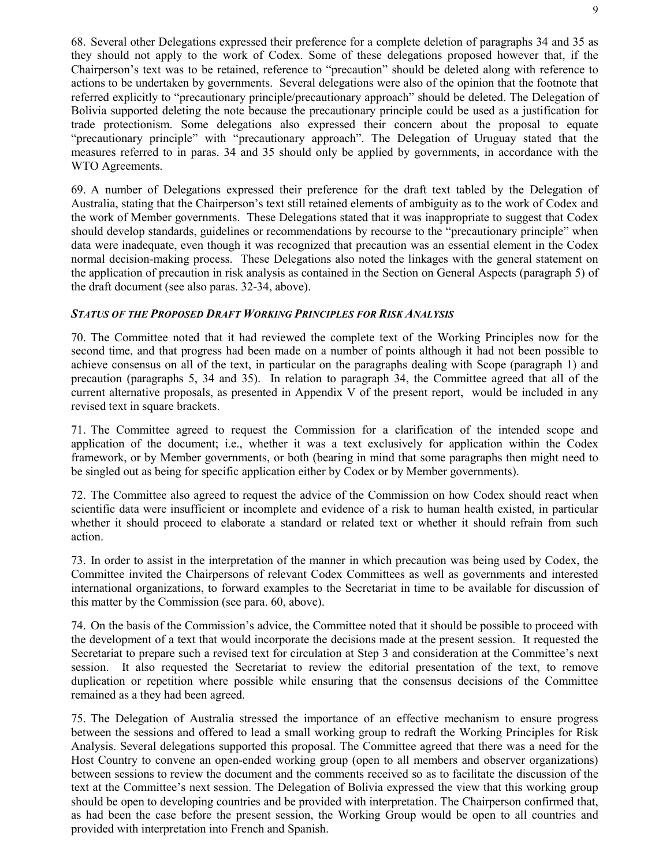68. Several other Delegations expressed their preference for a complete deletion of paragraphs 34 and 35 as they should not apply to the work of Codex. Some of these delegations proposed however that, if the Chairperson's text was to be retained, reference to "precaution" should be deleted along with reference to actions to be undertaken by governments. Several delegations were also of the opinion that the footnote that referred explicitly to "precautionary principle/precautionary approach" should be deleted. The Delegation of Bolivia supported deleting the note because the precautionary principle could be used as a justification for trade protectionism. Some delegations also expressed their concern about the proposal to equate "precautionary principle" with "precautionary approach". The Delegation of Uruguay stated that the measures referred to in paras. 34 and 35 should only be applied by governments, in accordance with the WTO Agreements.

69. A number of Delegations expressed their preference for the draft text tabled by the Delegation of Australia, stating that the Chairperson's text still retained elements of ambiguity as to the work of Codex and the work of Member governments. These Delegations stated that it was inappropriate to suggest that Codex should develop standards, guidelines or recommendations by recourse to the "precautionary principle" when data were inadequate, even though it was recognized that precaution was an essential element in the Codex normal decision-making process. These Delegations also noted the linkages with the general statement on the application of precaution in risk analysis as contained in the Section on General Aspects (paragraph 5) of the draft document (see also paras. 32-34, above).

## *STATUS OF THE PROPOSED DRAFT WORKING PRINCIPLES FOR RISK ANALYSIS*

70. The Committee noted that it had reviewed the complete text of the Working Principles now for the second time, and that progress had been made on a number of points although it had not been possible to achieve consensus on all of the text, in particular on the paragraphs dealing with Scope (paragraph 1) and precaution (paragraphs 5, 34 and 35). In relation to paragraph 34, the Committee agreed that all of the current alternative proposals, as presented in Appendix V of the present report, would be included in any revised text in square brackets.

71. The Committee agreed to request the Commission for a clarification of the intended scope and application of the document; i.e., whether it was a text exclusively for application within the Codex framework, or by Member governments, or both (bearing in mind that some paragraphs then might need to be singled out as being for specific application either by Codex or by Member governments).

72. The Committee also agreed to request the advice of the Commission on how Codex should react when scientific data were insufficient or incomplete and evidence of a risk to human health existed, in particular whether it should proceed to elaborate a standard or related text or whether it should refrain from such action.

73. In order to assist in the interpretation of the manner in which precaution was being used by Codex, the Committee invited the Chairpersons of relevant Codex Committees as well as governments and interested international organizations, to forward examples to the Secretariat in time to be available for discussion of this matter by the Commission (see para. 60, above).

74. On the basis of the Commission's advice, the Committee noted that it should be possible to proceed with the development of a text that would incorporate the decisions made at the present session. It requested the Secretariat to prepare such a revised text for circulation at Step 3 and consideration at the Committee's next session. It also requested the Secretariat to review the editorial presentation of the text, to remove duplication or repetition where possible while ensuring that the consensus decisions of the Committee remained as a they had been agreed.

75. The Delegation of Australia stressed the importance of an effective mechanism to ensure progress between the sessions and offered to lead a small working group to redraft the Working Principles for Risk Analysis. Several delegations supported this proposal. The Committee agreed that there was a need for the Host Country to convene an open-ended working group (open to all members and observer organizations) between sessions to review the document and the comments received so as to facilitate the discussion of the text at the Committee's next session. The Delegation of Bolivia expressed the view that this working group should be open to developing countries and be provided with interpretation. The Chairperson confirmed that, as had been the case before the present session, the Working Group would be open to all countries and provided with interpretation into French and Spanish.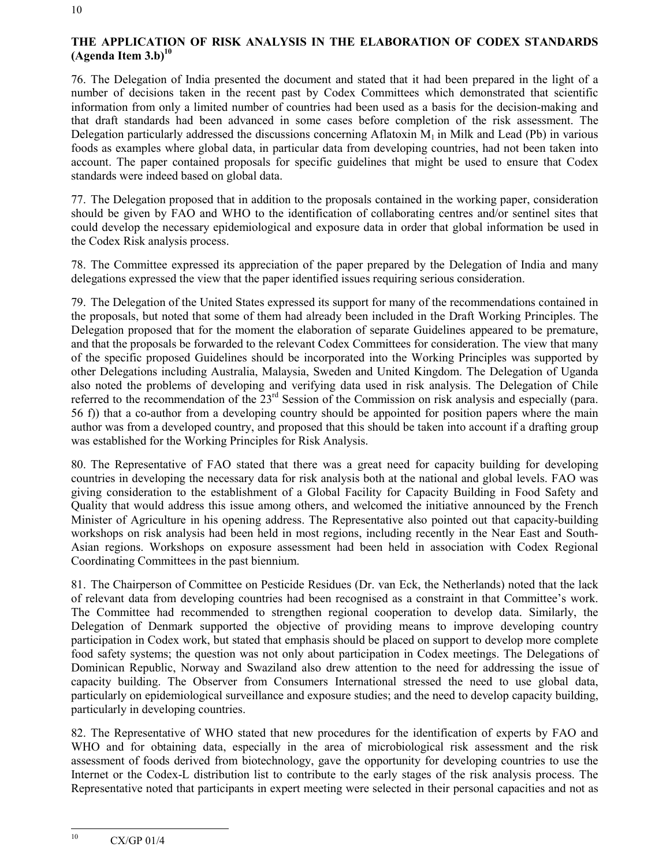# **THE APPLICATION OF RISK ANALYSIS IN THE ELABORATION OF CODEX STANDARDS**  $(A$ genda Item  $3.b$ <sup>10</sup>

76. The Delegation of India presented the document and stated that it had been prepared in the light of a number of decisions taken in the recent past by Codex Committees which demonstrated that scientific information from only a limited number of countries had been used as a basis for the decision-making and that draft standards had been advanced in some cases before completion of the risk assessment. The Delegation particularly addressed the discussions concerning Aflatoxin  $M_1$  in Milk and Lead (Pb) in various foods as examples where global data, in particular data from developing countries, had not been taken into account. The paper contained proposals for specific guidelines that might be used to ensure that Codex standards were indeed based on global data.

77. The Delegation proposed that in addition to the proposals contained in the working paper, consideration should be given by FAO and WHO to the identification of collaborating centres and/or sentinel sites that could develop the necessary epidemiological and exposure data in order that global information be used in the Codex Risk analysis process.

78. The Committee expressed its appreciation of the paper prepared by the Delegation of India and many delegations expressed the view that the paper identified issues requiring serious consideration.

79. The Delegation of the United States expressed its support for many of the recommendations contained in the proposals, but noted that some of them had already been included in the Draft Working Principles. The Delegation proposed that for the moment the elaboration of separate Guidelines appeared to be premature, and that the proposals be forwarded to the relevant Codex Committees for consideration. The view that many of the specific proposed Guidelines should be incorporated into the Working Principles was supported by other Delegations including Australia, Malaysia, Sweden and United Kingdom. The Delegation of Uganda also noted the problems of developing and verifying data used in risk analysis. The Delegation of Chile referred to the recommendation of the 23<sup>rd</sup> Session of the Commission on risk analysis and especially (para. 56 f)) that a co-author from a developing country should be appointed for position papers where the main author was from a developed country, and proposed that this should be taken into account if a drafting group was established for the Working Principles for Risk Analysis.

80. The Representative of FAO stated that there was a great need for capacity building for developing countries in developing the necessary data for risk analysis both at the national and global levels. FAO was giving consideration to the establishment of a Global Facility for Capacity Building in Food Safety and Quality that would address this issue among others, and welcomed the initiative announced by the French Minister of Agriculture in his opening address. The Representative also pointed out that capacity-building workshops on risk analysis had been held in most regions, including recently in the Near East and South-Asian regions. Workshops on exposure assessment had been held in association with Codex Regional Coordinating Committees in the past biennium.

81. The Chairperson of Committee on Pesticide Residues (Dr. van Eck, the Netherlands) noted that the lack of relevant data from developing countries had been recognised as a constraint in that Committee's work. The Committee had recommended to strengthen regional cooperation to develop data. Similarly, the Delegation of Denmark supported the objective of providing means to improve developing country participation in Codex work, but stated that emphasis should be placed on support to develop more complete food safety systems; the question was not only about participation in Codex meetings. The Delegations of Dominican Republic, Norway and Swaziland also drew attention to the need for addressing the issue of capacity building. The Observer from Consumers International stressed the need to use global data, particularly on epidemiological surveillance and exposure studies; and the need to develop capacity building, particularly in developing countries.

82. The Representative of WHO stated that new procedures for the identification of experts by FAO and WHO and for obtaining data, especially in the area of microbiological risk assessment and the risk assessment of foods derived from biotechnology, gave the opportunity for developing countries to use the Internet or the Codex-L distribution list to contribute to the early stages of the risk analysis process. The Representative noted that participants in expert meeting were selected in their personal capacities and not as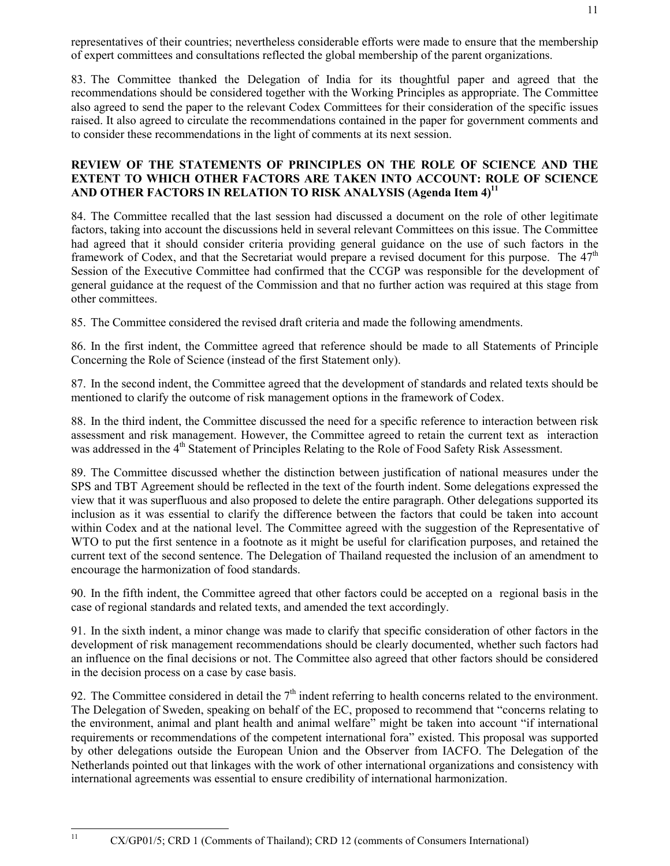representatives of their countries; nevertheless considerable efforts were made to ensure that the membership of expert committees and consultations reflected the global membership of the parent organizations.

83. The Committee thanked the Delegation of India for its thoughtful paper and agreed that the recommendations should be considered together with the Working Principles as appropriate. The Committee also agreed to send the paper to the relevant Codex Committees for their consideration of the specific issues raised. It also agreed to circulate the recommendations contained in the paper for government comments and to consider these recommendations in the light of comments at its next session.

# **REVIEW OF THE STATEMENTS OF PRINCIPLES ON THE ROLE OF SCIENCE AND THE EXTENT TO WHICH OTHER FACTORS ARE TAKEN INTO ACCOUNT: ROLE OF SCIENCE AND OTHER FACTORS IN RELATION TO RISK ANALYSIS (Agenda Item 4)11**

84. The Committee recalled that the last session had discussed a document on the role of other legitimate factors, taking into account the discussions held in several relevant Committees on this issue. The Committee had agreed that it should consider criteria providing general guidance on the use of such factors in the framework of Codex, and that the Secretariat would prepare a revised document for this purpose. The  $47<sup>th</sup>$ Session of the Executive Committee had confirmed that the CCGP was responsible for the development of general guidance at the request of the Commission and that no further action was required at this stage from other committees.

85. The Committee considered the revised draft criteria and made the following amendments.

86. In the first indent, the Committee agreed that reference should be made to all Statements of Principle Concerning the Role of Science (instead of the first Statement only).

87. In the second indent, the Committee agreed that the development of standards and related texts should be mentioned to clarify the outcome of risk management options in the framework of Codex.

88. In the third indent, the Committee discussed the need for a specific reference to interaction between risk assessment and risk management. However, the Committee agreed to retain the current text as interaction was addressed in the 4<sup>th</sup> Statement of Principles Relating to the Role of Food Safety Risk Assessment.

89. The Committee discussed whether the distinction between justification of national measures under the SPS and TBT Agreement should be reflected in the text of the fourth indent. Some delegations expressed the view that it was superfluous and also proposed to delete the entire paragraph. Other delegations supported its inclusion as it was essential to clarify the difference between the factors that could be taken into account within Codex and at the national level. The Committee agreed with the suggestion of the Representative of WTO to put the first sentence in a footnote as it might be useful for clarification purposes, and retained the current text of the second sentence. The Delegation of Thailand requested the inclusion of an amendment to encourage the harmonization of food standards.

90. In the fifth indent, the Committee agreed that other factors could be accepted on a regional basis in the case of regional standards and related texts, and amended the text accordingly.

91. In the sixth indent, a minor change was made to clarify that specific consideration of other factors in the development of risk management recommendations should be clearly documented, whether such factors had an influence on the final decisions or not. The Committee also agreed that other factors should be considered in the decision process on a case by case basis.

92. The Committee considered in detail the  $7<sup>th</sup>$  indent referring to health concerns related to the environment. The Delegation of Sweden, speaking on behalf of the EC, proposed to recommend that "concerns relating to the environment, animal and plant health and animal welfare" might be taken into account "if international requirements or recommendations of the competent international fora" existed. This proposal was supported by other delegations outside the European Union and the Observer from IACFO. The Delegation of the Netherlands pointed out that linkages with the work of other international organizations and consistency with international agreements was essential to ensure credibility of international harmonization.

 $\overline{11}$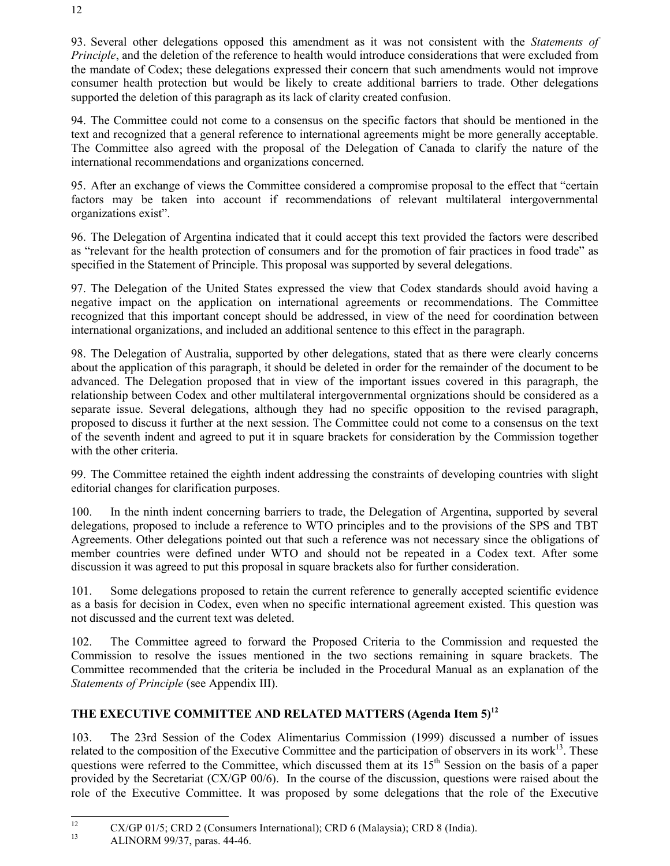93. Several other delegations opposed this amendment as it was not consistent with the *Statements of Principle*, and the deletion of the reference to health would introduce considerations that were excluded from the mandate of Codex; these delegations expressed their concern that such amendments would not improve consumer health protection but would be likely to create additional barriers to trade. Other delegations supported the deletion of this paragraph as its lack of clarity created confusion.

94. The Committee could not come to a consensus on the specific factors that should be mentioned in the text and recognized that a general reference to international agreements might be more generally acceptable. The Committee also agreed with the proposal of the Delegation of Canada to clarify the nature of the international recommendations and organizations concerned.

95. After an exchange of views the Committee considered a compromise proposal to the effect that "certain factors may be taken into account if recommendations of relevant multilateral intergovernmental organizations exist".

96. The Delegation of Argentina indicated that it could accept this text provided the factors were described as "relevant for the health protection of consumers and for the promotion of fair practices in food trade" as specified in the Statement of Principle. This proposal was supported by several delegations.

97. The Delegation of the United States expressed the view that Codex standards should avoid having a negative impact on the application on international agreements or recommendations. The Committee recognized that this important concept should be addressed, in view of the need for coordination between international organizations, and included an additional sentence to this effect in the paragraph.

98. The Delegation of Australia, supported by other delegations, stated that as there were clearly concerns about the application of this paragraph, it should be deleted in order for the remainder of the document to be advanced. The Delegation proposed that in view of the important issues covered in this paragraph, the relationship between Codex and other multilateral intergovernmental orgnizations should be considered as a separate issue. Several delegations, although they had no specific opposition to the revised paragraph, proposed to discuss it further at the next session. The Committee could not come to a consensus on the text of the seventh indent and agreed to put it in square brackets for consideration by the Commission together with the other criteria.

99. The Committee retained the eighth indent addressing the constraints of developing countries with slight editorial changes for clarification purposes.

100. In the ninth indent concerning barriers to trade, the Delegation of Argentina, supported by several delegations, proposed to include a reference to WTO principles and to the provisions of the SPS and TBT Agreements. Other delegations pointed out that such a reference was not necessary since the obligations of member countries were defined under WTO and should not be repeated in a Codex text. After some discussion it was agreed to put this proposal in square brackets also for further consideration.

101. Some delegations proposed to retain the current reference to generally accepted scientific evidence as a basis for decision in Codex, even when no specific international agreement existed. This question was not discussed and the current text was deleted.

102. The Committee agreed to forward the Proposed Criteria to the Commission and requested the Commission to resolve the issues mentioned in the two sections remaining in square brackets. The Committee recommended that the criteria be included in the Procedural Manual as an explanation of the *Statements of Principle* (see Appendix III).

# THE EXECUTIVE COMMITTEE AND RELATED MATTERS (Agenda Item 5)<sup>12</sup>

103. The 23rd Session of the Codex Alimentarius Commission (1999) discussed a number of issues related to the composition of the Executive Committee and the participation of observers in its work $^{13}$ . These questions were referred to the Committee, which discussed them at its  $15<sup>th</sup>$  Session on the basis of a paper provided by the Secretariat (CX/GP 00/6). In the course of the discussion, questions were raised about the role of the Executive Committee. It was proposed by some delegations that the role of the Executive

 $12$ <sup>12</sup> CX/GP 01/5; CRD 2 (Consumers International); CRD 6 (Malaysia); CRD 8 (India).

<sup>13</sup> ALINORM 99/37, paras. 44-46.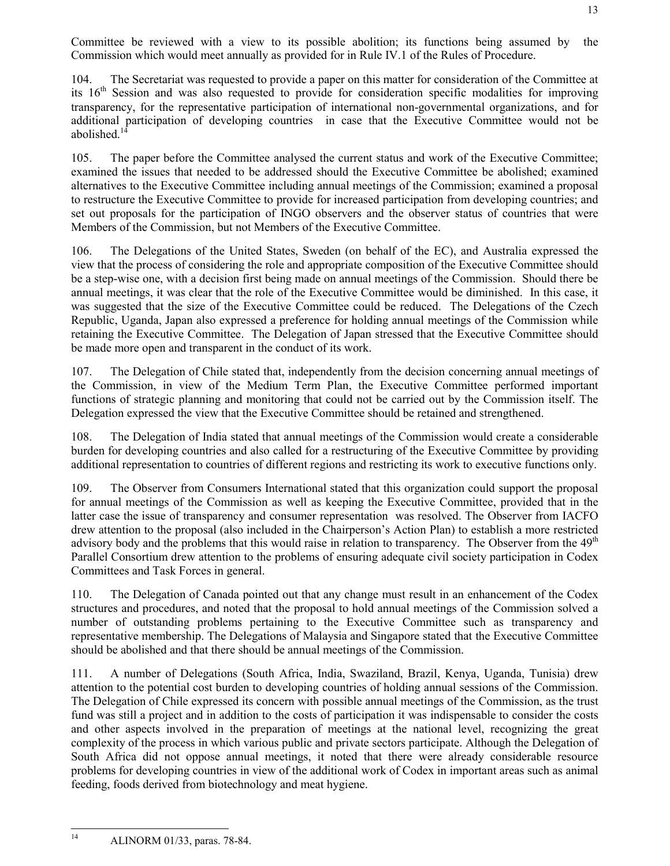Committee be reviewed with a view to its possible abolition; its functions being assumed by the Commission which would meet annually as provided for in Rule IV.1 of the Rules of Procedure.

104. The Secretariat was requested to provide a paper on this matter for consideration of the Committee at its  $16<sup>th</sup>$  Session and was also requested to provide for consideration specific modalities for improving transparency, for the representative participation of international non-governmental organizations, and for additional participation of developing countries in case that the Executive Committee would not be abolished.<sup>1</sup>

105. The paper before the Committee analysed the current status and work of the Executive Committee; examined the issues that needed to be addressed should the Executive Committee be abolished; examined alternatives to the Executive Committee including annual meetings of the Commission; examined a proposal to restructure the Executive Committee to provide for increased participation from developing countries; and set out proposals for the participation of INGO observers and the observer status of countries that were Members of the Commission, but not Members of the Executive Committee.

106. The Delegations of the United States, Sweden (on behalf of the EC), and Australia expressed the view that the process of considering the role and appropriate composition of the Executive Committee should be a step-wise one, with a decision first being made on annual meetings of the Commission. Should there be annual meetings, it was clear that the role of the Executive Committee would be diminished. In this case, it was suggested that the size of the Executive Committee could be reduced. The Delegations of the Czech Republic, Uganda, Japan also expressed a preference for holding annual meetings of the Commission while retaining the Executive Committee. The Delegation of Japan stressed that the Executive Committee should be made more open and transparent in the conduct of its work.

107. The Delegation of Chile stated that, independently from the decision concerning annual meetings of the Commission, in view of the Medium Term Plan, the Executive Committee performed important functions of strategic planning and monitoring that could not be carried out by the Commission itself. The Delegation expressed the view that the Executive Committee should be retained and strengthened.

108. The Delegation of India stated that annual meetings of the Commission would create a considerable burden for developing countries and also called for a restructuring of the Executive Committee by providing additional representation to countries of different regions and restricting its work to executive functions only.

109. The Observer from Consumers International stated that this organization could support the proposal for annual meetings of the Commission as well as keeping the Executive Committee, provided that in the latter case the issue of transparency and consumer representation was resolved. The Observer from IACFO drew attention to the proposal (also included in the Chairperson's Action Plan) to establish a more restricted advisory body and the problems that this would raise in relation to transparency. The Observer from the 49<sup>th</sup> Parallel Consortium drew attention to the problems of ensuring adequate civil society participation in Codex Committees and Task Forces in general.

110. The Delegation of Canada pointed out that any change must result in an enhancement of the Codex structures and procedures, and noted that the proposal to hold annual meetings of the Commission solved a number of outstanding problems pertaining to the Executive Committee such as transparency and representative membership. The Delegations of Malaysia and Singapore stated that the Executive Committee should be abolished and that there should be annual meetings of the Commission.

111. A number of Delegations (South Africa, India, Swaziland, Brazil, Kenya, Uganda, Tunisia) drew attention to the potential cost burden to developing countries of holding annual sessions of the Commission. The Delegation of Chile expressed its concern with possible annual meetings of the Commission, as the trust fund was still a project and in addition to the costs of participation it was indispensable to consider the costs and other aspects involved in the preparation of meetings at the national level, recognizing the great complexity of the process in which various public and private sectors participate. Although the Delegation of South Africa did not oppose annual meetings, it noted that there were already considerable resource problems for developing countries in view of the additional work of Codex in important areas such as animal feeding, foods derived from biotechnology and meat hygiene.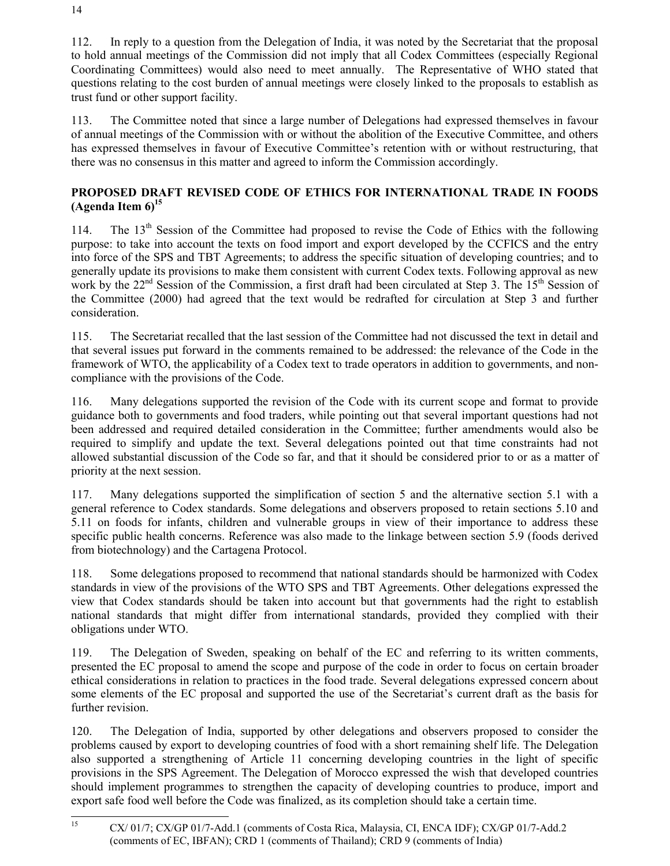112. In reply to a question from the Delegation of India, it was noted by the Secretariat that the proposal to hold annual meetings of the Commission did not imply that all Codex Committees (especially Regional Coordinating Committees) would also need to meet annually. The Representative of WHO stated that questions relating to the cost burden of annual meetings were closely linked to the proposals to establish as trust fund or other support facility.

113. The Committee noted that since a large number of Delegations had expressed themselves in favour of annual meetings of the Commission with or without the abolition of the Executive Committee, and others has expressed themselves in favour of Executive Committee's retention with or without restructuring, that there was no consensus in this matter and agreed to inform the Commission accordingly.

# **PROPOSED DRAFT REVISED CODE OF ETHICS FOR INTERNATIONAL TRADE IN FOODS (Agenda Item 6)**<sup>15</sup>

114. The 13<sup>th</sup> Session of the Committee had proposed to revise the Code of Ethics with the following purpose: to take into account the texts on food import and export developed by the CCFICS and the entry into force of the SPS and TBT Agreements; to address the specific situation of developing countries; and to generally update its provisions to make them consistent with current Codex texts. Following approval as new work by the  $22<sup>nd</sup>$  Session of the Commission, a first draft had been circulated at Step 3. The 15<sup>th</sup> Session of the Committee (2000) had agreed that the text would be redrafted for circulation at Step 3 and further consideration.

115. The Secretariat recalled that the last session of the Committee had not discussed the text in detail and that several issues put forward in the comments remained to be addressed: the relevance of the Code in the framework of WTO, the applicability of a Codex text to trade operators in addition to governments, and noncompliance with the provisions of the Code.

116. Many delegations supported the revision of the Code with its current scope and format to provide guidance both to governments and food traders, while pointing out that several important questions had not been addressed and required detailed consideration in the Committee; further amendments would also be required to simplify and update the text. Several delegations pointed out that time constraints had not allowed substantial discussion of the Code so far, and that it should be considered prior to or as a matter of priority at the next session.

117. Many delegations supported the simplification of section 5 and the alternative section 5.1 with a general reference to Codex standards. Some delegations and observers proposed to retain sections 5.10 and 5.11 on foods for infants, children and vulnerable groups in view of their importance to address these specific public health concerns. Reference was also made to the linkage between section 5.9 (foods derived from biotechnology) and the Cartagena Protocol.

118. Some delegations proposed to recommend that national standards should be harmonized with Codex standards in view of the provisions of the WTO SPS and TBT Agreements. Other delegations expressed the view that Codex standards should be taken into account but that governments had the right to establish national standards that might differ from international standards, provided they complied with their obligations under WTO.

119. The Delegation of Sweden, speaking on behalf of the EC and referring to its written comments, presented the EC proposal to amend the scope and purpose of the code in order to focus on certain broader ethical considerations in relation to practices in the food trade. Several delegations expressed concern about some elements of the EC proposal and supported the use of the Secretariat's current draft as the basis for further revision.

120. The Delegation of India, supported by other delegations and observers proposed to consider the problems caused by export to developing countries of food with a short remaining shelf life. The Delegation also supported a strengthening of Article 11 concerning developing countries in the light of specific provisions in the SPS Agreement. The Delegation of Morocco expressed the wish that developed countries should implement programmes to strengthen the capacity of developing countries to produce, import and export safe food well before the Code was finalized, as its completion should take a certain time.

 $15$ 15 CX/ 01/7; CX/GP 01/7-Add.1 (comments of Costa Rica, Malaysia, CI, ENCA IDF); CX/GP 01/7-Add.2 (comments of EC, IBFAN); CRD 1 (comments of Thailand); CRD 9 (comments of India)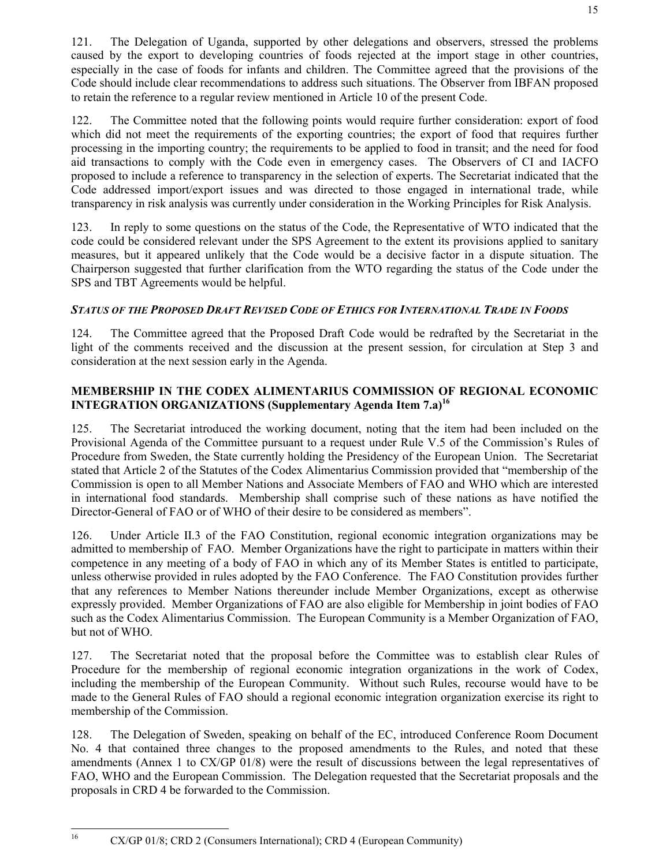121. The Delegation of Uganda, supported by other delegations and observers, stressed the problems caused by the export to developing countries of foods rejected at the import stage in other countries, especially in the case of foods for infants and children. The Committee agreed that the provisions of the Code should include clear recommendations to address such situations. The Observer from IBFAN proposed to retain the reference to a regular review mentioned in Article 10 of the present Code.

122. The Committee noted that the following points would require further consideration: export of food which did not meet the requirements of the exporting countries; the export of food that requires further processing in the importing country; the requirements to be applied to food in transit; and the need for food aid transactions to comply with the Code even in emergency cases. The Observers of CI and IACFO proposed to include a reference to transparency in the selection of experts. The Secretariat indicated that the Code addressed import/export issues and was directed to those engaged in international trade, while transparency in risk analysis was currently under consideration in the Working Principles for Risk Analysis.

123. In reply to some questions on the status of the Code, the Representative of WTO indicated that the code could be considered relevant under the SPS Agreement to the extent its provisions applied to sanitary measures, but it appeared unlikely that the Code would be a decisive factor in a dispute situation. The Chairperson suggested that further clarification from the WTO regarding the status of the Code under the SPS and TBT Agreements would be helpful.

# *STATUS OF THE PROPOSED DRAFT REVISED CODE OF ETHICS FOR INTERNATIONAL TRADE IN FOODS*

124. The Committee agreed that the Proposed Draft Code would be redrafted by the Secretariat in the light of the comments received and the discussion at the present session, for circulation at Step 3 and consideration at the next session early in the Agenda.

# **MEMBERSHIP IN THE CODEX ALIMENTARIUS COMMISSION OF REGIONAL ECONOMIC INTEGRATION ORGANIZATIONS (Supplementary Agenda Item 7.a)**<sup>16</sup>

125. The Secretariat introduced the working document, noting that the item had been included on the Provisional Agenda of the Committee pursuant to a request under Rule V.5 of the Commission's Rules of Procedure from Sweden, the State currently holding the Presidency of the European Union. The Secretariat stated that Article 2 of the Statutes of the Codex Alimentarius Commission provided that "membership of the Commission is open to all Member Nations and Associate Members of FAO and WHO which are interested in international food standards. Membership shall comprise such of these nations as have notified the Director-General of FAO or of WHO of their desire to be considered as members".

126. Under Article II.3 of the FAO Constitution, regional economic integration organizations may be admitted to membership of FAO. Member Organizations have the right to participate in matters within their competence in any meeting of a body of FAO in which any of its Member States is entitled to participate, unless otherwise provided in rules adopted by the FAO Conference. The FAO Constitution provides further that any references to Member Nations thereunder include Member Organizations, except as otherwise expressly provided. Member Organizations of FAO are also eligible for Membership in joint bodies of FAO such as the Codex Alimentarius Commission. The European Community is a Member Organization of FAO, but not of WHO.

127. The Secretariat noted that the proposal before the Committee was to establish clear Rules of Procedure for the membership of regional economic integration organizations in the work of Codex, including the membership of the European Community. Without such Rules, recourse would have to be made to the General Rules of FAO should a regional economic integration organization exercise its right to membership of the Commission.

128. The Delegation of Sweden, speaking on behalf of the EC, introduced Conference Room Document No. 4 that contained three changes to the proposed amendments to the Rules, and noted that these amendments (Annex 1 to CX/GP 01/8) were the result of discussions between the legal representatives of FAO, WHO and the European Commission. The Delegation requested that the Secretariat proposals and the proposals in CRD 4 be forwarded to the Commission.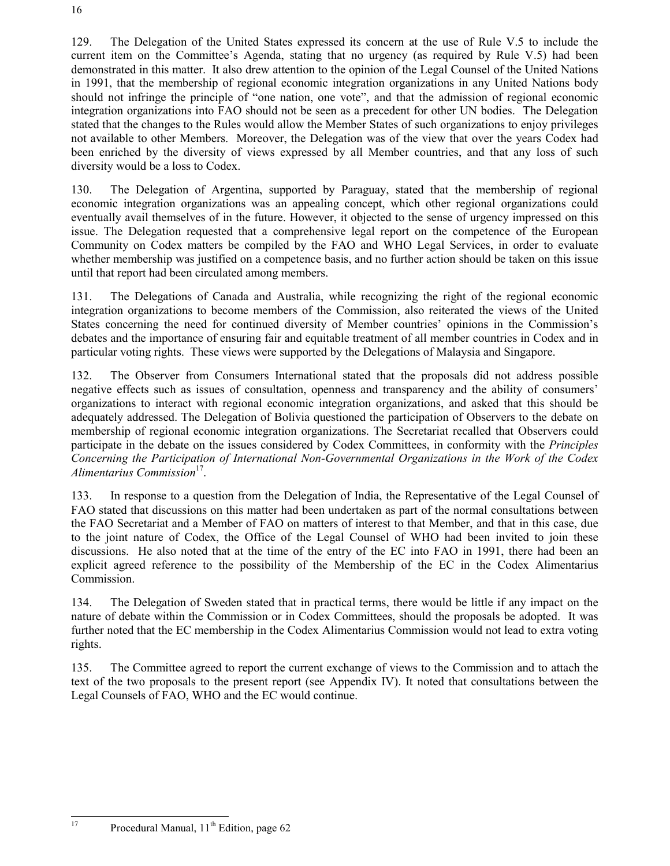129. The Delegation of the United States expressed its concern at the use of Rule V.5 to include the current item on the Committee's Agenda, stating that no urgency (as required by Rule V.5) had been demonstrated in this matter. It also drew attention to the opinion of the Legal Counsel of the United Nations in 1991, that the membership of regional economic integration organizations in any United Nations body should not infringe the principle of "one nation, one vote", and that the admission of regional economic integration organizations into FAO should not be seen as a precedent for other UN bodies. The Delegation stated that the changes to the Rules would allow the Member States of such organizations to enjoy privileges not available to other Members. Moreover, the Delegation was of the view that over the years Codex had been enriched by the diversity of views expressed by all Member countries, and that any loss of such diversity would be a loss to Codex.

130. The Delegation of Argentina, supported by Paraguay, stated that the membership of regional economic integration organizations was an appealing concept, which other regional organizations could eventually avail themselves of in the future. However, it objected to the sense of urgency impressed on this issue. The Delegation requested that a comprehensive legal report on the competence of the European Community on Codex matters be compiled by the FAO and WHO Legal Services, in order to evaluate whether membership was justified on a competence basis, and no further action should be taken on this issue until that report had been circulated among members.

131. The Delegations of Canada and Australia, while recognizing the right of the regional economic integration organizations to become members of the Commission, also reiterated the views of the United States concerning the need for continued diversity of Member countries' opinions in the Commission's debates and the importance of ensuring fair and equitable treatment of all member countries in Codex and in particular voting rights. These views were supported by the Delegations of Malaysia and Singapore.

132. The Observer from Consumers International stated that the proposals did not address possible negative effects such as issues of consultation, openness and transparency and the ability of consumers' organizations to interact with regional economic integration organizations, and asked that this should be adequately addressed. The Delegation of Bolivia questioned the participation of Observers to the debate on membership of regional economic integration organizations. The Secretariat recalled that Observers could participate in the debate on the issues considered by Codex Committees, in conformity with the *Principles Concerning the Participation of International Non-Governmental Organizations in the Work of the Codex Alimentarius Commission*17.

133. In response to a question from the Delegation of India, the Representative of the Legal Counsel of FAO stated that discussions on this matter had been undertaken as part of the normal consultations between the FAO Secretariat and a Member of FAO on matters of interest to that Member, and that in this case, due to the joint nature of Codex, the Office of the Legal Counsel of WHO had been invited to join these discussions. He also noted that at the time of the entry of the EC into FAO in 1991, there had been an explicit agreed reference to the possibility of the Membership of the EC in the Codex Alimentarius Commission.

134. The Delegation of Sweden stated that in practical terms, there would be little if any impact on the nature of debate within the Commission or in Codex Committees, should the proposals be adopted. It was further noted that the EC membership in the Codex Alimentarius Commission would not lead to extra voting rights.

135. The Committee agreed to report the current exchange of views to the Commission and to attach the text of the two proposals to the present report (see Appendix IV). It noted that consultations between the Legal Counsels of FAO, WHO and the EC would continue.

 $17$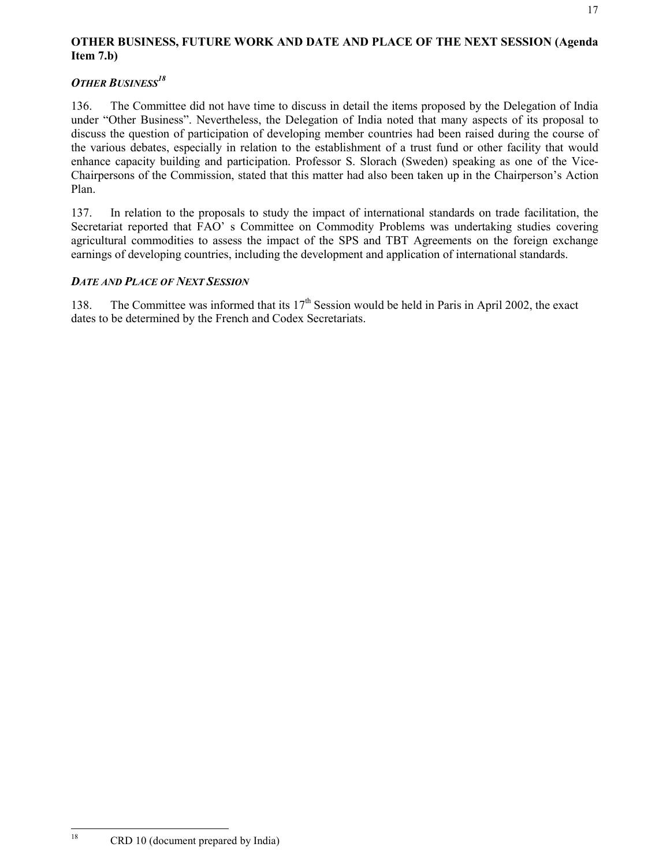# **OTHER BUSINESS, FUTURE WORK AND DATE AND PLACE OF THE NEXT SESSION (Agenda Item 7.b)**

# *OTHER BUSINESS<sup>18</sup>*

136. The Committee did not have time to discuss in detail the items proposed by the Delegation of India under "Other Business". Nevertheless, the Delegation of India noted that many aspects of its proposal to discuss the question of participation of developing member countries had been raised during the course of the various debates, especially in relation to the establishment of a trust fund or other facility that would enhance capacity building and participation. Professor S. Slorach (Sweden) speaking as one of the Vice-Chairpersons of the Commission, stated that this matter had also been taken up in the Chairperson's Action Plan.

137. In relation to the proposals to study the impact of international standards on trade facilitation, the Secretariat reported that FAO' s Committee on Commodity Problems was undertaking studies covering agricultural commodities to assess the impact of the SPS and TBT Agreements on the foreign exchange earnings of developing countries, including the development and application of international standards.

# *DATE AND PLACE OF NEXT SESSION*

138. The Committee was informed that its  $17<sup>th</sup>$  Session would be held in Paris in April 2002, the exact dates to be determined by the French and Codex Secretariats.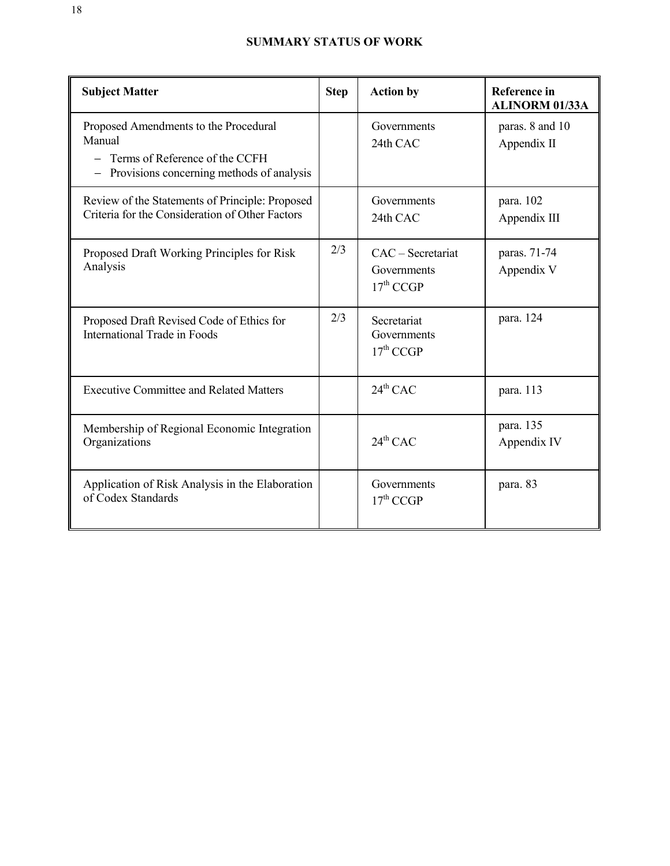# **SUMMARY STATUS OF WORK**

| <b>Subject Matter</b>                                                                                                            | <b>Step</b> | <b>Action by</b>                                            | <b>Reference</b> in<br><b>ALINORM 01/33A</b> |
|----------------------------------------------------------------------------------------------------------------------------------|-------------|-------------------------------------------------------------|----------------------------------------------|
| Proposed Amendments to the Procedural<br>Manual<br>- Terms of Reference of the CCFH<br>Provisions concerning methods of analysis |             | Governments<br>24th CAC                                     | paras. 8 and 10<br>Appendix II               |
| Review of the Statements of Principle: Proposed<br>Criteria for the Consideration of Other Factors                               |             | Governments<br>24th CAC                                     | para. 102<br>Appendix III                    |
| Proposed Draft Working Principles for Risk<br>Analysis                                                                           | 2/3         | $CAC - Secretariat$<br>Governments<br>17 <sup>th</sup> CCGP | paras. 71-74<br>Appendix V                   |
| Proposed Draft Revised Code of Ethics for<br><b>International Trade in Foods</b>                                                 | 2/3         | Secretariat<br>Governments<br>17 <sup>th</sup> CCGP         | para. 124                                    |
| <b>Executive Committee and Related Matters</b>                                                                                   |             | $24^{th}$ CAC                                               | para. 113                                    |
| Membership of Regional Economic Integration<br>Organizations                                                                     |             | $24^{th}$ CAC                                               | para. 135<br>Appendix IV                     |
| Application of Risk Analysis in the Elaboration<br>of Codex Standards                                                            |             | Governments<br>$17^{\text{th}}$ CCGP                        | para. 83                                     |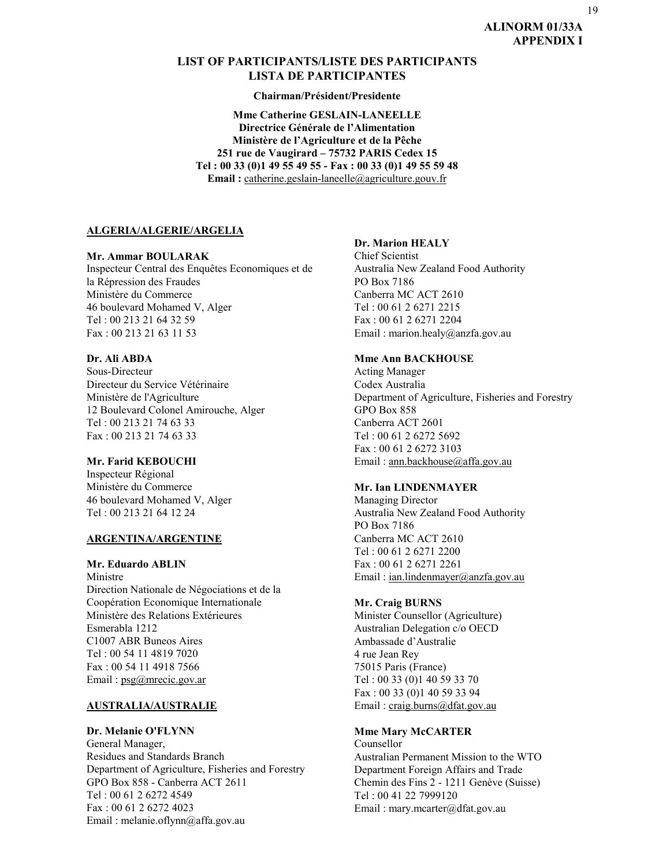# **ALINORM 01/33A APPENDIX I**

## **LIST OF PARTICIPANTS/LISTE DES PARTICIPANTS LISTA DE PARTICIPANTES**

**Chairman/Président/Presidente**

**Mme Catherine GESLAIN-LANEELLE Directrice Générale de l'Alimentation Ministère de l'Agriculture et de la Pêche 251 rue de Vaugirard – 75732 PARIS Cedex 15 Tel : 00 33 (0)1 49 55 49 55 - Fax : 00 33 (0)1 49 55 59 48 Email :** catherine.geslain-laneelle@agriculture.gouv.fr

## **ALGERIA/ALGERIE/ARGELIA**

#### **Mr. Ammar BOULARAK**

Inspecteur Central des Enquêtes Economiques et de la Répression des Fraudes Ministère du Commerce 46 boulevard Mohamed V, Alger Tel : 00 213 21 64 32 59 Fax : 00 213 21 63 11 53

## **Dr. Ali ABDA**

Sous-Directeur Directeur du Service Vétérinaire Ministère de l'Agriculture 12 Boulevard Colonel Amirouche, Alger Tel : 00 213 21 74 63 33 Fax : 00 213 21 74 63 33

## **Mr. Farid KEBOUCHI**

Inspecteur Régional Ministère du Commerce 46 boulevard Mohamed V, Alger Tel : 00 213 21 64 12 24

## **ARGENTINA/ARGENTINE**

#### **Mr. Eduardo ABLIN**

Ministre Direction Nationale de Négociations et de la Coopération Economique Internationale Ministère des Relations Extérieures Esmerabla 1212 C1007 ABR Buneos Aires Tel : 00 54 11 4819 7020 Fax : 00 54 11 4918 7566 Email: psg@mrecic.gov.ar

## **AUSTRALIA/AUSTRALIE**

## **Dr. Melanie O'FLYNN**

General Manager, Residues and Standards Branch Department of Agriculture, Fisheries and Forestry GPO Box 858 - Canberra ACT 2611 Tel : 00 61 2 6272 4549 Fax : 00 61 2 6272 4023 Email : melanie.oflynn@affa.gov.au

## **Dr. Marion HEALY**

Chief Scientist Australia New Zealand Food Authority PO Box 7186 Canberra MC ACT 2610 Tel : 00 61 2 6271 2215 Fax : 00 61 2 6271 2204 Email : marion.healy@anzfa.gov.au

#### **Mme Ann BACKHOUSE**

Acting Manager Codex Australia Department of Agriculture, Fisheries and Forestry GPO Box 858 Canberra ACT 2601 Tel : 00 61 2 6272 5692 Fax : 00 61 2 6272 3103 Email : ann.backhouse@affa.gov.au

## **Mr. Ian LINDENMAYER**

Managing Director Australia New Zealand Food Authority PO Box 7186 Canberra MC ACT 2610 Tel : 00 61 2 6271 2200 Fax : 00 61 2 6271 2261 Email : ian.lindenmayer@anzfa.gov.au

## **Mr. Craig BURNS**

Minister Counsellor (Agriculture) Australian Delegation c/o OECD Ambassade d'Australie 4 rue Jean Rey 75015 Paris (France) Tel : 00 33 (0)1 40 59 33 70 Fax : 00 33 (0)1 40 59 33 94 Email : craig.burns@dfat.gov.au

## **Mme Mary McCARTER**

Counsellor Australian Permanent Mission to the WTO Department Foreign Affairs and Trade Chemin des Fins 2 - 1211 Genève (Suisse) Tel : 00 41 22 7999120 Email : mary.mcarter@dfat.gov.au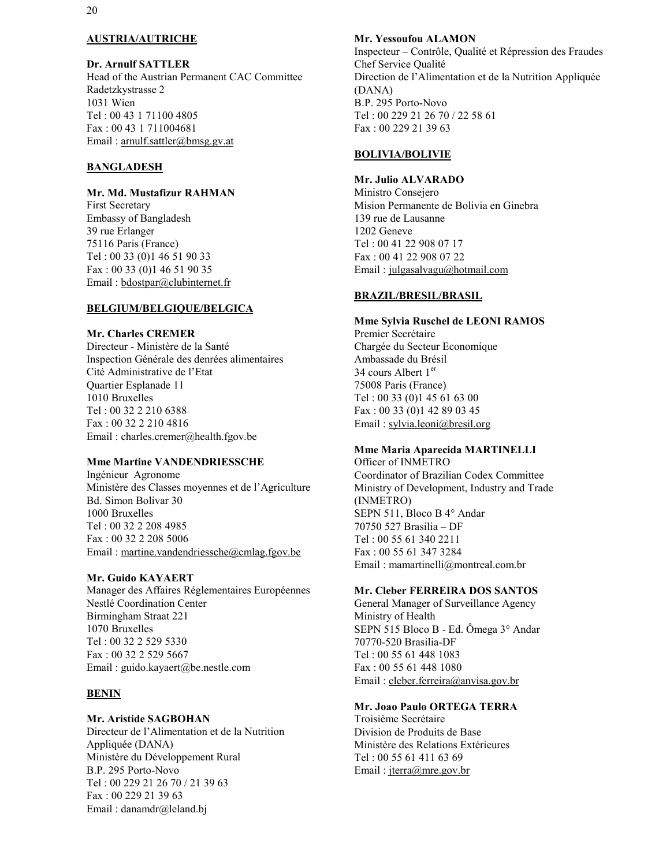# **AUSTRIA/AUTRICHE**

## **Dr. Arnulf SATTLER**

Head of the Austrian Permanent CAC Committee Radetzkystrasse 2 1031 Wien Tel : 00 43 1 71100 4805 Fax : 00 43 1 711004681 Email: arnulf.sattler@bmsg.gv.at

## **BANGLADESH**

## **Mr. Md. Mustafizur RAHMAN**

First Secretary Embassy of Bangladesh 39 rue Erlanger 75116 Paris (France) Tel : 00 33 (0)1 46 51 90 33 Fax : 00 33 (0)1 46 51 90 35 Email : bdostpar@clubinternet.fr

## **BELGIUM/BELGIQUE/BELGICA**

## **Mr. Charles CREMER**

Directeur - Ministère de la Santé Inspection Générale des denrées alimentaires Cité Administrative de l'Etat Quartier Esplanade 11 1010 Bruxelles Tel : 00 32 2 210 6388 Fax : 00 32 2 210 4816 Email : charles.cremer@health.fgov.be

## **Mme Martine VANDENDRIESSCHE**

Ingénieur Agronome Ministère des Classes moyennes et de l'Agriculture Bd. Simon Bolivar 30 1000 Bruxelles Tel : 00 32 2 208 4985 Fax : 00 32 2 208 5006 Email : martine.vandendriessche@cmlag.fgov.be

## **Mr. Guido KAYAERT**

Manager des Affaires Réglementaires Européennes Nestlé Coordination Center Birmingham Straat 221 1070 Bruxelles Tel : 00 32 2 529 5330 Fax : 00 32 2 529 5667 Email : guido.kayaert@be.nestle.com

## **BENIN**

## **Mr. Aristide SAGBOHAN**

Directeur de l'Alimentation et de la Nutrition Appliquée (DANA) Ministère du Développement Rural B.P. 295 Porto-Novo Tel : 00 229 21 26 70 / 21 39 63 Fax : 00 229 21 39 63 Email : danamdr@leland.bj

## **Mr. Yessoufou ALAMON**

Inspecteur – Contrôle, Qualité et Répression des Fraudes Chef Service Qualité Direction de l'Alimentation et de la Nutrition Appliquée (DANA) B.P. 295 Porto-Novo Tel : 00 229 21 26 70 / 22 58 61 Fax : 00 229 21 39 63

# **BOLIVIA/BOLIVIE**

## **Mr. Julio ALVARADO**

Ministro Consejero Mision Permanente de Bolivia en Ginebra 139 rue de Lausanne 1202 Geneve Tel : 00 41 22 908 07 17 Fax : 00 41 22 908 07 22 Email : julgasalvagu@hotmail.com

## **BRAZIL/BRESIL/BRASIL**

# **Mme Sylvia Ruschel de LEONI RAMOS**

Premier Secrétaire Chargée du Secteur Economique Ambassade du Brésil 34 cours Albert  $1<sup>er</sup>$ 75008 Paris (France) Tel : 00 33 (0)1 45 61 63 00 Fax : 00 33 (0)1 42 89 03 45 Email : sylvia.leoni@bresil.org

# **Mme Maria Aparecida MARTINELLI**

Officer of INMETRO Coordinator of Brazilian Codex Committee Ministry of Development, Industry and Trade (INMETRO) SEPN 511, Bloco B 4° Andar 70750 527 Brasilia – DF Tel : 00 55 61 340 2211 Fax : 00 55 61 347 3284 Email : mamartinelli@montreal.com.br

## **Mr. Cleber FERREIRA DOS SANTOS**

General Manager of Surveillance Agency Ministry of Health SEPN 515 Bloco B - Ed. Ômega 3° Andar 70770-520 Brasilia-DF Tel : 00 55 61 448 1083 Fax : 00 55 61 448 1080 Email : cleber.ferreira@anvisa.gov.br

## **Mr. Joao Paulo ORTEGA TERRA**

Troisième Secrétaire Division de Produits de Base Ministère des Relations Extérieures Tel : 00 55 61 411 63 69 Email : jterra@mre.gov.br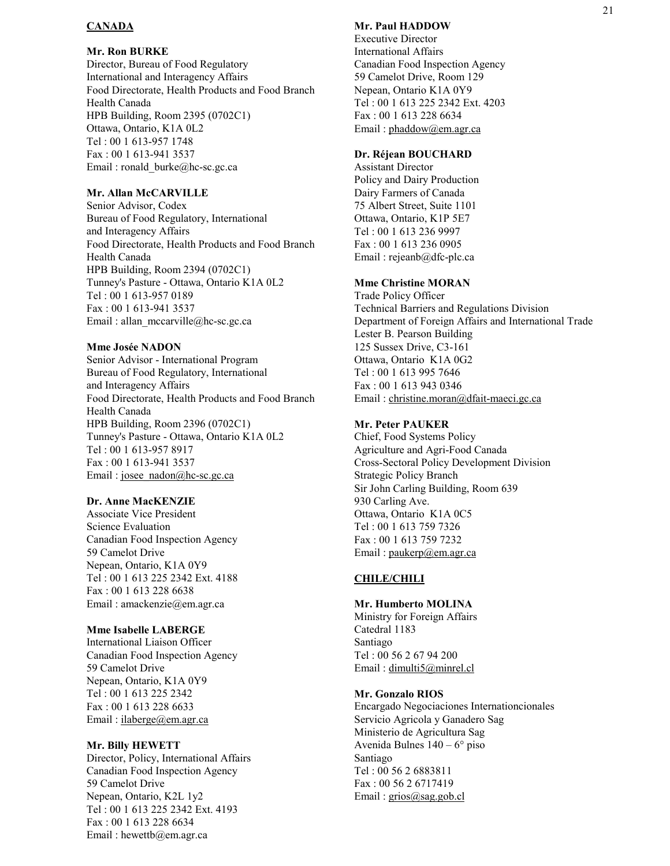#### **CANADA**

#### **Mr. Ron BURKE**

Director, Bureau of Food Regulatory International and Interagency Affairs Food Directorate, Health Products and Food Branch Health Canada HPB Building, Room 2395 (0702C1) Ottawa, Ontario, K1A 0L2 Tel : 00 1 613-957 1748 Fax : 00 1 613-941 3537 Email : ronald\_burke@hc-sc.gc.ca

#### **Mr. Allan McCARVILLE**

Senior Advisor, Codex Bureau of Food Regulatory, International and Interagency Affairs Food Directorate, Health Products and Food Branch Health Canada HPB Building, Room 2394 (0702C1) Tunney's Pasture - Ottawa, Ontario K1A 0L2 Tel : 00 1 613-957 0189 Fax : 00 1 613-941 3537 Email : allan\_mccarville@hc-sc.gc.ca

#### **Mme Josée NADON**

Senior Advisor - International Program Bureau of Food Regulatory, International and Interagency Affairs Food Directorate, Health Products and Food Branch Health Canada HPB Building, Room 2396 (0702C1) Tunney's Pasture - Ottawa, Ontario K1A 0L2 Tel : 00 1 613-957 8917 Fax : 00 1 613-941 3537 Email : josee\_nadon@hc-sc.gc.ca

#### **Dr. Anne MacKENZIE**

Associate Vice President Science Evaluation Canadian Food Inspection Agency 59 Camelot Drive Nepean, Ontario, K1A 0Y9 Tel : 00 1 613 225 2342 Ext. 4188 Fax : 00 1 613 228 6638 Email : amackenzie@em.agr.ca

#### **Mme Isabelle LABERGE**

International Liaison Officer Canadian Food Inspection Agency 59 Camelot Drive Nepean, Ontario, K1A 0Y9 Tel : 00 1 613 225 2342 Fax : 00 1 613 228 6633 Email: ilaberge@em.agr.ca

#### **Mr. Billy HEWETT**

Director, Policy, International Affairs Canadian Food Inspection Agency 59 Camelot Drive Nepean, Ontario, K2L 1y2 Tel : 00 1 613 225 2342 Ext. 4193 Fax : 00 1 613 228 6634 Email : hewettb@em.agr.ca

#### **Mr. Paul HADDOW**

Executive Director International Affairs Canadian Food Inspection Agency 59 Camelot Drive, Room 129 Nepean, Ontario K1A 0Y9 Tel : 00 1 613 225 2342 Ext. 4203 Fax : 00 1 613 228 6634 Email : phaddow@em.agr.ca

#### **Dr. Réjean BOUCHARD**

Assistant Director Policy and Dairy Production Dairy Farmers of Canada 75 Albert Street, Suite 1101 Ottawa, Ontario, K1P 5E7 Tel : 00 1 613 236 9997 Fax : 00 1 613 236 0905 Email : rejeanb@dfc-plc.ca

#### **Mme Christine MORAN**

Trade Policy Officer Technical Barriers and Regulations Division Department of Foreign Affairs and International Trade Lester B. Pearson Building 125 Sussex Drive, C3-161 Ottawa, Ontario K1A 0G2 Tel : 00 1 613 995 7646 Fax : 00 1 613 943 0346 Email : christine.moran@dfait-maeci.gc.ca

#### **Mr. Peter PAUKER**

Chief, Food Systems Policy Agriculture and Agri-Food Canada Cross-Sectoral Policy Development Division Strategic Policy Branch Sir John Carling Building, Room 639 930 Carling Ave. Ottawa, Ontario K1A 0C5 Tel : 00 1 613 759 7326 Fax : 00 1 613 759 7232 Email : paukerp@em.agr.ca

#### **CHILE/CHILI**

#### **Mr. Humberto MOLINA**

Ministry for Foreign Affairs Catedral 1183 Santiago Tel : 00 56 2 67 94 200 Email : dimulti5@minrel.cl

#### **Mr. Gonzalo RIOS**

Encargado Negociaciones Internationcionales Servicio Agricola y Ganadero Sag Ministerio de Agricultura Sag Avenida Bulnes  $140 - 6^{\circ}$  piso Santiago Tel : 00 56 2 6883811 Fax : 00 56 2 6717419 Email : grios@sag.gob.cl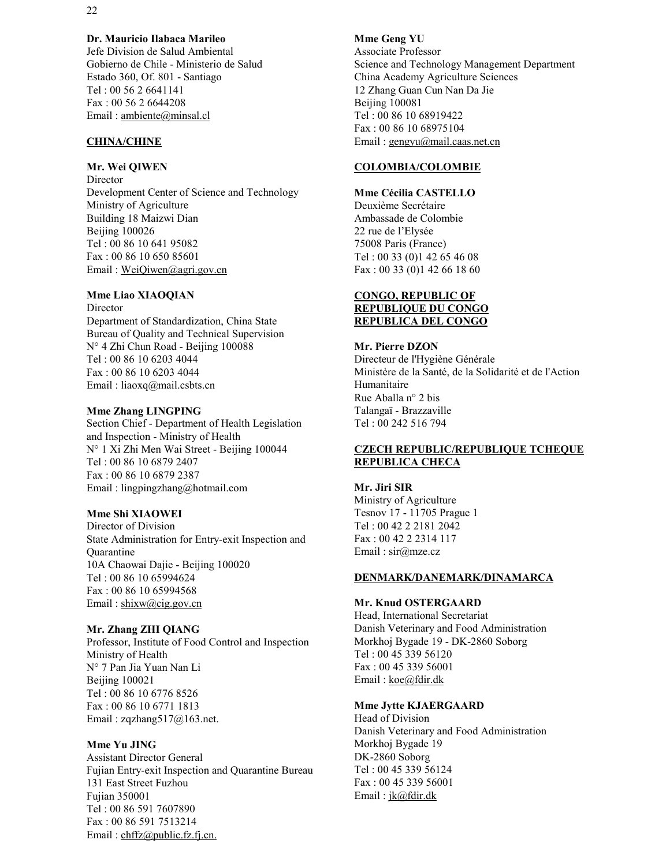## **Dr. Mauricio Ilabaca Marileo**

Jefe Division de Salud Ambiental Gobierno de Chile - Ministerio de Salud Estado 360, Of. 801 - Santiago Tel : 00 56 2 6641141 Fax : 00 56 2 6644208 Email : ambiente@minsal.cl

## **CHINA/CHINE**

## **Mr. Wei QIWEN**

Director Development Center of Science and Technology Ministry of Agriculture Building 18 Maizwi Dian Beijing 100026 Tel : 00 86 10 641 95082 Fax : 00 86 10 650 85601 Email : WeiQiwen@agri.gov.cn

## **Mme Liao XIAOQIAN**

Director Department of Standardization, China State Bureau of Quality and Technical Supervision N° 4 Zhi Chun Road - Beijing 100088 Tel : 00 86 10 6203 4044 Fax : 00 86 10 6203 4044 Email : liaoxq@mail.csbts.cn

## **Mme Zhang LINGPING**

Section Chief - Department of Health Legislation and Inspection - Ministry of Health N° 1 Xi Zhi Men Wai Street - Beijing 100044 Tel : 00 86 10 6879 2407 Fax : 00 86 10 6879 2387 Email : lingpingzhang@hotmail.com

## **Mme Shi XIAOWEI**

Director of Division State Administration for Entry-exit Inspection and Quarantine 10A Chaowai Dajie - Beijing 100020 Tel : 00 86 10 65994624 Fax : 00 86 10 65994568 Email: shixw@cig.gov.cn

## **Mr. Zhang ZHI QIANG**

Professor, Institute of Food Control and Inspection Ministry of Health N° 7 Pan Jia Yuan Nan Li Beijing 100021 Tel : 00 86 10 6776 8526 Fax : 00 86 10 6771 1813 Email: zqzhang $517@163$ .net.

## **Mme Yu JING**

Assistant Director General Fujian Entry-exit Inspection and Quarantine Bureau 131 East Street Fuzhou Fujian 350001 Tel : 00 86 591 7607890 Fax : 00 86 591 7513214 Email: chffz@public.fz.fj.cn.

## **Mme Geng YU**

Associate Professor Science and Technology Management Department China Academy Agriculture Sciences 12 Zhang Guan Cun Nan Da Jie Beijing 100081 Tel : 00 86 10 68919422 Fax : 00 86 10 68975104 Email: gengyu@mail.caas.net.cn

## **COLOMBIA/COLOMBIE**

#### **Mme Cécilia CASTELLO**

Deuxième Secrétaire Ambassade de Colombie 22 rue de l'Elysée 75008 Paris (France) Tel : 00 33 (0)1 42 65 46 08 Fax : 00 33 (0)1 42 66 18 60

#### **CONGO, REPUBLIC OF REPUBLIQUE DU CONGO REPUBLICA DEL CONGO**

## **Mr. Pierre DZON**

Directeur de l'Hygiène Générale Ministère de la Santé, de la Solidarité et de l'Action Humanitaire Rue Aballa n° 2 bis Talangaï - Brazzaville Tel : 00 242 516 794

## **CZECH REPUBLIC/REPUBLIQUE TCHEQUE REPUBLICA CHECA**

#### **Mr. Jiri SIR** Ministry of Agriculture Tesnov 17 - 11705 Prague 1 Tel : 00 42 2 2181 2042 Fax : 00 42 2 2314 117 Email : sir@mze.cz

## **DENMARK/DANEMARK/DINAMARCA**

## **Mr. Knud OSTERGAARD**

Head, International Secretariat Danish Veterinary and Food Administration Morkhoj Bygade 19 - DK-2860 Soborg Tel : 00 45 339 56120 Fax : 00 45 339 56001 Email : koe@fdir.dk

## **Mme Jytte KJAERGAARD**

Head of Division Danish Veterinary and Food Administration Morkhoj Bygade 19 DK-2860 Soborg Tel : 00 45 339 56124 Fax : 00 45 339 56001 Email: jk@fdir.dk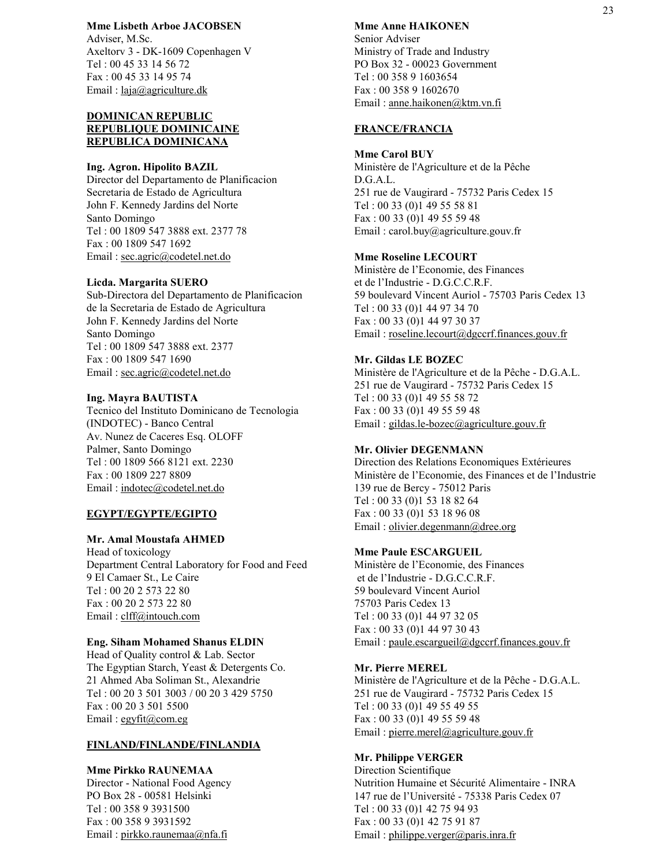#### **Mme Lisbeth Arboe JACOBSEN**

Adviser, M.Sc. Axeltorv 3 - DK-1609 Copenhagen V Tel : 00 45 33 14 56 72 Fax : 00 45 33 14 95 74 Email : laja@agriculture.dk

## **DOMINICAN REPUBLIC REPUBLIQUE DOMINICAINE REPUBLICA DOMINICANA**

#### **Ing. Agron. Hipolito BAZIL**

Director del Departamento de Planificacion Secretaria de Estado de Agricultura John F. Kennedy Jardins del Norte Santo Domingo Tel : 00 1809 547 3888 ext. 2377 78 Fax : 00 1809 547 1692 Email : sec.agric@codetel.net.do

#### **Licda. Margarita SUERO**

Sub-Directora del Departamento de Planificacion de la Secretaria de Estado de Agricultura John F. Kennedy Jardins del Norte Santo Domingo Tel : 00 1809 547 3888 ext. 2377 Fax : 00 1809 547 1690 Email : sec.agric@codetel.net.do

#### **Ing. Mayra BAUTISTA**

Tecnico del Instituto Dominicano de Tecnologia (INDOTEC) - Banco Central Av. Nunez de Caceres Esq. OLOFF Palmer, Santo Domingo Tel : 00 1809 566 8121 ext. 2230 Fax : 00 1809 227 8809 Email : indotec@codetel.net.do

#### **EGYPT/EGYPTE/EGIPTO**

#### **Mr. Amal Moustafa AHMED**

Head of toxicology Department Central Laboratory for Food and Feed 9 El Camaer St., Le Caire Tel : 00 20 2 573 22 80 Fax : 00 20 2 573 22 80 Email: clff@intouch.com

#### **Eng. Siham Mohamed Shanus ELDIN**

Head of Quality control & Lab. Sector The Egyptian Starch, Yeast & Detergents Co. 21 Ahmed Aba Soliman St., Alexandrie Tel : 00 20 3 501 3003 / 00 20 3 429 5750 Fax : 00 20 3 501 5500 Email : egyfit@com.eg

#### **FINLAND/FINLANDE/FINLANDIA**

#### **Mme Pirkko RAUNEMAA**

Director - National Food Agency PO Box 28 - 00581 Helsinki Tel : 00 358 9 3931500 Fax : 00 358 9 3931592 Email : pirkko.raunemaa@nfa.fi

#### **Mme Anne HAIKONEN**

Senior Adviser Ministry of Trade and Industry PO Box 32 - 00023 Government Tel : 00 358 9 1603654 Fax : 00 358 9 1602670 Email : anne.haikonen@ktm.vn.fi

#### **FRANCE/FRANCIA**

#### **Mme Carol BUY**

Ministère de l'Agriculture et de la Pêche D.G.A.L. 251 rue de Vaugirard - 75732 Paris Cedex 15 Tel : 00 33 (0)1 49 55 58 81 Fax : 00 33 (0)1 49 55 59 48 Email : carol.buy@agriculture.gouv.fr

#### **Mme Roseline LECOURT**

Ministère de l'Economie, des Finances et de l'Industrie - D.G.C.C.R.F. 59 boulevard Vincent Auriol - 75703 Paris Cedex 13 Tel : 00 33 (0)1 44 97 34 70 Fax : 00 33 (0)1 44 97 30 37 Email: roseline.lecourt@dgccrf.finances.gouv.fr

#### **Mr. Gildas LE BOZEC**

Ministère de l'Agriculture et de la Pêche - D.G.A.L. 251 rue de Vaugirard - 75732 Paris Cedex 15 Tel : 00 33 (0)1 49 55 58 72 Fax : 00 33 (0)1 49 55 59 48 Email: gildas.le-bozec@agriculture.gouv.fr

#### **Mr. Olivier DEGENMANN**

Direction des Relations Economiques Extérieures Ministère de l'Economie, des Finances et de l'Industrie 139 rue de Bercy - 75012 Paris Tel : 00 33 (0)1 53 18 82 64 Fax : 00 33 (0)1 53 18 96 08 Email: olivier.degenmann@dree.org

#### **Mme Paule ESCARGUEIL**

Ministère de l'Economie, des Finances et de l'Industrie - D.G.C.C.R.F. 59 boulevard Vincent Auriol 75703 Paris Cedex 13 Tel : 00 33 (0)1 44 97 32 05 Fax : 00 33 (0)1 44 97 30 43 Email : paule.escargueil@dgccrf.finances.gouv.fr

#### **Mr. Pierre MEREL**

Ministère de l'Agriculture et de la Pêche - D.G.A.L. 251 rue de Vaugirard - 75732 Paris Cedex 15 Tel : 00 33 (0)1 49 55 49 55 Fax : 00 33 (0)1 49 55 59 48 Email : pierre.merel@agriculture.gouv.fr

## **Mr. Philippe VERGER**

Direction Scientifique Nutrition Humaine et Sécurité Alimentaire - INRA 147 rue de l'Université - 75338 Paris Cedex 07 Tel : 00 33 (0)1 42 75 94 93 Fax : 00 33 (0)1 42 75 91 87 Email : philippe.verger@paris.inra.fr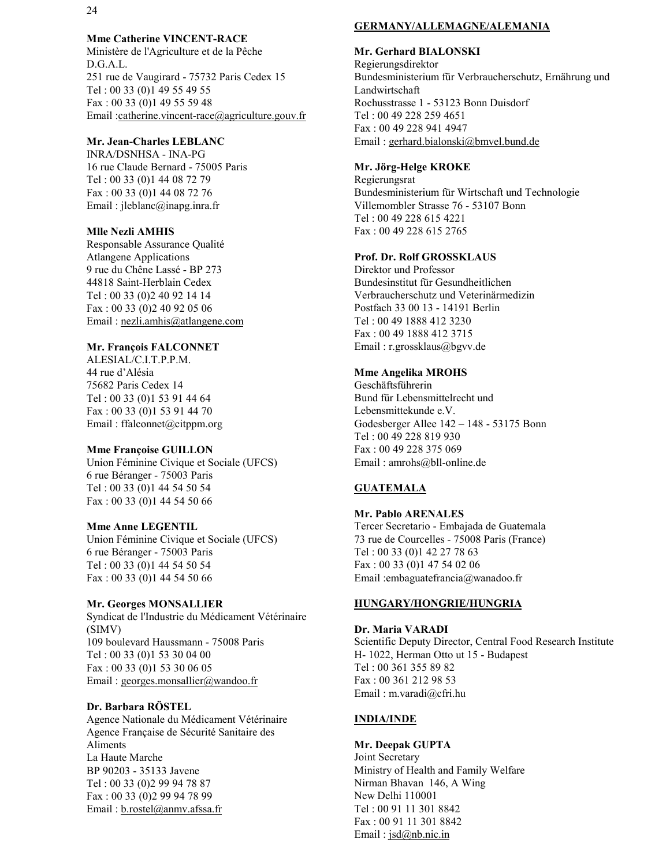## **Mme Catherine VINCENT-RACE**

Ministère de l'Agriculture et de la Pêche D.G.A.L. 251 rue de Vaugirard - 75732 Paris Cedex 15 Tel : 00 33 (0)1 49 55 49 55 Fax : 00 33 (0)1 49 55 59 48 Email :catherine.vincent-race@agriculture.gouv.fr

#### **Mr. Jean-Charles LEBLANC**

INRA/DSNHSA - INA-PG 16 rue Claude Bernard - 75005 Paris Tel : 00 33 (0)1 44 08 72 79 Fax : 00 33 (0)1 44 08 72 76 Email : jleblanc@inapg.inra.fr

## **Mlle Nezli AMHIS**

Responsable Assurance Qualité Atlangene Applications 9 rue du Chêne Lassé - BP 273 44818 Saint-Herblain Cedex Tel : 00 33 (0)2 40 92 14 14 Fax : 00 33 (0)2 40 92 05 06 Email : nezli.amhis@atlangene.com

## **Mr. François FALCONNET**

ALESIAL/C.I.T.P.P.M. 44 rue d'Alésia 75682 Paris Cedex 14 Tel : 00 33 (0)1 53 91 44 64 Fax : 00 33 (0)1 53 91 44 70 Email: ffalconnet@citppm.org

#### **Mme Françoise GUILLON**

Union Féminine Civique et Sociale (UFCS) 6 rue Béranger - 75003 Paris Tel : 00 33 (0)1 44 54 50 54 Fax : 00 33 (0)1 44 54 50 66

#### **Mme Anne LEGENTIL**

Union Féminine Civique et Sociale (UFCS) 6 rue Béranger - 75003 Paris Tel : 00 33 (0)1 44 54 50 54 Fax : 00 33 (0)1 44 54 50 66

## **Mr. Georges MONSALLIER**

Syndicat de l'Industrie du Médicament Vétérinaire (SIMV) 109 boulevard Haussmann - 75008 Paris Tel : 00 33 (0)1 53 30 04 00 Fax : 00 33 (0)1 53 30 06 05 Email: georges.monsallier@wandoo.fr

## **Dr. Barbara RÖSTEL**

Agence Nationale du Médicament Vétérinaire Agence Française de Sécurité Sanitaire des Aliments La Haute Marche BP 90203 - 35133 Javene Tel : 00 33 (0)2 99 94 78 87 Fax : 00 33 (0)2 99 94 78 99 Email : b.rostel@anmv.afssa.fr

## **GERMANY/ALLEMAGNE/ALEMANIA**

## **Mr. Gerhard BIALONSKI**

Regierungsdirektor Bundesministerium für Verbraucherschutz, Ernährung und Landwirtschaft Rochusstrasse 1 - 53123 Bonn Duisdorf Tel : 00 49 228 259 4651 Fax : 00 49 228 941 4947 Email : gerhard.bialonski@bmvel.bund.de

## **Mr. Jörg-Helge KROKE**

Regierungsrat Bundesministerium für Wirtschaft und Technologie Villemombler Strasse 76 - 53107 Bonn Tel : 00 49 228 615 4221 Fax : 00 49 228 615 2765

## **Prof. Dr. Rolf GROSSKLAUS**

Direktor und Professor Bundesinstitut für Gesundheitlichen Verbraucherschutz und Veterinärmedizin Postfach 33 00 13 - 14191 Berlin Tel : 00 49 1888 412 3230 Fax : 00 49 1888 412 3715 Email : r.grossklaus@bgvv.de

## **Mme Angelika MROHS**

Geschäftsführerin Bund für Lebensmittelrecht und Lebensmittekunde e.V. Godesberger Allee 142 – 148 - 53175 Bonn Tel : 00 49 228 819 930 Fax : 00 49 228 375 069 Email : amrohs@bll-online.de

## **GUATEMALA**

## **Mr. Pablo ARENALES**

Tercer Secretario - Embajada de Guatemala 73 rue de Courcelles - 75008 Paris (France) Tel : 00 33 (0)1 42 27 78 63 Fax : 00 33 (0)1 47 54 02 06 Email :embaguatefrancia@wanadoo.fr

## **HUNGARY/HONGRIE/HUNGRIA**

**Dr. Maria VARADI** Scientific Deputy Director, Central Food Research Institute H- 1022, Herman Otto ut 15 - Budapest Tel : 00 361 355 89 82 Fax : 00 361 212 98 53 Email : m.varadi@cfri.hu

## **INDIA/INDE**

**Mr. Deepak GUPTA** Joint Secretary Ministry of Health and Family Welfare Nirman Bhavan 146, A Wing New Delhi 110001 Tel : 00 91 11 301 8842 Fax : 00 91 11 301 8842 Email: jsd@nb.nic.in

#### 24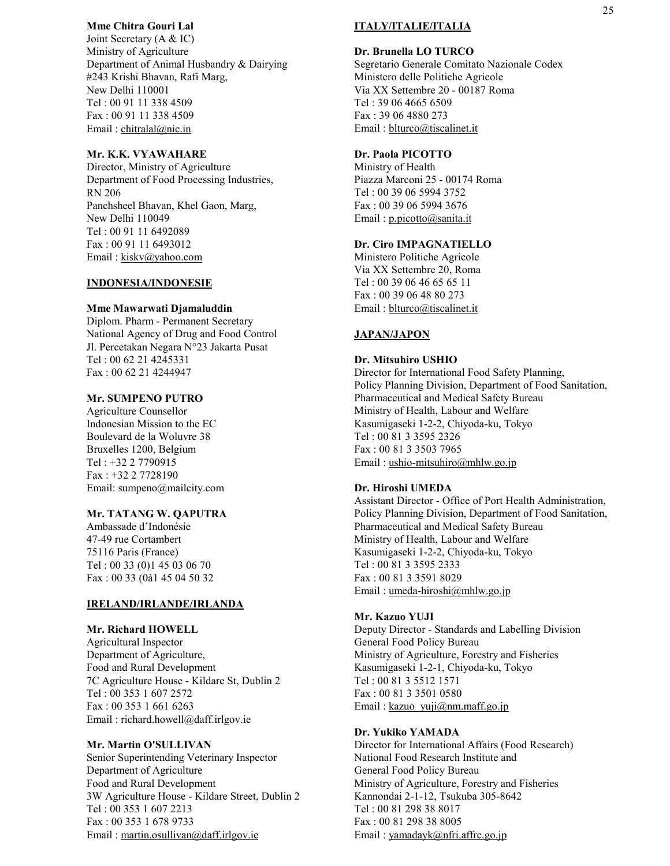#### **Mme Chitra Gouri Lal**

Joint Secretary (A & IC) Ministry of Agriculture Department of Animal Husbandry & Dairying #243 Krishi Bhavan, Rafi Marg, New Delhi 110001 Tel : 00 91 11 338 4509 Fax : 00 91 11 338 4509 Email: chitralal@nic.in

#### **Mr. K.K. VYAWAHARE**

Director, Ministry of Agriculture Department of Food Processing Industries, RN 206 Panchsheel Bhavan, Khel Gaon, Marg, New Delhi 110049 Tel : 00 91 11 6492089 Fax : 00 91 11 6493012 Email: kiskv@yahoo.com

#### **INDONESIA/INDONESIE**

#### **Mme Mawarwati Djamaluddin**

Diplom. Pharm - Permanent Secretary National Agency of Drug and Food Control Jl. Percetakan Negara N°23 Jakarta Pusat Tel : 00 62 21 4245331 Fax : 00 62 21 4244947

#### **Mr. SUMPENO PUTRO**

Agriculture Counsellor Indonesian Mission to the EC Boulevard de la Woluvre 38 Bruxelles 1200, Belgium Tel : +32 2 7790915 Fax : +32 2 7728190 Email: sumpeno@mailcity.com

#### **Mr. TATANG W. QAPUTRA**

Ambassade d'Indonésie 47-49 rue Cortambert 75116 Paris (France) Tel : 00 33 (0)1 45 03 06 70 Fax : 00 33 (0à1 45 04 50 32

#### **IRELAND/IRLANDE/IRLANDA**

#### **Mr. Richard HOWELL**

Agricultural Inspector Department of Agriculture, Food and Rural Development 7C Agriculture House - Kildare St, Dublin 2 Tel : 00 353 1 607 2572 Fax : 00 353 1 661 6263 Email : richard.howell@daff.irlgov.ie

#### **Mr. Martin O'SULLIVAN**

Senior Superintending Veterinary Inspector Department of Agriculture Food and Rural Development 3W Agriculture House - Kildare Street, Dublin 2 Tel : 00 353 1 607 2213 Fax : 00 353 1 678 9733 Email : martin.osullivan@daff.irlgov.ie

#### **ITALY/ITALIE/ITALIA**

#### **Dr. Brunella LO TURCO**

Segretario Generale Comitato Nazionale Codex Ministero delle Politiche Agricole Via XX Settembre 20 - 00187 Roma Tel : 39 06 4665 6509 Fax : 39 06 4880 273 Email : blturco@tiscalinet.it

#### **Dr. Paola PICOTTO**

Ministry of Health Piazza Marconi 25 - 00174 Roma Tel : 00 39 06 5994 3752 Fax : 00 39 06 5994 3676 Email : p.picotto@sanita.it

#### **Dr. Ciro IMPAGNATIELLO**

Ministero Politiche Agricole Via XX Settembre 20, Roma Tel : 00 39 06 46 65 65 11 Fax : 00 39 06 48 80 273 Email : blturco@tiscalinet.it

#### **JAPAN/JAPON**

#### **Dr. Mitsuhiro USHIO**

Director for International Food Safety Planning, Policy Planning Division, Department of Food Sanitation, Pharmaceutical and Medical Safety Bureau Ministry of Health, Labour and Welfare Kasumigaseki 1-2-2, Chiyoda-ku, Tokyo Tel : 00 81 3 3595 2326 Fax : 00 81 3 3503 7965 Email : ushio-mitsuhiro@mhlw.go.jp

#### **Dr. Hiroshi UMEDA**

Assistant Director - Office of Port Health Administration, Policy Planning Division, Department of Food Sanitation, Pharmaceutical and Medical Safety Bureau Ministry of Health, Labour and Welfare Kasumigaseki 1-2-2, Chiyoda-ku, Tokyo Tel : 00 81 3 3595 2333 Fax : 00 81 3 3591 8029 Email : umeda-hiroshi@mhlw.go.jp

#### **Mr. Kazuo YUJI**

Deputy Director - Standards and Labelling Division General Food Policy Bureau Ministry of Agriculture, Forestry and Fisheries Kasumigaseki 1-2-1, Chiyoda-ku, Tokyo Tel : 00 81 3 5512 1571 Fax : 00 81 3 3501 0580 Email : kazuo\_yuji@nm.maff.go.jp

#### **Dr. Yukiko YAMADA**

Director for International Affairs (Food Research) National Food Research Institute and General Food Policy Bureau Ministry of Agriculture, Forestry and Fisheries Kannondai 2-1-12, Tsukuba 305-8642 Tel : 00 81 298 38 8017 Fax : 00 81 298 38 8005 Email : yamadayk@nfri.affrc.go.jp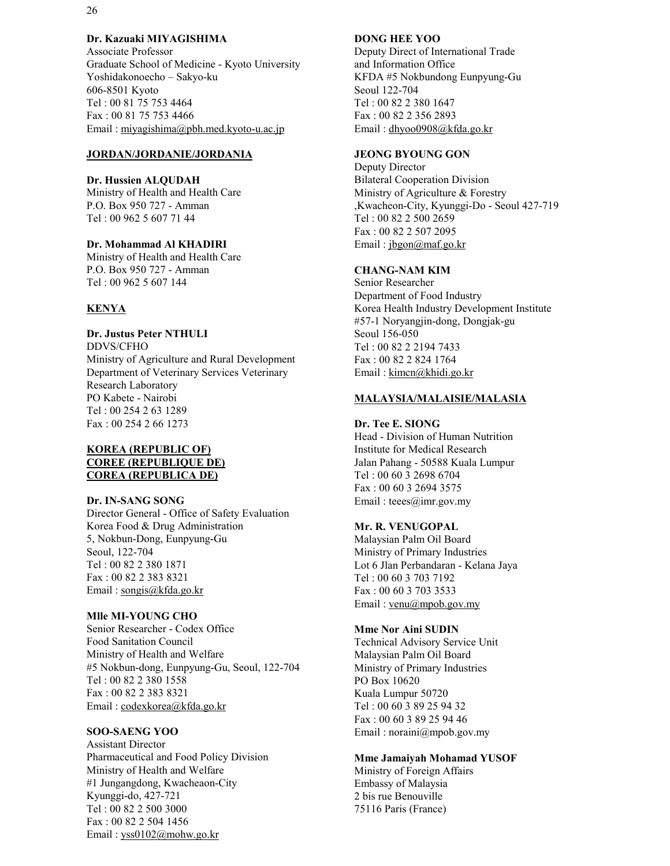## **Dr. Kazuaki MIYAGISHIMA**

Associate Professor Graduate School of Medicine - Kyoto University Yoshidakonoecho – Sakyo-ku 606-8501 Kyoto Tel : 00 81 75 753 4464 Fax : 00 81 75 753 4466 Email : miyagishima@pbh.med.kyoto-u.ac.jp

#### **JORDAN/JORDANIE/JORDANIA**

#### **Dr. Hussien ALQUDAH**

Ministry of Health and Health Care P.O. Box 950 727 - Amman Tel : 00 962 5 607 71 44

#### **Dr. Mohammad Al KHADIRI**

Ministry of Health and Health Care P.O. Box 950 727 - Amman Tel : 00 962 5 607 144

## **KENYA**

## **Dr. Justus Peter NTHULI** DDVS/CFHO Ministry of Agriculture and Rural Development Department of Veterinary Services Veterinary Research Laboratory PO Kabete - Nairobi Tel : 00 254 2 63 1289 Fax : 00 254 2 66 1273

## **KOREA (REPUBLIC OF) COREE (REPUBLIQUE DE) COREA (REPUBLICA DE)**

## **Dr. IN-SANG SONG**

Director General - Office of Safety Evaluation Korea Food & Drug Administration 5, Nokbun-Dong, Eunpyung-Gu Seoul, 122-704 Tel : 00 82 2 380 1871 Fax : 00 82 2 383 8321 Email : songis@kfda.go.kr

## **Mlle MI-YOUNG CHO**

Senior Researcher - Codex Office Food Sanitation Council Ministry of Health and Welfare #5 Nokbun-dong, Eunpyung-Gu, Seoul, 122-704 Tel : 00 82 2 380 1558 Fax : 00 82 2 383 8321 Email : codexkorea@kfda.go.kr

## **SOO-SAENG YOO**

Assistant Director Pharmaceutical and Food Policy Division Ministry of Health and Welfare #1 Jungangdong, Kwacheaon-City Kyunggi-do, 427-721 Tel : 00 82 2 500 3000 Fax : 00 82 2 504 1456 Email: yss0102@mohw.go.kr

#### **DONG HEE YOO**

Deputy Direct of International Trade and Information Office KFDA #5 Nokbundong Eunpyung-Gu Seoul 122-704 Tel : 00 82 2 380 1647 Fax : 00 82 2 356 2893 Email : dhyoo0908@kfda.go.kr

#### **JEONG BYOUNG GON**

Deputy Director Bilateral Cooperation Division Ministry of Agriculture & Forestry ,Kwacheon-City, Kyunggi-Do - Seoul 427-719 Tel : 00 82 2 500 2659 Fax : 00 82 2 507 2095 Email : jbgon@maf.go.kr

## **CHANG-NAM KIM**

Senior Researcher Department of Food Industry Korea Health Industry Development Institute #57-1 Noryangjin-dong, Dongjak-gu Seoul 156-050 Tel : 00 82 2 2194 7433 Fax : 00 82 2 824 1764 Email: kimcn@khidi.go.kr

## **MALAYSIA/MALAISIE/MALASIA**

#### **Dr. Tee E. SIONG**

Head - Division of Human Nutrition Institute for Medical Research Jalan Pahang - 50588 Kuala Lumpur Tel : 00 60 3 2698 6704 Fax : 00 60 3 2694 3575 Email: teees@imr.gov.my

#### **Mr. R. VENUGOPAL**

Malaysian Palm Oil Board Ministry of Primary Industries Lot 6 Jlan Perbandaran - Kelana Jaya Tel : 00 60 3 703 7192 Fax : 00 60 3 703 3533 Email: venu@mpob.gov.my

#### **Mme Nor Aini SUDIN**

Technical Advisory Service Unit Malaysian Palm Oil Board Ministry of Primary Industries PO Box 10620 Kuala Lumpur 50720 Tel : 00 60 3 89 25 94 32 Fax : 00 60 3 89 25 94 46 Email : noraini@mpob.gov.my

## **Mme Jamaiyah Mohamad YUSOF**

Ministry of Foreign Affairs Embassy of Malaysia 2 bis rue Benouville 75116 Paris (France)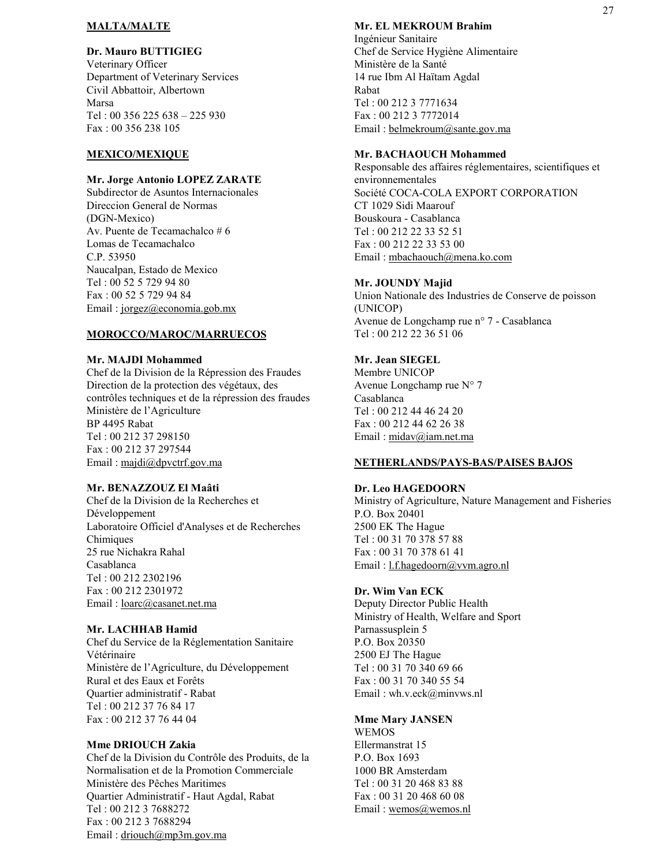#### **MALTA/MALTE**

#### **Dr. Mauro BUTTIGIEG**

Veterinary Officer Department of Veterinary Services Civil Abbattoir, Albertown Marsa Tel : 00 356 225 638 – 225 930 Fax : 00 356 238 105

#### **MEXICO/MEXIQUE**

#### **Mr. Jorge Antonio LOPEZ ZARATE**

Subdirector de Asuntos Internacionales Direccion General de Normas (DGN-Mexico) Av. Puente de Tecamachalco # 6 Lomas de Tecamachalco C.P. 53950 Naucalpan, Estado de Mexico Tel : 00 52 5 729 94 80 Fax : 00 52 5 729 94 84 Email : jorgez@economia.gob.mx

#### **MOROCCO/MAROC/MARRUECOS**

#### **Mr. MAJDI Mohammed**

Chef de la Division de la Répression des Fraudes Direction de la protection des végétaux, des contrôles techniques et de la répression des fraudes Ministère de l'Agriculture BP 4495 Rabat Tel : 00 212 37 298150 Fax : 00 212 37 297544 Email : majdi@dpvctrf.gov.ma

#### **Mr. BENAZZOUZ El Maâti**

Chef de la Division de la Recherches et Développement Laboratoire Officiel d'Analyses et de Recherches Chimiques 25 rue Nichakra Rahal Casablanca Tel : 00 212 2302196 Fax : 00 212 2301972 Email : loarc@casanet.net.ma

#### **Mr. LACHHAB Hamid**

Chef du Service de la Réglementation Sanitaire Vétérinaire Ministère de l'Agriculture, du Développement Rural et des Eaux et Forêts Quartier administratif - Rabat Tel : 00 212 37 76 84 17 Fax : 00 212 37 76 44 04

#### **Mme DRIOUCH Zakia**

Chef de la Division du Contrôle des Produits, de la Normalisation et de la Promotion Commerciale Ministère des Pêches Maritimes Quartier Administratif - Haut Agdal, Rabat Tel : 00 212 3 7688272 Fax : 00 212 3 7688294 Email : driouch@mp3m.gov.ma

#### **Mr. EL MEKROUM Brahim**

Ingénieur Sanitaire Chef de Service Hygiène Alimentaire Ministère de la Santé 14 rue Ibm Al Haïtam Agdal Rabat Tel : 00 212 3 7771634 Fax : 00 212 3 7772014 Email : belmekroum@sante.gov.ma

#### **Mr. BACHAOUCH Mohammed**

Responsable des affaires réglementaires, scientifiques et environnementales Société COCA-COLA EXPORT CORPORATION CT 1029 Sidi Maarouf Bouskoura - Casablanca Tel : 00 212 22 33 52 51 Fax : 00 212 22 33 53 00 Email : mbachaouch@mena.ko.com

#### **Mr. JOUNDY Majid**

Union Nationale des Industries de Conserve de poisson (UNICOP) Avenue de Longchamp rue n° 7 - Casablanca Tel : 00 212 22 36 51 06

## **Mr. Jean SIEGEL**

Membre UNICOP Avenue Longchamp rue N° 7 Casablanca Tel : 00 212 44 46 24 20 Fax : 00 212 44 62 26 38 Email : midav@iam.net.ma

#### **NETHERLANDS/PAYS-BAS/PAISES BAJOS**

#### **Dr. Leo HAGEDOORN**

Ministry of Agriculture, Nature Management and Fisheries P.O. Box 20401 2500 EK The Hague Tel : 00 31 70 378 57 88 Fax : 00 31 70 378 61 41 Email : l.f.hagedoorn@vvm.agro.nl

#### **Dr. Wim Van ECK**

Deputy Director Public Health Ministry of Health, Welfare and Sport Parnassusplein 5 P.O. Box 20350 2500 EJ The Hague Tel : 00 31 70 340 69 66 Fax : 00 31 70 340 55 54 Email : wh.v.eck@minvws.nl

#### **Mme Mary JANSEN**

**WEMOS** Ellermanstrat 15 P.O. Box 1693 1000 BR Amsterdam Tel : 00 31 20 468 83 88 Fax : 00 31 20 468 60 08 Email: wemos@wemos.nl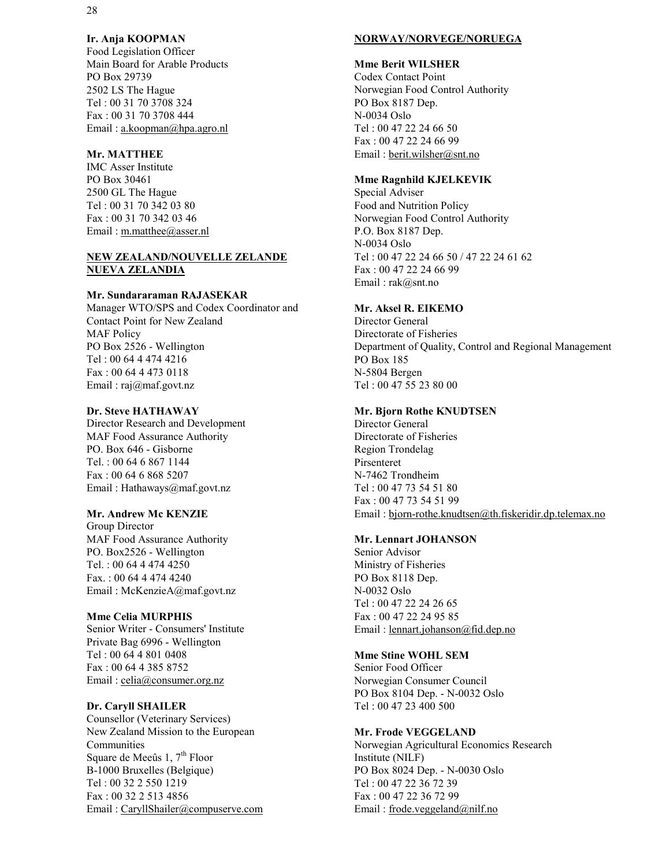## **Ir. Anja KOOPMAN**

Food Legislation Officer Main Board for Arable Products PO Box 29739 2502 LS The Hague Tel : 00 31 70 3708 324 Fax : 00 31 70 3708 444 Email : a.koopman@hpa.agro.nl

#### **Mr. MATTHEE**

IMC Asser Institute PO Box 30461 2500 GL The Hague Tel : 00 31 70 342 03 80 Fax : 00 31 70 342 03 46 Email : m.matthee@asser.nl

#### **NEW ZEALAND/NOUVELLE ZELANDE NUEVA ZELANDIA**

#### **Mr. Sundararaman RAJASEKAR**

Manager WTO/SPS and Codex Coordinator and Contact Point for New Zealand MAF Policy PO Box 2526 - Wellington Tel : 00 64 4 474 4216 Fax : 00 64 4 473 0118 Email : raj@maf.govt.nz

#### **Dr. Steve HATHAWAY**

Director Research and Development MAF Food Assurance Authority PO. Box 646 - Gisborne Tel. : 00 64 6 867 1144 Fax : 00 64 6 868 5207 Email : Hathaways@maf.govt.nz

#### **Mr. Andrew Mc KENZIE**

Group Director MAF Food Assurance Authority PO. Box2526 - Wellington Tel. : 00 64 4 474 4250 Fax. : 00 64 4 474 4240 Email : McKenzieA@maf.govt.nz

#### **Mme Celia MURPHIS**

Senior Writer - Consumers' Institute Private Bag 6996 - Wellington Tel : 00 64 4 801 0408 Fax : 00 64 4 385 8752 Email: celia@consumer.org.nz

#### **Dr. Caryll SHAILER**

Counsellor (Veterinary Services) New Zealand Mission to the European **Communities** Square de Meeûs  $1, 7<sup>th</sup>$  Floor B-1000 Bruxelles (Belgique) Tel : 00 32 2 550 1219 Fax : 00 32 2 513 4856 Email : CaryllShailer@compuserve.com

## **NORWAY/NORVEGE/NORUEGA**

#### **Mme Berit WILSHER**

Codex Contact Point Norwegian Food Control Authority PO Box 8187 Dep. N-0034 Oslo Tel : 00 47 22 24 66 50 Fax : 00 47 22 24 66 99 Email : berit.wilsher@snt.no

#### **Mme Ragnhild KJELKEVIK**

Special Adviser Food and Nutrition Policy Norwegian Food Control Authority P.O. Box 8187 Dep. N-0034 Oslo Tel : 00 47 22 24 66 50 / 47 22 24 61 62 Fax : 00 47 22 24 66 99 Email: rak@snt.no

#### **Mr. Aksel R. EIKEMO**

Director General Directorate of Fisheries Department of Quality, Control and Regional Management PO Box 185 N-5804 Bergen Tel : 00 47 55 23 80 00

#### **Mr. Bjorn Rothe KNUDTSEN**

Director General Directorate of Fisheries Region Trondelag Pirsenteret N-7462 Trondheim Tel : 00 47 73 54 51 80 Fax : 00 47 73 54 51 99 Email : bjorn-rothe.knudtsen@th.fiskeridir.dp.telemax.no

#### **Mr. Lennart JOHANSON**

Senior Advisor Ministry of Fisheries PO Box 8118 Dep. N-0032 Oslo Tel : 00 47 22 24 26 65 Fax : 00 47 22 24 95 85 Email : lennart.johanson@fid.dep.no

#### **Mme Stine WOHL SEM**

Senior Food Officer Norwegian Consumer Council PO Box 8104 Dep. - N-0032 Oslo Tel : 00 47 23 400 500

#### **Mr. Frode VEGGELAND**

Norwegian Agricultural Economics Research Institute (NILF) PO Box 8024 Dep. - N-0030 Oslo Tel : 00 47 22 36 72 39 Fax : 00 47 22 36 72 99 Email: frode.veggeland@nilf.no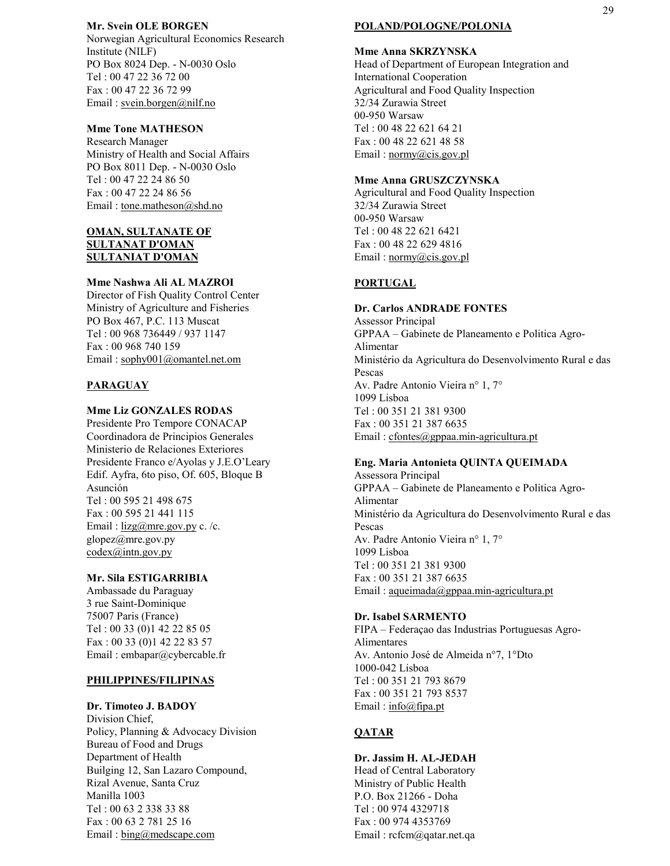#### **Mr. Svein OLE BORGEN**

Norwegian Agricultural Economics Research Institute (NILF) PO Box 8024 Dep. - N-0030 Oslo Tel : 00 47 22 36 72 00 Fax : 00 47 22 36 72 99 Email: svein.borgen@nilf.no

#### **Mme Tone MATHESON**

Research Manager Ministry of Health and Social Affairs PO Box 8011 Dep. - N-0030 Oslo Tel : 00 47 22 24 86 50 Fax : 00 47 22 24 86 56 Email : tone.matheson@shd.no

#### **OMAN, SULTANATE OF SULTANAT D'OMAN SULTANIAT D'OMAN**

#### **Mme Nashwa Ali AL MAZROI**

Director of Fish Quality Control Center Ministry of Agriculture and Fisheries PO Box 467, P.C. 113 Muscat Tel : 00 968 736449 / 937 1147 Fax : 00 968 740 159 Email: sophy001@omantel.net.om

## **PARAGUAY**

## **Mme Liz GONZALES RODAS**

Presidente Pro Tempore CONACAP Coordinadora de Principios Generales Ministerio de Relaciones Exteriores Presidente Franco e/Ayolas y J.E.O'Leary Edif. Ayfra, 6to piso, Of. 605, Bloque B Asunción Tel : 00 595 21 498 675 Fax : 00 595 21 441 115 Email :  $lize(\omega)$ mre.gov.py c. /c. glopez@mre.gov.py  $\text{codex}(a)$ intn.gov.py

## **Mr. Sila ESTIGARRIBIA**

Ambassade du Paraguay 3 rue Saint-Dominique 75007 Paris (France) Tel : 00 33 (0)1 42 22 85 05 Fax : 00 33 (0)1 42 22 83 57 Email : embapar@cybercable.fr

#### **PHILIPPINES/FILIPINAS**

## **Dr. Timoteo J. BADOY**

Division Chief, Policy, Planning & Advocacy Division Bureau of Food and Drugs Department of Health Builging 12, San Lazaro Compound, Rizal Avenue, Santa Cruz Manilla 1003 Tel : 00 63 2 338 33 88 Fax : 00 63 2 781 25 16 Email: bing@medscape.com

#### **POLAND/POLOGNE/POLONIA**

#### **Mme Anna SKRZYNSKA**

Head of Department of European Integration and International Cooperation Agricultural and Food Quality Inspection 32/34 Zurawia Street 00-950 Warsaw Tel : 00 48 22 621 64 21 Fax : 00 48 22 621 48 58 Email: normy@cis.gov.pl

#### **Mme Anna GRUSZCZYNSKA**

Agricultural and Food Quality Inspection 32/34 Zurawia Street 00-950 Warsaw Tel : 00 48 22 621 6421 Fax : 00 48 22 629 4816 Email: <u>normy@cis.gov.pl</u>

#### **PORTUGAL**

## **Dr. Carlos ANDRADE FONTES**

Assessor Principal GPPAA – Gabinete de Planeamento e Politica Agro-Alimentar Ministério da Agricultura do Desenvolvimento Rural e das Pescas Av. Padre Antonio Vieira n° 1, 7° 1099 Lisboa Tel : 00 351 21 381 9300 Fax : 00 351 21 387 6635 Email : cfontes@gppaa.min-agricultura.pt

#### **Eng. Maria Antonieta QUINTA QUEIMADA**

Assessora Principal GPPAA – Gabinete de Planeamento e Politica Agro-Alimentar Ministério da Agricultura do Desenvolvimento Rural e das Pescas Av. Padre Antonio Vieira n° 1, 7° 1099 Lisboa Tel : 00 351 21 381 9300 Fax : 00 351 21 387 6635 Email : aqueimada@gppaa.min-agricultura.pt

#### **Dr. Isabel SARMENTO**

FIPA – Federaçao das Industrias Portuguesas Agro-Alimentares Av. Antonio José de Almeida n°7, 1°Dto 1000-042 Lisboa Tel : 00 351 21 793 8679 Fax : 00 351 21 793 8537 Email: info@fipa.pt

#### **QATAR**

#### **Dr. Jassim H. AL-JEDAH** Head of Central Laboratory Ministry of Public Health P.O. Box 21266 - Doha Tel : 00 974 4329718 Fax : 00 974 4353769 Email : rcfcm@qatar.net.qa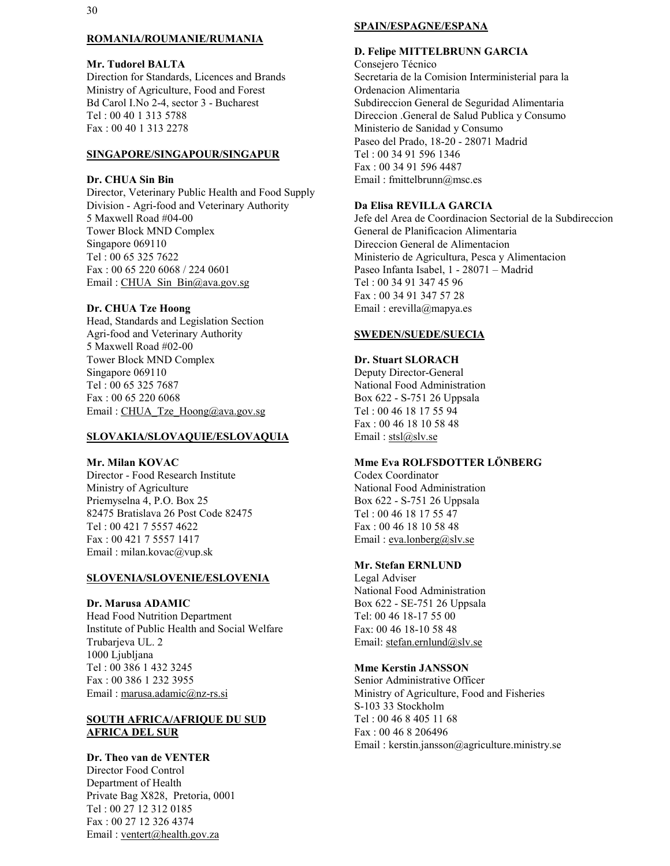## **ROMANIA/ROUMANIE/RUMANIA**

#### **Mr. Tudorel BALTA**

Direction for Standards, Licences and Brands Ministry of Agriculture, Food and Forest Bd Carol I.No 2-4, sector 3 - Bucharest Tel : 00 40 1 313 5788 Fax : 00 40 1 313 2278

#### **SINGAPORE/SINGAPOUR/SINGAPUR**

#### **Dr. CHUA Sin Bin**

Director, Veterinary Public Health and Food Supply Division - Agri-food and Veterinary Authority 5 Maxwell Road #04-00 Tower Block MND Complex Singapore 069110 Tel : 00 65 325 7622 Fax : 00 65 220 6068 / 224 0601 Email : CHUA\_Sin\_Bin@ava.gov.sg

## **Dr. CHUA Tze Hoong**

Head, Standards and Legislation Section Agri-food and Veterinary Authority 5 Maxwell Road #02-00 Tower Block MND Complex Singapore 069110 Tel : 00 65 325 7687 Fax : 00 65 220 6068 Email : CHUA\_Tze\_Hoong@ava.gov.sg

## **SLOVAKIA/SLOVAQUIE/ESLOVAQUIA**

## **Mr. Milan KOVAC**

Director - Food Research Institute Ministry of Agriculture Priemyselna 4, P.O. Box 25 82475 Bratislava 26 Post Code 82475 Tel : 00 421 7 5557 4622 Fax : 00 421 7 5557 1417 Email : milan.kovac@vup.sk

## **SLOVENIA/SLOVENIE/ESLOVENIA**

## **Dr. Marusa ADAMIC**

Head Food Nutrition Department Institute of Public Health and Social Welfare Trubarjeva UL. 2 1000 Ljubljana Tel : 00 386 1 432 3245 Fax : 00 386 1 232 3955 Email : marusa.adamic@nz-rs.si

## **SOUTH AFRICA/AFRIQUE DU SUD AFRICA DEL SUR**

**Dr. Theo van de VENTER** Director Food Control Department of Health Private Bag X828, Pretoria, 0001 Tel : 00 27 12 312 0185 Fax : 00 27 12 326 4374 Email : ventert@health.gov.za

## **SPAIN/ESPAGNE/ESPANA**

## **D. Felipe MITTELBRUNN GARCIA**

Consejero Técnico Secretaria de la Comision Interministerial para la Ordenacion Alimentaria Subdireccion General de Seguridad Alimentaria Direccion .General de Salud Publica y Consumo Ministerio de Sanidad y Consumo Paseo del Prado, 18-20 - 28071 Madrid Tel : 00 34 91 596 1346 Fax : 00 34 91 596 4487 Email : fmittelbrunn@msc.es

## **Da Elisa REVILLA GARCIA**

Jefe del Area de Coordinacion Sectorial de la Subdireccion General de Planificacion Alimentaria Direccion General de Alimentacion Ministerio de Agricultura, Pesca y Alimentacion Paseo Infanta Isabel, 1 - 28071 – Madrid Tel : 00 34 91 347 45 96 Fax : 00 34 91 347 57 28 Email : erevilla@mapya.es

## **SWEDEN/SUEDE/SUECIA**

## **Dr. Stuart SLORACH**

Deputy Director-General National Food Administration Box 622 - S-751 26 Uppsala Tel : 00 46 18 17 55 94 Fax : 00 46 18 10 58 48 Email: stsl@slv.se

## **Mme Eva ROLFSDOTTER LÖNBERG**

Codex Coordinator National Food Administration Box 622 - S-751 26 Uppsala Tel : 00 46 18 17 55 47 Fax : 00 46 18 10 58 48 Email: eva.lonberg@slv.se

## **Mr. Stefan ERNLUND**

Legal Adviser National Food Administration Box 622 - SE-751 26 Uppsala Tel: 00 46 18-17 55 00 Fax: 00 46 18-10 58 48 Email: stefan.ernlund@slv.se

## **Mme Kerstin JANSSON**

Senior Administrative Officer Ministry of Agriculture, Food and Fisheries S-103 33 Stockholm Tel : 00 46 8 405 11 68 Fax : 00 46 8 206496 Email : kerstin.jansson@agriculture.ministry.se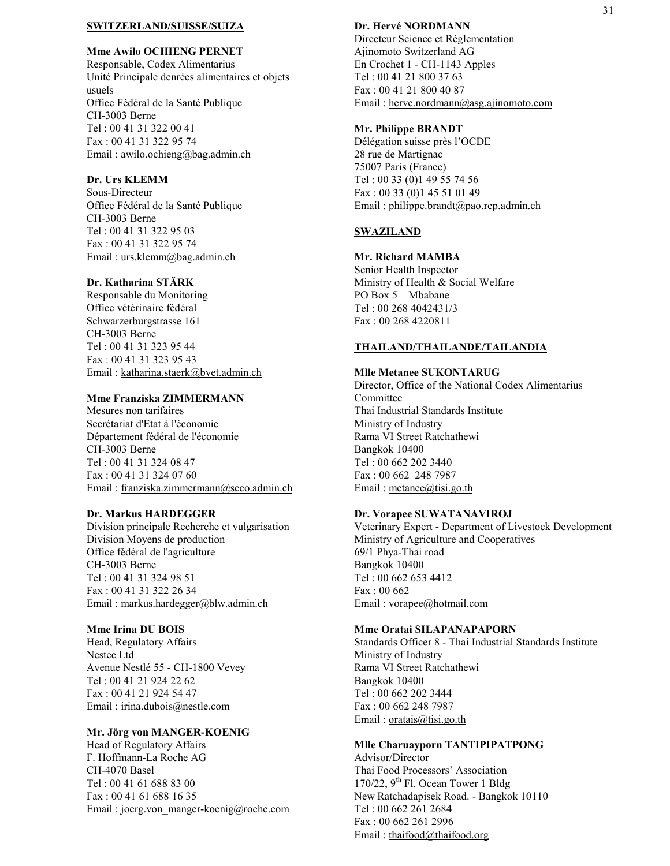#### **SWITZERLAND/SUISSE/SUIZA**

#### **Mme Awilo OCHIENG PERNET**

Responsable, Codex Alimentarius Unité Principale denrées alimentaires et objets usuels Office Fédéral de la Santé Publique CH-3003 Berne Tel : 00 41 31 322 00 41 Fax : 00 41 31 322 95 74 Email : awilo.ochieng@bag.admin.ch

#### **Dr. Urs KLEMM**

Sous-Directeur Office Fédéral de la Santé Publique CH-3003 Berne Tel : 00 41 31 322 95 03 Fax : 00 41 31 322 95 74 Email : urs.klemm@bag.admin.ch

## **Dr. Katharina STÄRK**

Responsable du Monitoring Office vétérinaire fédéral Schwarzerburgstrasse 161 CH-3003 Berne Tel : 00 41 31 323 95 44 Fax : 00 41 31 323 95 43 Email : katharina.staerk@bvet.admin.ch

#### **Mme Franziska ZIMMERMANN**

Mesures non tarifaires Secrétariat d'Etat à l'économie Département fédéral de l'économie CH-3003 Berne Tel : 00 41 31 324 08 47 Fax : 00 41 31 324 07 60 Email : franziska.zimmermann@seco.admin.ch

#### **Dr. Markus HARDEGGER**

Division principale Recherche et vulgarisation Division Moyens de production Office fédéral de l'agriculture CH-3003 Berne Tel : 00 41 31 324 98 51 Fax : 00 41 31 322 26 34 Email : markus.hardegger@blw.admin.ch

#### **Mme Irina DU BOIS**

Head, Regulatory Affairs Nestec Ltd Avenue Nestlé 55 - CH-1800 Vevey Tel : 00 41 21 924 22 62 Fax : 00 41 21 924 54 47 Email : irina.dubois@nestle.com

#### **Mr. Jörg von MANGER-KOENIG**

Head of Regulatory Affairs F. Hoffmann-La Roche AG CH-4070 Basel Tel : 00 41 61 688 83 00 Fax : 00 41 61 688 16 35 Email : joerg.von\_manger-koenig@roche.com

#### **Dr. Hervé NORDMANN**

Directeur Science et Réglementation Ajinomoto Switzerland AG En Crochet 1 - CH-1143 Apples Tel : 00 41 21 800 37 63 Fax : 00 41 21 800 40 87 Email : herve.nordmann@asg.ajinomoto.com

#### **Mr. Philippe BRANDT**

Délégation suisse près l'OCDE 28 rue de Martignac 75007 Paris (France) Tel : 00 33 (0)1 49 55 74 56 Fax : 00 33 (0)1 45 51 01 49 Email: philippe.brandt@pao.rep.admin.ch

#### **SWAZILAND**

#### **Mr. Richard MAMBA**

Senior Health Inspector Ministry of Health & Social Welfare PO Box 5 – Mbabane Tel : 00 268 4042431/3 Fax : 00 268 4220811

#### **THAILAND/THAILANDE/TAILANDIA**

#### **Mlle Metanee SUKONTARUG**

Director, Office of the National Codex Alimentarius Committee Thai Industrial Standards Institute Ministry of Industry Rama VI Street Ratchathewi Bangkok 10400 Tel : 00 662 202 3440 Fax : 00 662 248 7987 Email: metanee@tisi.go.th

#### **Dr. Vorapee SUWATANAVIROJ**

Veterinary Expert - Department of Livestock Development Ministry of Agriculture and Cooperatives 69/1 Phya-Thai road Bangkok 10400 Tel : 00 662 653 4412 Fax : 00 662 Email : vorapee@hotmail.com

#### **Mme Oratai SILAPANAPAPORN**

Standards Officer 8 - Thai Industrial Standards Institute Ministry of Industry Rama VI Street Ratchathewi Bangkok 10400 Tel : 00 662 202 3444 Fax : 00 662 248 7987 Email: oratais@tisi.go.th

#### **Mlle Charuayporn TANTIPIPATPONG**

Advisor/Director Thai Food Processors' Association 170/22,  $9<sup>th</sup>$  Fl. Ocean Tower 1 Bldg New Ratchadapisek Road. - Bangkok 10110 Tel : 00 662 261 2684 Fax : 00 662 261 2996 Email: thaifood@thaifood.org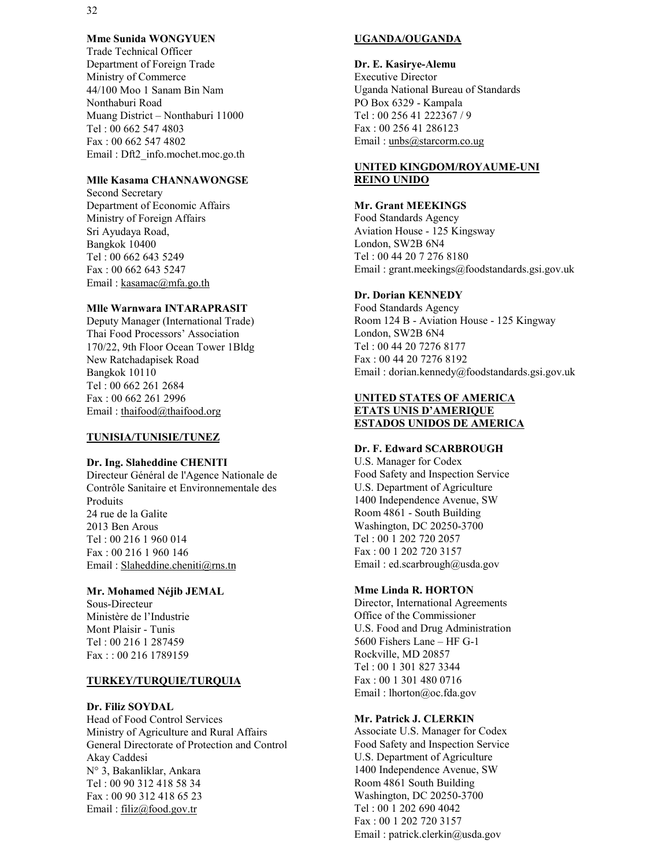#### **Mme Sunida WONGYUEN**

Trade Technical Officer Department of Foreign Trade Ministry of Commerce 44/100 Moo 1 Sanam Bin Nam Nonthaburi Road Muang District – Nonthaburi 11000 Tel : 00 662 547 4803 Fax : 00 662 547 4802 Email : Dft2\_info.mochet.moc.go.th

#### **Mlle Kasama CHANNAWONGSE**

Second Secretary Department of Economic Affairs Ministry of Foreign Affairs Sri Ayudaya Road, Bangkok 10400 Tel : 00 662 643 5249 Fax : 00 662 643 5247 Email : kasamac@mfa.go.th

#### **Mlle Warnwara INTARAPRASIT**

Deputy Manager (International Trade) Thai Food Processors' Association 170/22, 9th Floor Ocean Tower 1Bldg New Ratchadapisek Road Bangkok 10110 Tel : 00 662 261 2684 Fax : 00 662 261 2996 Email: thaifood@thaifood.org

## **TUNISIA/TUNISIE/TUNEZ**

#### **Dr. Ing. Slaheddine CHENITI**

Directeur Général de l'Agence Nationale de Contrôle Sanitaire et Environnementale des Produits 24 rue de la Galite 2013 Ben Arous Tel : 00 216 1 960 014 Fax : 00 216 1 960 146 Email : Slaheddine.cheniti@rns.tn

#### **Mr. Mohamed Néjib JEMAL**

Sous-Directeur Ministère de l'Industrie Mont Plaisir - Tunis Tel : 00 216 1 287459 Fax : : 00 216 1789159

## **TURKEY/TURQUIE/TURQUIA**

#### **Dr. Filiz SOYDAL**

Head of Food Control Services Ministry of Agriculture and Rural Affairs General Directorate of Protection and Control Akay Caddesi N° 3, Bakanliklar, Ankara Tel : 00 90 312 418 58 34 Fax : 00 90 312 418 65 23 Email: filiz@food.gov.tr

## **UGANDA/OUGANDA**

#### **Dr. E. Kasirye-Alemu**

Executive Director Uganda National Bureau of Standards PO Box 6329 - Kampala Tel : 00 256 41 222367 / 9 Fax : 00 256 41 286123 Email: unbs@starcorm.co.ug

## **UNITED KINGDOM/ROYAUME-UNI REINO UNIDO**

#### **Mr. Grant MEEKINGS**

Food Standards Agency Aviation House - 125 Kingsway London, SW2B 6N4 Tel : 00 44 20 7 276 8180 Email : grant.meekings@foodstandards.gsi.gov.uk

## **Dr. Dorian KENNEDY**

Food Standards Agency Room 124 B - Aviation House - 125 Kingway London, SW2B 6N4 Tel : 00 44 20 7276 8177 Fax : 00 44 20 7276 8192 Email : dorian.kennedy@foodstandards.gsi.gov.uk

#### **UNITED STATES OF AMERICA ETATS UNIS D'AMERIQUE ESTADOS UNIDOS DE AMERICA**

#### **Dr. F. Edward SCARBROUGH**

U.S. Manager for Codex Food Safety and Inspection Service U.S. Department of Agriculture 1400 Independence Avenue, SW Room 4861 - South Building Washington, DC 20250-3700 Tel : 00 1 202 720 2057 Fax : 00 1 202 720 3157 Email : ed.scarbrough@usda.gov

## **Mme Linda R. HORTON**

Director, International Agreements Office of the Commissioner U.S. Food and Drug Administration 5600 Fishers Lane – HF G-1 Rockville, MD 20857 Tel : 00 1 301 827 3344 Fax : 00 1 301 480 0716 Email : lhorton@oc.fda.gov

## **Mr. Patrick J. CLERKIN**

Associate U.S. Manager for Codex Food Safety and Inspection Service U.S. Department of Agriculture 1400 Independence Avenue, SW Room 4861 South Building Washington, DC 20250-3700 Tel : 00 1 202 690 4042 Fax : 00 1 202 720 3157 Email : patrick.clerkin@usda.gov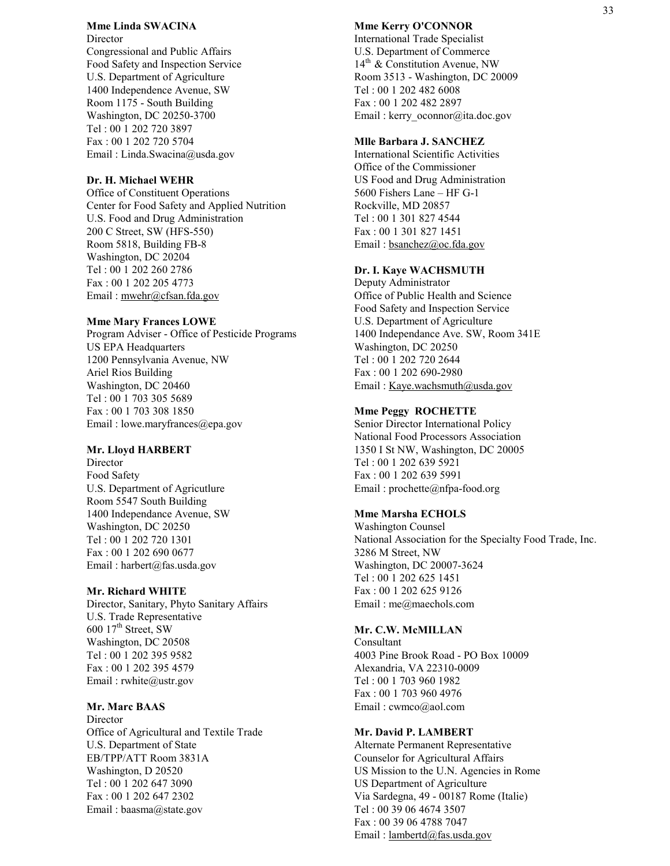#### **Mme Linda SWACINA**

**Director** Congressional and Public Affairs Food Safety and Inspection Service U.S. Department of Agriculture 1400 Independence Avenue, SW Room 1175 - South Building Washington, DC 20250-3700 Tel : 00 1 202 720 3897 Fax : 00 1 202 720 5704 Email : Linda.Swacina@usda.gov

#### **Dr. H. Michael WEHR**

Office of Constituent Operations Center for Food Safety and Applied Nutrition U.S. Food and Drug Administration 200 C Street, SW (HFS-550) Room 5818, Building FB-8 Washington, DC 20204 Tel : 00 1 202 260 2786 Fax : 00 1 202 205 4773 Email: mwehr@cfsan.fda.gov

#### **Mme Mary Frances LOWE**

Program Adviser - Office of Pesticide Programs US EPA Headquarters 1200 Pennsylvania Avenue, NW Ariel Rios Building Washington, DC 20460 Tel : 00 1 703 305 5689 Fax : 00 1 703 308 1850 Email : lowe.maryfrances@epa.gov

#### **Mr. Lloyd HARBERT**

Director Food Safety U.S. Department of Agricutlure Room 5547 South Building 1400 Independance Avenue, SW Washington, DC 20250 Tel : 00 1 202 720 1301 Fax : 00 1 202 690 0677 Email : harbert@fas.usda.gov

#### **Mr. Richard WHITE**

Director, Sanitary, Phyto Sanitary Affairs U.S. Trade Representative 600 17th Street, SW Washington, DC 20508 Tel : 00 1 202 395 9582 Fax : 00 1 202 395 4579 Email: rwhite@ustr.gov

#### **Mr. Marc BAAS**

**Director** Office of Agricultural and Textile Trade U.S. Department of State EB/TPP/ATT Room 3831A Washington, D 20520 Tel : 00 1 202 647 3090 Fax : 00 1 202 647 2302 Email : baasma@state.gov

#### **Mme Kerry O'CONNOR**

International Trade Specialist U.S. Department of Commerce  $14<sup>th</sup>$  & Constitution Avenue, NW Room 3513 - Washington, DC 20009 Tel : 00 1 202 482 6008 Fax : 00 1 202 482 2897 Email : kerry\_oconnor@ita.doc.gov

#### **Mlle Barbara J. SANCHEZ**

International Scientific Activities Office of the Commissioner US Food and Drug Administration 5600 Fishers Lane – HF G-1 Rockville, MD 20857 Tel : 00 1 301 827 4544 Fax : 00 1 301 827 1451 Email : bsanchez@oc.fda.gov

#### **Dr. I. Kaye WACHSMUTH**

Deputy Administrator Office of Public Health and Science Food Safety and Inspection Service U.S. Department of Agriculture 1400 Independance Ave. SW, Room 341E Washington, DC 20250 Tel : 00 1 202 720 2644 Fax : 00 1 202 690-2980 Email: Kaye.wachsmuth@usda.gov

#### **Mme Peggy ROCHETTE**

Senior Director International Policy National Food Processors Association 1350 I St NW, Washington, DC 20005 Tel : 00 1 202 639 5921 Fax : 00 1 202 639 5991 Email: prochette@nfpa-food.org

#### **Mme Marsha ECHOLS**

Washington Counsel National Association for the Specialty Food Trade, Inc. 3286 M Street, NW Washington, DC 20007-3624 Tel : 00 1 202 625 1451 Fax : 00 1 202 625 9126 Email : me@maechols.com

#### **Mr. C.W. McMILLAN**

Consultant 4003 Pine Brook Road - PO Box 10009 Alexandria, VA 22310-0009 Tel : 00 1 703 960 1982 Fax : 00 1 703 960 4976 Email: cwmco@aol.com

#### **Mr. David P. LAMBERT**

Alternate Permanent Representative Counselor for Agricultural Affairs US Mission to the U.N. Agencies in Rome US Department of Agriculture Via Sardegna, 49 - 00187 Rome (Italie) Tel : 00 39 06 4674 3507 Fax : 00 39 06 4788 7047 Email : lambertd@fas.usda.gov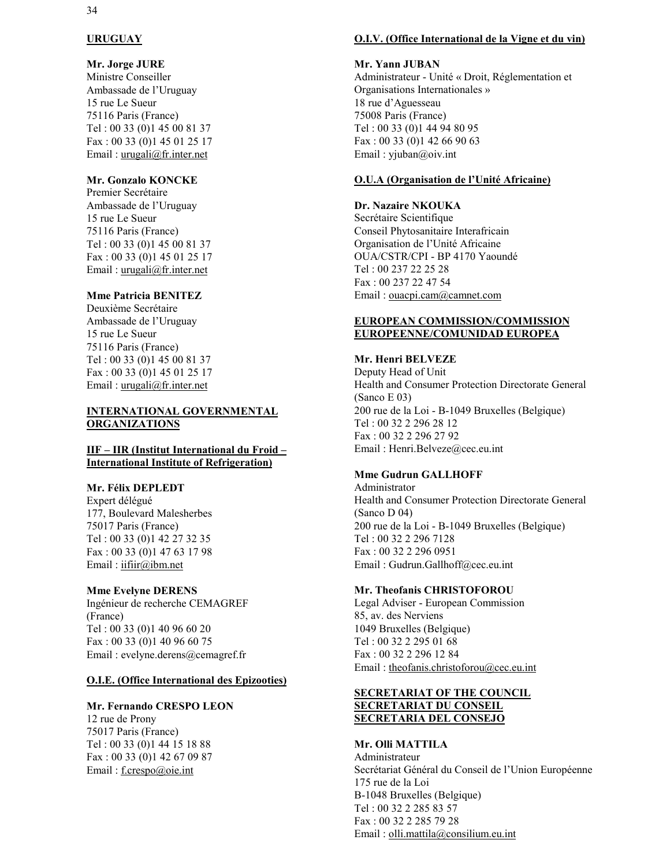## **URUGUAY**

## **Mr. Jorge JURE**

Ministre Conseiller Ambassade de l'Uruguay 15 rue Le Sueur 75116 Paris (France) Tel : 00 33 (0)1 45 00 81 37 Fax : 00 33 (0)1 45 01 25 17 Email : urugali@fr.inter.net

## **Mr. Gonzalo KONCKE**

Premier Secrétaire Ambassade de l'Uruguay 15 rue Le Sueur 75116 Paris (France) Tel : 00 33 (0)1 45 00 81 37 Fax : 00 33 (0)1 45 01 25 17 Email : urugali@fr.inter.net

## **Mme Patricia BENITEZ**

Deuxième Secrétaire Ambassade de l'Uruguay 15 rue Le Sueur 75116 Paris (France) Tel : 00 33 (0)1 45 00 81 37 Fax : 00 33 (0)1 45 01 25 17 Email : urugali@fr.inter.net

#### **INTERNATIONAL GOVERNMENTAL ORGANIZATIONS**

**IIF – IIR (Institut International du Froid – International Institute of Refrigeration)**

## **Mr. Félix DEPLEDT**

Expert délégué 177, Boulevard Malesherbes 75017 Paris (France) Tel : 00 33 (0)1 42 27 32 35 Fax : 00 33 (0)1 47 63 17 98 Email : iifiir@ibm.net

#### **Mme Evelyne DERENS**

Ingénieur de recherche CEMAGREF (France) Tel : 00 33 (0)1 40 96 60 20 Fax : 00 33 (0)1 40 96 60 75 Email : evelyne.derens@cemagref.fr

## **O.I.E. (Office International des Epizooties)**

#### **Mr. Fernando CRESPO LEON**

12 rue de Prony 75017 Paris (France) Tel : 00 33 (0)1 44 15 18 88 Fax : 00 33 (0)1 42 67 09 87 Email: f.crespo@oie.int

## **O.I.V. (Office International de la Vigne et du vin)**

#### **Mr. Yann JUBAN**

Administrateur - Unité « Droit, Réglementation et Organisations Internationales » 18 rue d'Aguesseau 75008 Paris (France) Tel : 00 33 (0)1 44 94 80 95 Fax : 00 33 (0)1 42 66 90 63 Email : yjuban@oiv.int

#### **O.U.A (Organisation de l'Unité Africaine)**

## **Dr. Nazaire NKOUKA**

Secrétaire Scientifique Conseil Phytosanitaire Interafricain Organisation de l'Unité Africaine OUA/CSTR/CPI - BP 4170 Yaoundé Tel : 00 237 22 25 28 Fax : 00 237 22 47 54 Email : ouacpi.cam@camnet.com

## **EUROPEAN COMMISSION/COMMISSION EUROPEENNE/COMUNIDAD EUROPEA**

#### **Mr. Henri BELVEZE**

Deputy Head of Unit Health and Consumer Protection Directorate General (Sanco E 03) 200 rue de la Loi - B-1049 Bruxelles (Belgique) Tel : 00 32 2 296 28 12 Fax : 00 32 2 296 27 92 Email : Henri.Belveze@cec.eu.int

#### **Mme Gudrun GALLHOFF**

Administrator Health and Consumer Protection Directorate General (Sanco D 04) 200 rue de la Loi - B-1049 Bruxelles (Belgique) Tel : 00 32 2 296 7128 Fax : 00 32 2 296 0951 Email : Gudrun.Gallhoff@cec.eu.int

#### **Mr. Theofanis CHRISTOFOROU**

Legal Adviser - European Commission 85, av. des Nerviens 1049 Bruxelles (Belgique) Tel : 00 32 2 295 01 68 Fax : 00 32 2 296 12 84 Email : theofanis.christoforou@cec.eu.int

## **SECRETARIAT OF THE COUNCIL SECRETARIAT DU CONSEIL SECRETARIA DEL CONSEJO**

## **Mr. Olli MATTILA** Administrateur Secrétariat Général du Conseil de l'Union Européenne 175 rue de la Loi B-1048 Bruxelles (Belgique) Tel : 00 32 2 285 83 57 Fax : 00 32 2 285 79 28 Email : olli.mattila@consilium.eu.int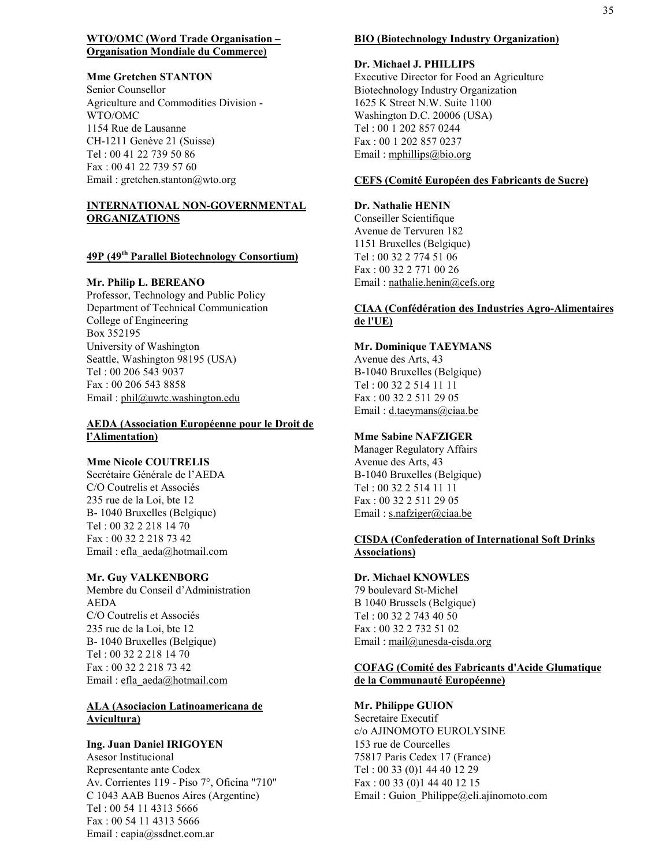#### **WTO/OMC (Word Trade Organisation – Organisation Mondiale du Commerce)**

## **Mme Gretchen STANTON**

Senior Counsellor Agriculture and Commodities Division - WTO/OMC 1154 Rue de Lausanne CH-1211 Genève 21 (Suisse) Tel : 00 41 22 739 50 86 Fax : 00 41 22 739 57 60 Email : gretchen.stanton@wto.org

#### **INTERNATIONAL NON-GOVERNMENTAL ORGANIZATIONS**

#### **49P (49th Parallel Biotechnology Consortium)**

#### **Mr. Philip L. BEREANO**

Professor, Technology and Public Policy Department of Technical Communication College of Engineering Box 352195 University of Washington Seattle, Washington 98195 (USA) Tel : 00 206 543 9037 Fax : 00 206 543 8858 Email : phil@uwtc.washington.edu

#### **AEDA (Association Européenne pour le Droit de l'Alimentation)**

#### **Mme Nicole COUTRELIS**

Secrétaire Générale de l'AEDA C/O Coutrelis et Associés 235 rue de la Loi, bte 12 B- 1040 Bruxelles (Belgique) Tel : 00 32 2 218 14 70 Fax : 00 32 2 218 73 42 Email : efla\_aeda@hotmail.com

#### **Mr. Guy VALKENBORG**

Membre du Conseil d'Administration AEDA C/O Coutrelis et Associés 235 rue de la Loi, bte 12 B- 1040 Bruxelles (Belgique) Tel : 00 32 2 218 14 70 Fax : 00 32 2 218 73 42 Email : efla\_aeda@hotmail.com

## **ALA (Asociacion Latinoamericana de Avicultura)**

## **Ing. Juan Daniel IRIGOYEN**

Asesor Institucional Representante ante Codex Av. Corrientes 119 - Piso 7°, Oficina "710" C 1043 AAB Buenos Aires (Argentine) Tel : 00 54 11 4313 5666 Fax : 00 54 11 4313 5666 Email : capia@ssdnet.com.ar

#### **BIO (Biotechnology Industry Organization)**

#### **Dr. Michael J. PHILLIPS**

Executive Director for Food an Agriculture Biotechnology Industry Organization 1625 K Street N.W. Suite 1100 Washington D.C. 20006 (USA) Tel : 00 1 202 857 0244 Fax : 00 1 202 857 0237 Email: mphillips@bio.org

## **CEFS (Comité Européen des Fabricants de Sucre)**

## **Dr. Nathalie HENIN**

Conseiller Scientifique Avenue de Tervuren 182 1151 Bruxelles (Belgique) Tel : 00 32 2 774 51 06 Fax : 00 32 2 771 00 26 Email : nathalie.henin@cefs.org

## **CIAA (Confédération des Industries Agro-Alimentaires de l'UE)**

#### **Mr. Dominique TAEYMANS**

Avenue des Arts, 43 B-1040 Bruxelles (Belgique) Tel : 00 32 2 514 11 11 Fax : 00 32 2 511 29 05 Email : d.taeymans@ciaa.be

## **Mme Sabine NAFZIGER**

Manager Regulatory Affairs Avenue des Arts, 43 B-1040 Bruxelles (Belgique) Tel : 00 32 2 514 11 11 Fax : 00 32 2 511 29 05 Email : s.nafziger@ciaa.be

## **CISDA (Confederation of International Soft Drinks Associations)**

## **Dr. Michael KNOWLES**

79 boulevard St-Michel B 1040 Brussels (Belgique) Tel : 00 32 2 743 40 50 Fax : 00 32 2 732 51 02 Email : mail@unesda-cisda.org

## **COFAG (Comité des Fabricants d'Acide Glumatique de la Communauté Européenne)**

## **Mr. Philippe GUION**

Secretaire Executif c/o AJINOMOTO EUROLYSINE 153 rue de Courcelles 75817 Paris Cedex 17 (France) Tel : 00 33 (0)1 44 40 12 29 Fax : 00 33 (0)1 44 40 12 15 Email : Guion Philippe@eli.ajinomoto.com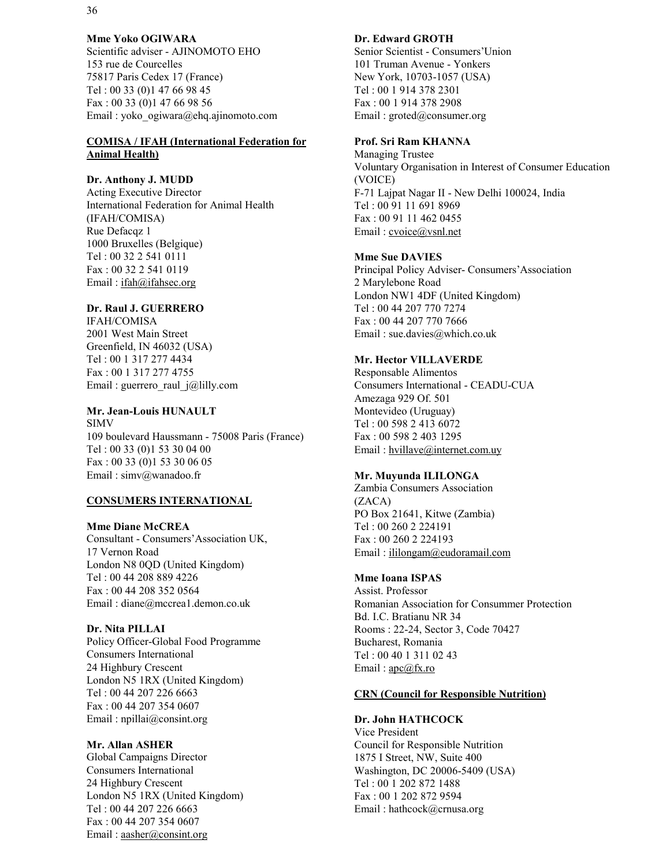**Mme Yoko OGIWARA** Scientific adviser - AJINOMOTO EHO 153 rue de Courcelles 75817 Paris Cedex 17 (France) Tel : 00 33 (0)1 47 66 98 45 Fax : 00 33 (0)1 47 66 98 56 Email : yoko\_ogiwara@ehq.ajinomoto.com

## **COMISA / IFAH (International Federation for Animal Health)**

## **Dr. Anthony J. MUDD**

Acting Executive Director International Federation for Animal Health (IFAH/COMISA) Rue Defacqz 1 1000 Bruxelles (Belgique) Tel : 00 32 2 541 0111 Fax : 00 32 2 541 0119 Email: ifah@ifahsec.org

#### **Dr. Raul J. GUERRERO**

IFAH/COMISA 2001 West Main Street Greenfield, IN 46032 (USA) Tel : 00 1 317 277 4434 Fax : 00 1 317 277 4755 Email : guerrero\_raul\_j@lilly.com

#### **Mr. Jean-Louis HUNAULT** SIMV

109 boulevard Haussmann - 75008 Paris (France) Tel : 00 33 (0)1 53 30 04 00 Fax : 00 33 (0)1 53 30 06 05 Email : simv@wanadoo.fr

#### **CONSUMERS INTERNATIONAL**

#### **Mme Diane McCREA**

Consultant - Consumers'Association UK, 17 Vernon Road London N8 0QD (United Kingdom) Tel : 00 44 208 889 4226 Fax : 00 44 208 352 0564 Email : diane@mccrea1.demon.co.uk

#### **Dr. Nita PILLAI**

Policy Officer-Global Food Programme Consumers International 24 Highbury Crescent London N5 1RX (United Kingdom) Tel : 00 44 207 226 6663 Fax : 00 44 207 354 0607 Email : npillai@consint.org

#### **Mr. Allan ASHER**

Global Campaigns Director Consumers International 24 Highbury Crescent London N5 1RX (United Kingdom) Tel : 00 44 207 226 6663 Fax : 00 44 207 354 0607 Email: aasher@consint.org

#### **Dr. Edward GROTH**

Senior Scientist - Consumers'Union 101 Truman Avenue - Yonkers New York, 10703-1057 (USA) Tel : 00 1 914 378 2301 Fax : 00 1 914 378 2908 Email : groted@consumer.org

#### **Prof. Sri Ram KHANNA**

Managing Trustee Voluntary Organisation in Interest of Consumer Education (VOICE) F-71 Lajpat Nagar II - New Delhi 100024, India Tel : 00 91 11 691 8969 Fax : 00 91 11 462 0455 Email: cvoice@vsnl.net

#### **Mme Sue DAVIES**

Principal Policy Adviser- Consumers'Association 2 Marylebone Road London NW1 4DF (United Kingdom) Tel : 00 44 207 770 7274 Fax : 00 44 207 770 7666 Email : sue.davies@which.co.uk

#### **Mr. Hector VILLAVERDE**

Responsable Alimentos Consumers International - CEADU-CUA Amezaga 929 Of. 501 Montevideo (Uruguay) Tel : 00 598 2 413 6072 Fax : 00 598 2 403 1295 Email: hvillave@internet.com.uy

#### **Mr. Muyunda ILILONGA**

Zambia Consumers Association (ZACA) PO Box 21641, Kitwe (Zambia) Tel : 00 260 2 224191 Fax : 00 260 2 224193 Email : ililongam@eudoramail.com

## **Mme Ioana ISPAS**

Assist. Professor Romanian Association for Consummer Protection Bd. I.C. Bratianu NR 34 Rooms : 22-24, Sector 3, Code 70427 Bucharest, Romania Tel : 00 40 1 311 02 43 Email: <u>apc@fx.ro</u>

#### **CRN (Council for Responsible Nutrition)**

#### **Dr. John HATHCOCK**

Vice President Council for Responsible Nutrition 1875 I Street, NW, Suite 400 Washington, DC 20006-5409 (USA) Tel : 00 1 202 872 1488 Fax : 00 1 202 872 9594 Email : hathcock@crnusa.org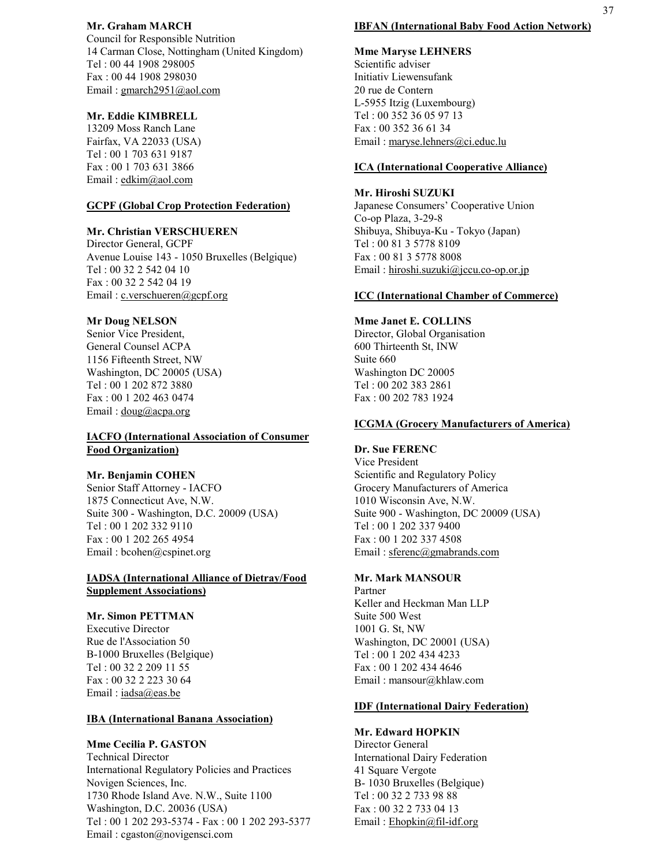#### **Mr. Graham MARCH**

Council for Responsible Nutrition 14 Carman Close, Nottingham (United Kingdom) Tel : 00 44 1908 298005 Fax : 00 44 1908 298030 Email: gmarch2951@aol.com

#### **Mr. Eddie KIMBRELL**

13209 Moss Ranch Lane Fairfax, VA 22033 (USA) Tel : 00 1 703 631 9187 Fax : 00 1 703 631 3866 Email : edkim@aol.com

#### **GCPF (Global Crop Protection Federation)**

#### **Mr. Christian VERSCHUEREN**

Director General, GCPF Avenue Louise 143 - 1050 Bruxelles (Belgique) Tel : 00 32 2 542 04 10 Fax : 00 32 2 542 04 19 Email: c.verschueren@gcpf.org

#### **Mr Doug NELSON**

Senior Vice President, General Counsel ACPA 1156 Fifteenth Street, NW Washington, DC 20005 (USA) Tel : 00 1 202 872 3880 Fax : 00 1 202 463 0474 Email: <u>doug@acpa.org</u>

#### **IACFO (International Association of Consumer Food Organization)**

#### **Mr. Benjamin COHEN**

Senior Staff Attorney - IACFO 1875 Connecticut Ave, N.W. Suite 300 - Washington, D.C. 20009 (USA) Tel : 00 1 202 332 9110 Fax : 00 1 202 265 4954 Email : bcohen@cspinet.org

#### **IADSA (International Alliance of Dietray/Food Supplement Associations)**

**Mr. Simon PETTMAN** Executive Director Rue de l'Association 50 B-1000 Bruxelles (Belgique) Tel : 00 32 2 209 11 55 Fax : 00 32 2 223 30 64 Email: iadsa@eas.be

#### **IBA (International Banana Association)**

#### **Mme Cecilia P. GASTON**

Technical Director International Regulatory Policies and Practices Novigen Sciences, Inc. 1730 Rhode Island Ave. N.W., Suite 1100 Washington, D.C. 20036 (USA) Tel : 00 1 202 293-5374 - Fax : 00 1 202 293-5377 Email : cgaston@novigensci.com

#### **IBFAN (International Baby Food Action Network)**

#### **Mme Maryse LEHNERS**

Scientific adviser Initiativ Liewensufank 20 rue de Contern L-5955 Itzig (Luxembourg) Tel : 00 352 36 05 97 13 Fax : 00 352 36 61 34 Email : maryse.lehners@ci.educ.lu

#### **ICA (International Cooperative Alliance)**

#### **Mr. Hiroshi SUZUKI**

Japanese Consumers' Cooperative Union Co-op Plaza, 3-29-8 Shibuya, Shibuya-Ku - Tokyo (Japan) Tel : 00 81 3 5778 8109 Fax : 00 81 3 5778 8008 Email : hiroshi.suzuki@jccu.co-op.or.jp

#### **ICC (International Chamber of Commerce)**

# **Mme Janet E. COLLINS**

Director, Global Organisation 600 Thirteenth St, INW Suite 660 Washington DC 20005 Tel : 00 202 383 2861 Fax : 00 202 783 1924

#### **ICGMA (Grocery Manufacturers of America)**

#### **Dr. Sue FERENC**

Vice President Scientific and Regulatory Policy Grocery Manufacturers of America 1010 Wisconsin Ave, N.W. Suite 900 - Washington, DC 20009 (USA) Tel : 00 1 202 337 9400 Fax : 00 1 202 337 4508 Email : sferenc@gmabrands.com

## **Mr. Mark MANSOUR**

Partner Keller and Heckman Man LLP Suite 500 West 1001 G. St, NW Washington, DC 20001 (USA) Tel : 00 1 202 434 4233 Fax : 00 1 202 434 4646 Email : mansour@khlaw.com

#### **IDF (International Dairy Federation)**

#### **Mr. Edward HOPKIN**

Director General International Dairy Federation 41 Square Vergote B- 1030 Bruxelles (Belgique) Tel : 00 32 2 733 98 88 Fax : 00 32 2 733 04 13 Email: Ehopkin@fil-idf.org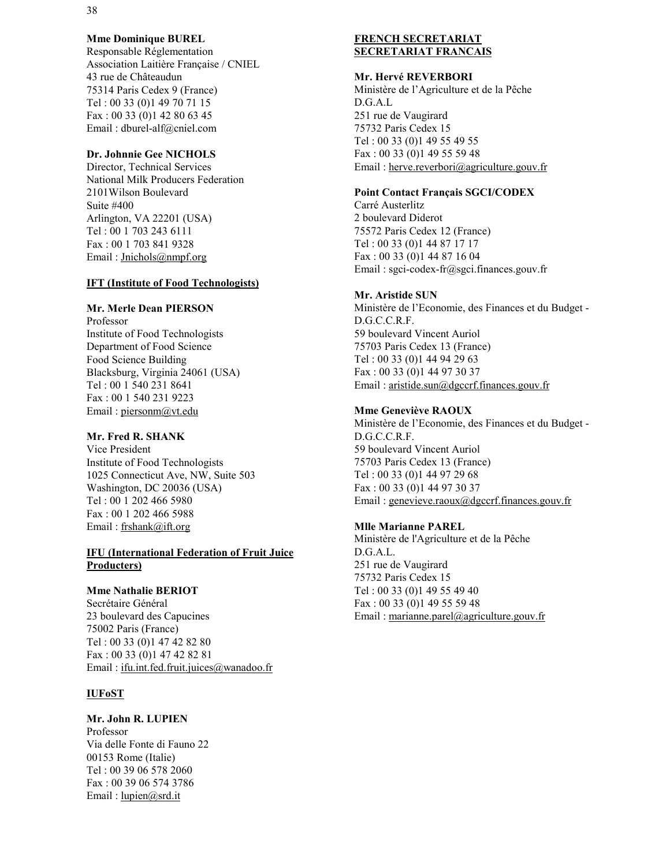## **Mme Dominique BUREL**

Responsable Réglementation Association Laitière Française / CNIEL 43 rue de Châteaudun 75314 Paris Cedex 9 (France) Tel : 00 33 (0)1 49 70 71 15 Fax : 00 33 (0)1 42 80 63 45 Email : dburel-alf@cniel.com

## **Dr. Johnnie Gee NICHOLS**

Director, Technical Services National Milk Producers Federation 2101Wilson Boulevard Suite #400 Arlington, VA 22201 (USA) Tel : 00 1 703 243 6111 Fax : 00 1 703 841 9328 Email: Jnichols@nmpf.org

## **IFT (Institute of Food Technologists)**

## **Mr. Merle Dean PIERSON**

Professor Institute of Food Technologists Department of Food Science Food Science Building Blacksburg, Virginia 24061 (USA) Tel : 00 1 540 231 8641 Fax : 00 1 540 231 9223 Email : piersonm@vt.edu

## **Mr. Fred R. SHANK**

Vice President Institute of Food Technologists 1025 Connecticut Ave, NW, Suite 503 Washington, DC 20036 (USA) Tel : 00 1 202 466 5980 Fax : 00 1 202 466 5988 Email: frshank@ift.org

## **IFU (International Federation of Fruit Juice Producters)**

## **Mme Nathalie BERIOT**

Secrétaire Général 23 boulevard des Capucines 75002 Paris (France) Tel : 00 33 (0)1 47 42 82 80 Fax : 00 33 (0)1 47 42 82 81 Email: ifu.int.fed.fruit.juices@wanadoo.fr

## **IUFoST**

## **Mr. John R. LUPIEN**

Professor Via delle Fonte di Fauno 22 00153 Rome (Italie) Tel : 00 39 06 578 2060 Fax : 00 39 06 574 3786 Email : lupien@srd.it

## **FRENCH SECRETARIAT SECRETARIAT FRANCAIS**

## **Mr. Hervé REVERBORI**

Ministère de l'Agriculture et de la Pêche D.G.A.L 251 rue de Vaugirard 75732 Paris Cedex 15 Tel : 00 33 (0)1 49 55 49 55 Fax : 00 33 (0)1 49 55 59 48 Email : herve.reverbori@agriculture.gouv.fr

## **Point Contact Français SGCI/CODEX**

Carré Austerlitz 2 boulevard Diderot 75572 Paris Cedex 12 (France) Tel : 00 33 (0)1 44 87 17 17 Fax : 00 33 (0)1 44 87 16 04 Email : sgci-codex-fr@sgci.finances.gouv.fr

## **Mr. Aristide SUN**

Ministère de l'Economie, des Finances et du Budget - D.G.C.C.R.F. 59 boulevard Vincent Auriol 75703 Paris Cedex 13 (France) Tel : 00 33 (0)1 44 94 29 63 Fax : 00 33 (0)1 44 97 30 37 Email : aristide.sun@dgccrf.finances.gouv.fr

## **Mme Geneviève RAOUX**

Ministère de l'Economie, des Finances et du Budget - D.G.C.C.R.F. 59 boulevard Vincent Auriol 75703 Paris Cedex 13 (France) Tel : 00 33 (0)1 44 97 29 68 Fax : 00 33 (0)1 44 97 30 37 Email : genevieve.raoux@dgccrf.finances.gouv.fr

## **Mlle Marianne PAREL**

Ministère de l'Agriculture et de la Pêche D.G.A.L. 251 rue de Vaugirard 75732 Paris Cedex 15 Tel : 00 33 (0)1 49 55 49 40 Fax : 00 33 (0)1 49 55 59 48 Email : marianne.parel@agriculture.gouv.fr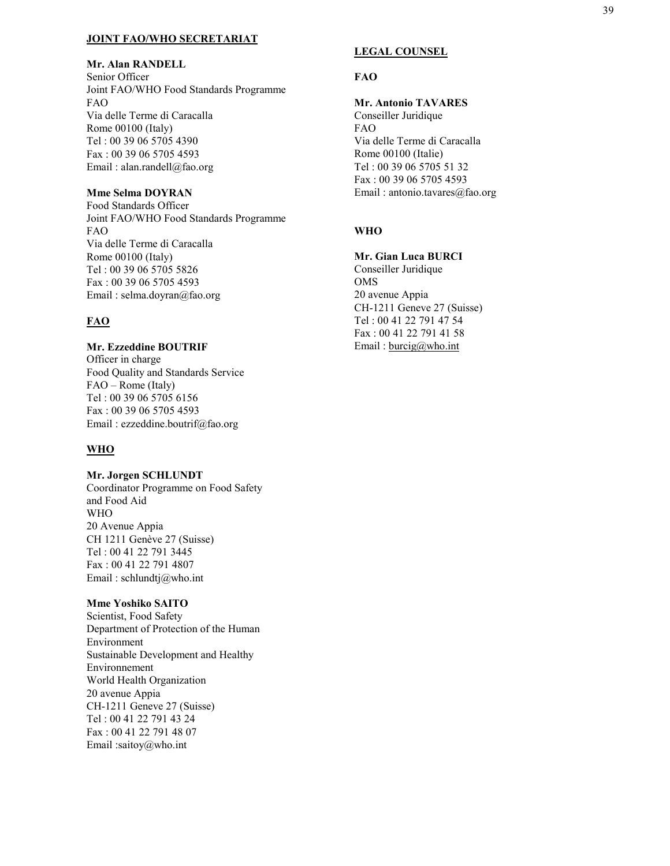#### **JOINT FAO/WHO SECRETARIAT**

#### **Mr. Alan RANDELL**

Senior Officer Joint FAO/WHO Food Standards Programme FAO Via delle Terme di Caracalla Rome 00100 (Italy) Tel : 00 39 06 5705 4390 Fax : 00 39 06 5705 4593 Email : alan.randell@fao.org

## **Mme Selma DOYRAN**

Food Standards Officer Joint FAO/WHO Food Standards Programme FAO Via delle Terme di Caracalla Rome 00100 (Italy) Tel : 00 39 06 5705 5826 Fax : 00 39 06 5705 4593 Email : selma.doyran@fao.org

## **FAO**

#### **Mr. Ezzeddine BOUTRIF**

Officer in charge Food Quality and Standards Service FAO – Rome (Italy) Tel : 00 39 06 5705 6156 Fax : 00 39 06 5705 4593 Email : ezzeddine.boutrif@fao.org

#### **WHO**

**Mr. Jorgen SCHLUNDT** Coordinator Programme on Food Safety and Food Aid WHO 20 Avenue Appia CH 1211 Genève 27 (Suisse) Tel : 00 41 22 791 3445 Fax : 00 41 22 791 4807 Email : schlundtj@who.int

#### **Mme Yoshiko SAITO**

Scientist, Food Safety Department of Protection of the Human Environment Sustainable Development and Healthy Environnement World Health Organization 20 avenue Appia CH-1211 Geneve 27 (Suisse) Tel : 00 41 22 791 43 24 Fax : 00 41 22 791 48 07 Email :saitoy@who.int

## **LEGAL COUNSEL**

#### **FAO**

**Mr. Antonio TAVARES**

Conseiller Juridique FAO Via delle Terme di Caracalla Rome 00100 (Italie) Tel : 00 39 06 5705 51 32 Fax : 00 39 06 5705 4593 Email : antonio.tavares@fao.org

#### **WHO**

#### **Mr. Gian Luca BURCI**

Conseiller Juridique OMS 20 avenue Appia CH-1211 Geneve 27 (Suisse) Tel : 00 41 22 791 47 54 Fax : 00 41 22 791 41 58 Email:  $burcig@who.int$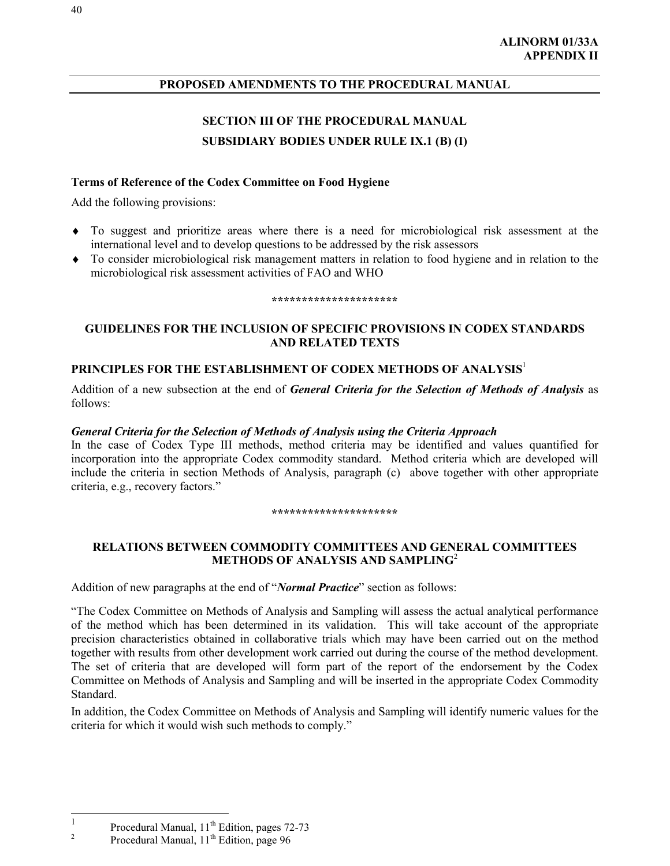# **PROPOSED AMENDMENTS TO THE PROCEDURAL MANUAL**

# **SECTION III OF THE PROCEDURAL MANUAL SUBSIDIARY BODIES UNDER RULE IX.1 (B) (I)**

#### **Terms of Reference of the Codex Committee on Food Hygiene**

Add the following provisions:

- ♦ To suggest and prioritize areas where there is a need for microbiological risk assessment at the international level and to develop questions to be addressed by the risk assessors
- ♦ To consider microbiological risk management matters in relation to food hygiene and in relation to the microbiological risk assessment activities of FAO and WHO

#### **\*\*\*\*\*\*\*\*\*\*\*\*\*\*\*\*\*\*\*\*\***

# **GUIDELINES FOR THE INCLUSION OF SPECIFIC PROVISIONS IN CODEX STANDARDS AND RELATED TEXTS**

## **PRINCIPLES FOR THE ESTABLISHMENT OF CODEX METHODS OF ANALYSIS**<sup>1</sup>

Addition of a new subsection at the end of *General Criteria for the Selection of Methods of Analysis* as follows:

#### *General Criteria for the Selection of Methods of Analysis using the Criteria Approach*

In the case of Codex Type III methods, method criteria may be identified and values quantified for incorporation into the appropriate Codex commodity standard. Method criteria which are developed will include the criteria in section Methods of Analysis, paragraph (c) above together with other appropriate criteria, e.g., recovery factors."

#### **\*\*\*\*\*\*\*\*\*\*\*\*\*\*\*\*\*\*\*\*\***

# **RELATIONS BETWEEN COMMODITY COMMITTEES AND GENERAL COMMITTEES METHODS OF ANALYSIS AND SAMPLING**<sup>2</sup>

Addition of new paragraphs at the end of "*Normal Practice*" section as follows:

"The Codex Committee on Methods of Analysis and Sampling will assess the actual analytical performance of the method which has been determined in its validation. This will take account of the appropriate precision characteristics obtained in collaborative trials which may have been carried out on the method together with results from other development work carried out during the course of the method development. The set of criteria that are developed will form part of the report of the endorsement by the Codex Committee on Methods of Analysis and Sampling and will be inserted in the appropriate Codex Commodity Standard.

In addition, the Codex Committee on Methods of Analysis and Sampling will identify numeric values for the criteria for which it would wish such methods to comply."

 $\mathbf{1}$ Procedural Manual, 11<sup>th</sup> Edition, pages 72-73

<sup>2</sup> Procedural Manual, 11<sup>th</sup> Edition, page 96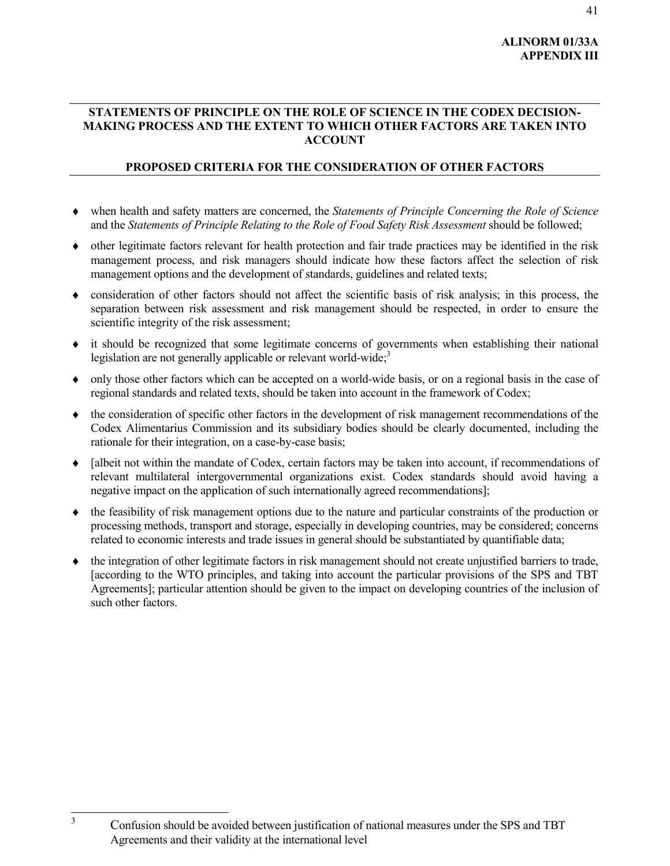# **ALINORM 01/33A APPENDIX III**

41

# **STATEMENTS OF PRINCIPLE ON THE ROLE OF SCIENCE IN THE CODEX DECISION-MAKING PROCESS AND THE EXTENT TO WHICH OTHER FACTORS ARE TAKEN INTO ACCOUNT**

# **PROPOSED CRITERIA FOR THE CONSIDERATION OF OTHER FACTORS**

- ♦ when health and safety matters are concerned, the *Statements of Principle Concerning the Role of Science* and the *Statements of Principle Relating to the Role of Food Safety Risk Assessment* should be followed;
- ♦ other legitimate factors relevant for health protection and fair trade practices may be identified in the risk management process, and risk managers should indicate how these factors affect the selection of risk management options and the development of standards, guidelines and related texts;
- ♦ consideration of other factors should not affect the scientific basis of risk analysis; in this process, the separation between risk assessment and risk management should be respected, in order to ensure the scientific integrity of the risk assessment;
- ♦ it should be recognized that some legitimate concerns of governments when establishing their national legislation are not generally applicable or relevant world-wide:<sup>3</sup>
- only those other factors which can be accepted on a world-wide basis, or on a regional basis in the case of regional standards and related texts, should be taken into account in the framework of Codex;
- ♦ the consideration of specific other factors in the development of risk management recommendations of the Codex Alimentarius Commission and its subsidiary bodies should be clearly documented, including the rationale for their integration, on a case-by-case basis;
- ♦ [albeit not within the mandate of Codex, certain factors may be taken into account, if recommendations of relevant multilateral intergovernmental organizations exist. Codex standards should avoid having a negative impact on the application of such internationally agreed recommendations];
- ♦ the feasibility of risk management options due to the nature and particular constraints of the production or processing methods, transport and storage, especially in developing countries, may be considered; concerns related to economic interests and trade issues in general should be substantiated by quantifiable data;
- ♦ the integration of other legitimate factors in risk management should not create unjustified barriers to trade, [according to the WTO principles, and taking into account the particular provisions of the SPS and TBT Agreements]; particular attention should be given to the impact on developing countries of the inclusion of such other factors.

3

Confusion should be avoided between justification of national measures under the SPS and TBT Agreements and their validity at the international level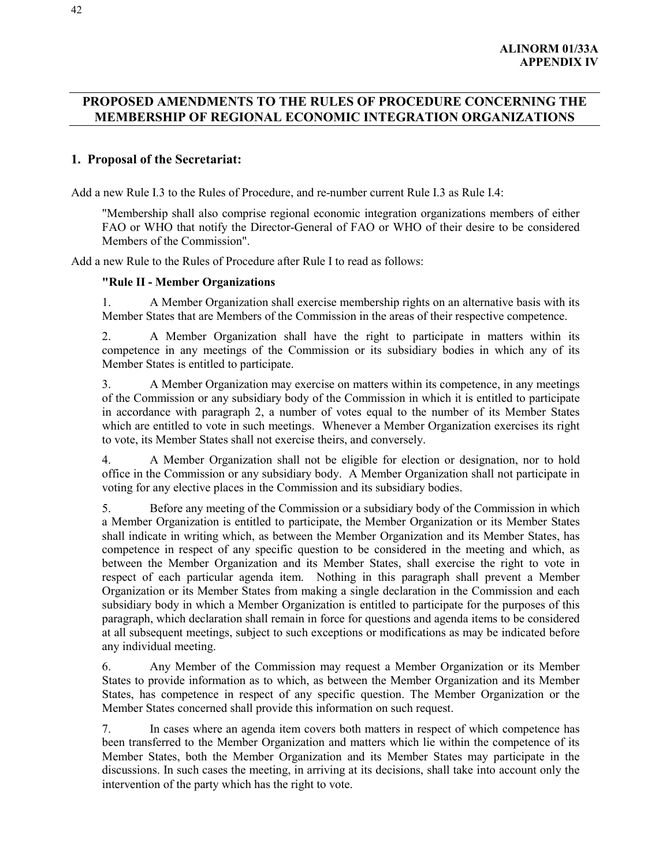# **PROPOSED AMENDMENTS TO THE RULES OF PROCEDURE CONCERNING THE MEMBERSHIP OF REGIONAL ECONOMIC INTEGRATION ORGANIZATIONS**

# **1. Proposal of the Secretariat:**

Add a new Rule I.3 to the Rules of Procedure, and re-number current Rule I.3 as Rule I.4:

"Membership shall also comprise regional economic integration organizations members of either FAO or WHO that notify the Director-General of FAO or WHO of their desire to be considered Members of the Commission".

Add a new Rule to the Rules of Procedure after Rule I to read as follows:

## **"Rule II - Member Organizations**

1. A Member Organization shall exercise membership rights on an alternative basis with its Member States that are Members of the Commission in the areas of their respective competence.

2. A Member Organization shall have the right to participate in matters within its competence in any meetings of the Commission or its subsidiary bodies in which any of its Member States is entitled to participate.

3. A Member Organization may exercise on matters within its competence, in any meetings of the Commission or any subsidiary body of the Commission in which it is entitled to participate in accordance with paragraph 2, a number of votes equal to the number of its Member States which are entitled to vote in such meetings. Whenever a Member Organization exercises its right to vote, its Member States shall not exercise theirs, and conversely.

4. A Member Organization shall not be eligible for election or designation, nor to hold office in the Commission or any subsidiary body. A Member Organization shall not participate in voting for any elective places in the Commission and its subsidiary bodies.

5. Before any meeting of the Commission or a subsidiary body of the Commission in which a Member Organization is entitled to participate, the Member Organization or its Member States shall indicate in writing which, as between the Member Organization and its Member States, has competence in respect of any specific question to be considered in the meeting and which, as between the Member Organization and its Member States, shall exercise the right to vote in respect of each particular agenda item. Nothing in this paragraph shall prevent a Member Organization or its Member States from making a single declaration in the Commission and each subsidiary body in which a Member Organization is entitled to participate for the purposes of this paragraph, which declaration shall remain in force for questions and agenda items to be considered at all subsequent meetings, subject to such exceptions or modifications as may be indicated before any individual meeting.

6. Any Member of the Commission may request a Member Organization or its Member States to provide information as to which, as between the Member Organization and its Member States, has competence in respect of any specific question. The Member Organization or the Member States concerned shall provide this information on such request.

7. In cases where an agenda item covers both matters in respect of which competence has been transferred to the Member Organization and matters which lie within the competence of its Member States, both the Member Organization and its Member States may participate in the discussions. In such cases the meeting, in arriving at its decisions, shall take into account only the intervention of the party which has the right to vote.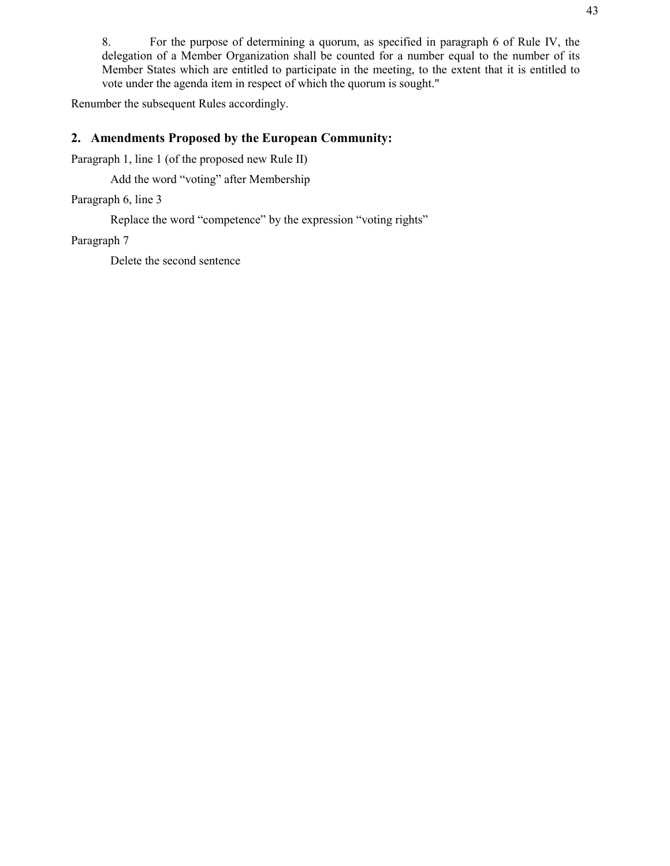8. For the purpose of determining a quorum, as specified in paragraph 6 of Rule IV, the delegation of a Member Organization shall be counted for a number equal to the number of its Member States which are entitled to participate in the meeting, to the extent that it is entitled to vote under the agenda item in respect of which the quorum is sought."

Renumber the subsequent Rules accordingly.

# **2. Amendments Proposed by the European Community:**

Paragraph 1, line 1 (of the proposed new Rule II)

Add the word "voting" after Membership

Paragraph 6, line 3

Replace the word "competence" by the expression "voting rights"

Paragraph 7

Delete the second sentence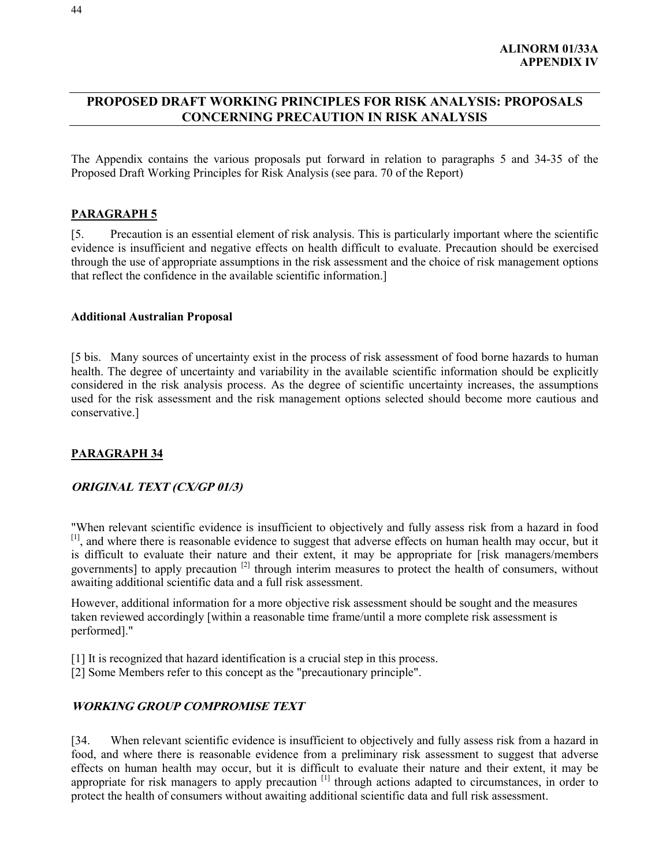# **PROPOSED DRAFT WORKING PRINCIPLES FOR RISK ANALYSIS: PROPOSALS CONCERNING PRECAUTION IN RISK ANALYSIS**

The Appendix contains the various proposals put forward in relation to paragraphs 5 and 34-35 of the Proposed Draft Working Principles for Risk Analysis (see para. 70 of the Report)

## **PARAGRAPH 5**

[5. Precaution is an essential element of risk analysis. This is particularly important where the scientific evidence is insufficient and negative effects on health difficult to evaluate. Precaution should be exercised through the use of appropriate assumptions in the risk assessment and the choice of risk management options that reflect the confidence in the available scientific information.]

## **Additional Australian Proposal**

[5 bis. Many sources of uncertainty exist in the process of risk assessment of food borne hazards to human health. The degree of uncertainty and variability in the available scientific information should be explicitly considered in the risk analysis process. As the degree of scientific uncertainty increases, the assumptions used for the risk assessment and the risk management options selected should become more cautious and conservative.]

# **PARAGRAPH 34**

## **ORIGINAL TEXT (CX/GP 01/3)**

"When relevant scientific evidence is insufficient to objectively and fully assess risk from a hazard in food <sup>[1]</sup>, and where there is reasonable evidence to suggest that adverse effects on human health may occur, but it is difficult to evaluate their nature and their extent, it may be appropriate for [risk managers/members governments] to apply precaution [2] through interim measures to protect the health of consumers, without awaiting additional scientific data and a full risk assessment.

However, additional information for a more objective risk assessment should be sought and the measures taken reviewed accordingly [within a reasonable time frame/until a more complete risk assessment is performed]."

[1] It is recognized that hazard identification is a crucial step in this process.

[2] Some Members refer to this concept as the "precautionary principle".

# **WORKING GROUP COMPROMISE TEXT**

[34. When relevant scientific evidence is insufficient to objectively and fully assess risk from a hazard in food, and where there is reasonable evidence from a preliminary risk assessment to suggest that adverse effects on human health may occur, but it is difficult to evaluate their nature and their extent, it may be appropriate for risk managers to apply precaution  $\left[1\right]$  through actions adapted to circumstances, in order to protect the health of consumers without awaiting additional scientific data and full risk assessment.